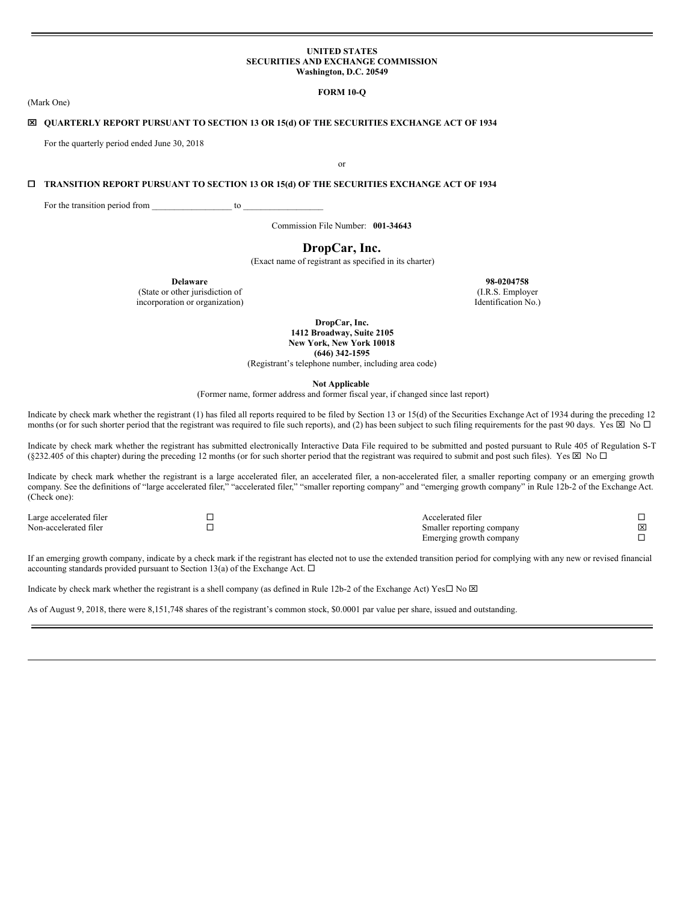#### **UNITED STATES SECURITIES AND EXCHANGE COMMISSION Washington, D.C. 20549**

# **FORM 10-Q**

# x **QUARTERLY REPORT PURSUANT TO SECTION 13 OR 15(d) OF THE SECURITIES EXCHANGE ACT OF 1934**

For the quarterly period ended June 30, 2018

or

# ¨ **TRANSITION REPORT PURSUANT TO SECTION 13 OR 15(d) OF THE SECURITIES EXCHANGE ACT OF 1934**

For the transition period from \_\_\_\_\_\_\_\_\_\_\_\_\_\_\_\_\_\_\_\_\_\_\_ to

Commission File Number: **001-34643**

# **DropCar, Inc.**

(Exact name of registrant as specified in its charter)

**Delaware 98-0204758**

incorporation or organization) Identification No.)

(State or other jurisdiction of (I.R.S. Employer

**DropCar, Inc. 1412 Broadway, Suite 2105 New York, New York 10018 (646) 342-1595**

(Registrant's telephone number, including area code)

**Not Applicable**

(Former name, former address and former fiscal year, if changed since last report)

Indicate by check mark whether the registrant (1) has filed all reports required to be filed by Section 13 or 15(d) of the Securities Exchange Act of 1934 during the preceding 12 months (or for such shorter period that the registrant was required to file such reports), and (2) has been subject to such filing requirements for the past 90 days. Yes  $\boxtimes$  No  $\Box$ 

Indicate by check mark whether the registrant has submitted electronically Interactive Data File required to be submitted and posted pursuant to Rule 405 of Regulation S-T (§232.405 of this chapter) during the preceding 12 months (or for such shorter period that the registrant was required to submit and post such files). Yes  $\boxtimes$  No  $\Box$ 

Indicate by check mark whether the registrant is a large accelerated filer, an accelerated filer, a non-accelerated filer, a smaller reporting company or an emerging growth company. See the definitions of "large accelerated filer," "accelerated filer," "smaller reporting company" and "emerging growth company" in Rule 12b-2 of the Exchange Act. (Check one):

| Large accelerated filer | Accelerated filer         |   |
|-------------------------|---------------------------|---|
| Non-accelerated filer   | Smaller reporting company | ⊠ |
|                         | Emerging growth company   |   |

If an emerging growth company, indicate by a check mark if the registrant has elected not to use the extended transition period for complying with any new or revised financial accounting standards provided pursuant to Section 13(a) of the Exchange Act.  $\Box$ 

Indicate by check mark whether the registrant is a shell company (as defined in Rule 12b-2 of the Exchange Act) Yes $\Box$  No  $\boxtimes$ 

As of August 9, 2018, there were 8,151,748 shares of the registrant's common stock, \$0.0001 par value per share, issued and outstanding.

(Mark One)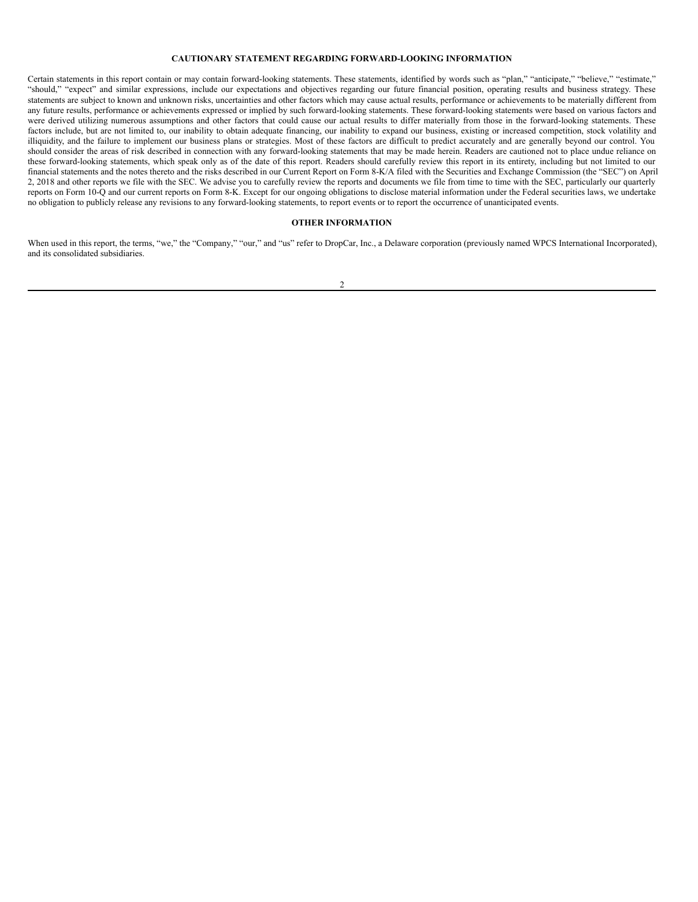# **CAUTIONARY STATEMENT REGARDING FORWARD-LOOKING INFORMATION**

Certain statements in this report contain or may contain forward-looking statements. These statements, identified by words such as "plan," "anticipate," "believe," "estimate," "should," "expect" and similar expressions, include our expectations and objectives regarding our future financial position, operating results and business strategy. These statements are subject to known and unknown risks, uncertainties and other factors which may cause actual results, performance or achievements to be materially different from any future results, performance or achievements expressed or implied by such forward-looking statements. These forward-looking statements were based on various factors and were derived utilizing numerous assumptions and other factors that could cause our actual results to differ materially from those in the forward-looking statements. These factors include, but are not limited to, our inability to obtain adequate financing, our inability to expand our business, existing or increased competition, stock volatility and illiquidity, and the failure to implement our business plans or strategies. Most of these factors are difficult to predict accurately and are generally beyond our control. You should consider the areas of risk described in connection with any forward-looking statements that may be made herein. Readers are cautioned not to place undue reliance on these forward-looking statements, which speak only as of the date of this report. Readers should carefully review this report in its entirety, including but not limited to our financial statements and the notes thereto and the risks described in our Current Report on Form 8-K/A filed with the Securities and Exchange Commission (the "SEC") on April 2, 2018 and other reports we file with the SEC. We advise you to carefully review the reports and documents we file from time to time with the SEC, particularly our quarterly reports on Form 10-Q and our current reports on Form 8-K. Except for our ongoing obligations to disclose material information under the Federal securities laws, we undertake no obligation to publicly release any revisions to any forward-looking statements, to report events or to report the occurrence of unanticipated events.

# **OTHER INFORMATION**

When used in this report, the terms, "we," the "Company," "our," and "us" refer to DropCar, Inc., a Delaware corporation (previously named WPCS International Incorporated), and its consolidated subsidiaries.

 $\overline{2}$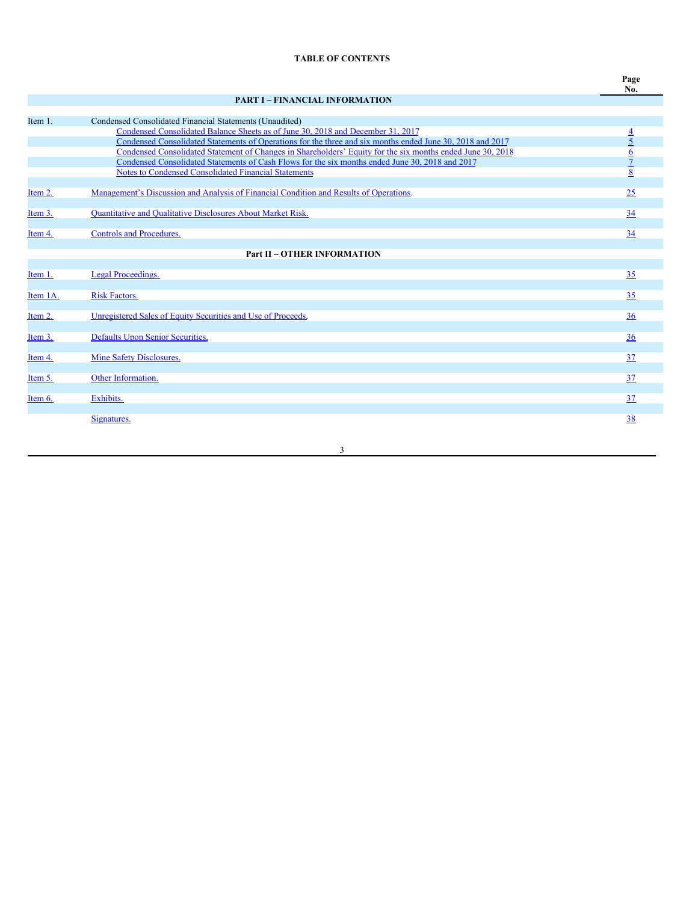# **TABLE OF CONTENTS**

| ٠<br>×<br>×<br>۰, |
|-------------------|
|                   |

|          | <b>PART I - FINANCIAL INFORMATION</b>                                                                      |                |
|----------|------------------------------------------------------------------------------------------------------------|----------------|
|          |                                                                                                            |                |
| Item 1.  | Condensed Consolidated Financial Statements (Unaudited)                                                    |                |
|          | Condensed Consolidated Balance Sheets as of June 30, 2018 and December 31, 2017                            |                |
|          | Condensed Consolidated Statements of Operations for the three and six months ended June 30, 2018 and 2017  | $\frac{4}{5}$  |
|          | Condensed Consolidated Statement of Changes in Shareholders' Equity for the six months ended June 30, 2018 | $\overline{6}$ |
|          | Condensed Consolidated Statements of Cash Flows for the six months ended June 30, 2018 and 2017            | $\overline{7}$ |
|          | <b>Notes to Condensed Consolidated Financial Statements</b>                                                | 8              |
|          |                                                                                                            |                |
| Item 2.  | Management's Discussion and Analysis of Financial Condition and Results of Operations.                     | 25             |
|          |                                                                                                            |                |
| Item 3.  | Quantitative and Qualitative Disclosures About Market Risk.                                                | 34             |
| Item 4.  | <b>Controls and Procedures.</b>                                                                            | 34             |
|          |                                                                                                            |                |
|          | <b>Part II - OTHER INFORMATION</b>                                                                         |                |
|          |                                                                                                            |                |
| Item 1.  | Legal Proceedings.                                                                                         | 35             |
|          |                                                                                                            |                |
| Item 1A. | <b>Risk Factors.</b>                                                                                       | 35             |
|          |                                                                                                            |                |
| Item 2.  | Unregistered Sales of Equity Securities and Use of Proceeds.                                               | 36             |
|          |                                                                                                            |                |
| Item 3.  | Defaults Upon Senior Securities.                                                                           | 36             |
|          |                                                                                                            |                |
| Item 4.  | Mine Safety Disclosures.                                                                                   | 37             |
|          |                                                                                                            |                |
| Item 5.  | Other Information.                                                                                         | 37             |
|          |                                                                                                            |                |
| Item 6.  | Exhibits.                                                                                                  | 37             |
|          |                                                                                                            |                |
|          | Signatures.                                                                                                | 38             |
|          |                                                                                                            |                |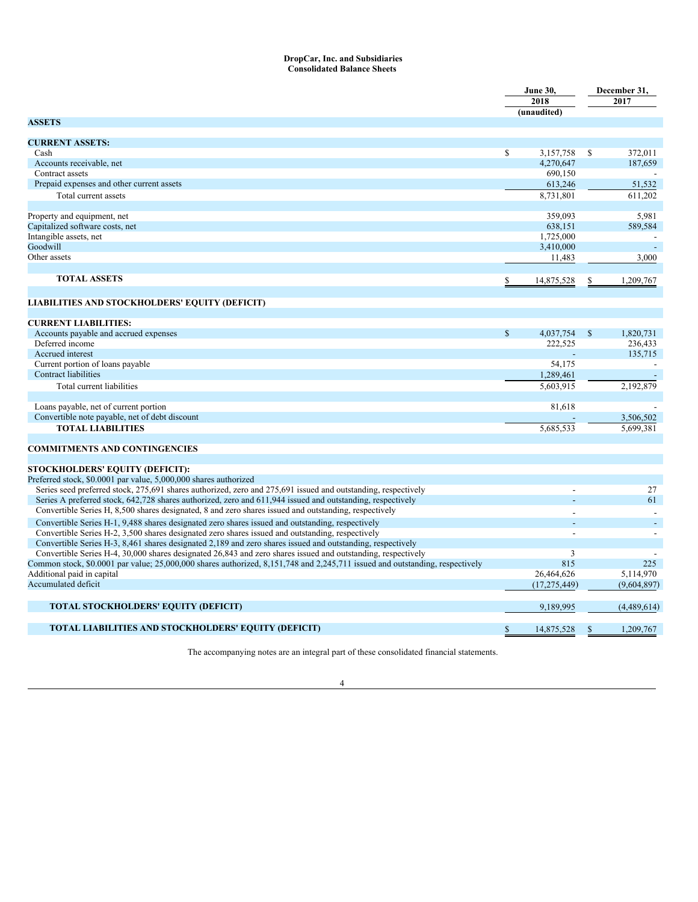# <span id="page-3-0"></span>**DropCar, Inc. and Subsidiaries Consolidated Balance Sheets**

|                                                                                                                              |               | <b>June 30,</b> |               | December 31, |
|------------------------------------------------------------------------------------------------------------------------------|---------------|-----------------|---------------|--------------|
|                                                                                                                              |               | 2018            |               | 2017         |
|                                                                                                                              |               | (unaudited)     |               |              |
| <b>ASSETS</b>                                                                                                                |               |                 |               |              |
|                                                                                                                              |               |                 |               |              |
| <b>CURRENT ASSETS:</b>                                                                                                       |               |                 |               |              |
| Cash                                                                                                                         | <sup>\$</sup> | 3,157,758       | S             | 372.011      |
| Accounts receivable, net                                                                                                     |               | 4,270,647       |               | 187,659      |
| Contract assets                                                                                                              |               | 690,150         |               |              |
| Prepaid expenses and other current assets                                                                                    |               | 613,246         |               | 51,532       |
| Total current assets                                                                                                         |               | 8.731.801       |               | 611.202      |
|                                                                                                                              |               |                 |               |              |
| Property and equipment, net                                                                                                  |               | 359,093         |               | 5.981        |
| Capitalized software costs, net                                                                                              |               | 638,151         |               | 589.584      |
| Intangible assets, net                                                                                                       |               | 1,725,000       |               |              |
| Goodwill                                                                                                                     |               | 3,410,000       |               |              |
| Other assets                                                                                                                 |               | 11,483          |               | 3.000        |
|                                                                                                                              |               |                 |               |              |
| <b>TOTAL ASSETS</b>                                                                                                          | S             | 14,875,528      |               | 1,209,767    |
|                                                                                                                              |               |                 |               |              |
| LIABILITIES AND STOCKHOLDERS' EQUITY (DEFICIT)                                                                               |               |                 |               |              |
|                                                                                                                              |               |                 |               |              |
| <b>CURRENT LIABILITIES:</b>                                                                                                  |               |                 |               |              |
| Accounts payable and accrued expenses                                                                                        | $\mathbb{S}$  | 4,037,754       | <sup>\$</sup> | 1.820.731    |
| Deferred income                                                                                                              |               | 222,525         |               | 236,433      |
| Accrued interest                                                                                                             |               |                 |               | 135,715      |
| Current portion of loans payable                                                                                             |               | 54,175          |               |              |
| <b>Contract liabilities</b>                                                                                                  |               | 1,289,461       |               |              |
| Total current liabilities                                                                                                    |               | 5,603,915       |               | 2,192,879    |
|                                                                                                                              |               |                 |               |              |
| Loans payable, net of current portion                                                                                        |               | 81,618          |               |              |
| Convertible note payable, net of debt discount                                                                               |               |                 |               | 3,506,502    |
| <b>TOTAL LIABILITIES</b>                                                                                                     |               | 5.685.533       |               | 5.699.381    |
|                                                                                                                              |               |                 |               |              |
| <b>COMMITMENTS AND CONTINGENCIES</b>                                                                                         |               |                 |               |              |
|                                                                                                                              |               |                 |               |              |
| <b>STOCKHOLDERS' EQUITY (DEFICIT):</b>                                                                                       |               |                 |               |              |
| Preferred stock, \$0.0001 par value, 5,000,000 shares authorized                                                             |               |                 |               |              |
| Series seed preferred stock, 275,691 shares authorized, zero and 275,691 issued and outstanding, respectively                |               |                 |               | 27           |
| Series A preferred stock, 642,728 shares authorized, zero and 611,944 issued and outstanding, respectively                   |               |                 |               | 61           |
| Convertible Series H, 8,500 shares designated, 8 and zero shares issued and outstanding, respectively                        |               |                 |               |              |
| Convertible Series H-1, 9,488 shares designated zero shares issued and outstanding, respectively                             |               |                 |               |              |
| Convertible Series H-2, 3,500 shares designated zero shares issued and outstanding, respectively                             |               |                 |               |              |
| Convertible Series H-3, 8,461 shares designated 2,189 and zero shares issued and outstanding, respectively                   |               |                 |               |              |
| Convertible Series H-4, 30,000 shares designated 26,843 and zero shares issued and outstanding, respectively                 |               | $\overline{3}$  |               |              |
| Common stock, \$0.0001 par value; 25,000,000 shares authorized, 8,151,748 and 2,245,711 issued and outstanding, respectively |               | 815             |               | 225          |
| Additional paid in capital                                                                                                   |               | 26,464,626      |               | 5.114.970    |
| Accumulated deficit                                                                                                          |               | (17, 275, 449)  |               | (9,604,897)  |
|                                                                                                                              |               |                 |               |              |
| <b>TOTAL STOCKHOLDERS' EQUITY (DEFICIT)</b>                                                                                  |               | 9,189,995       |               | (4,489,614)  |
|                                                                                                                              |               |                 |               |              |
| <b>TOTAL LIABILITIES AND STOCKHOLDERS' EQUITY (DEFICIT)</b>                                                                  |               | 14,875,528      |               | 1,209,767    |
|                                                                                                                              |               |                 |               |              |

The accompanying notes are an integral part of these consolidated financial statements.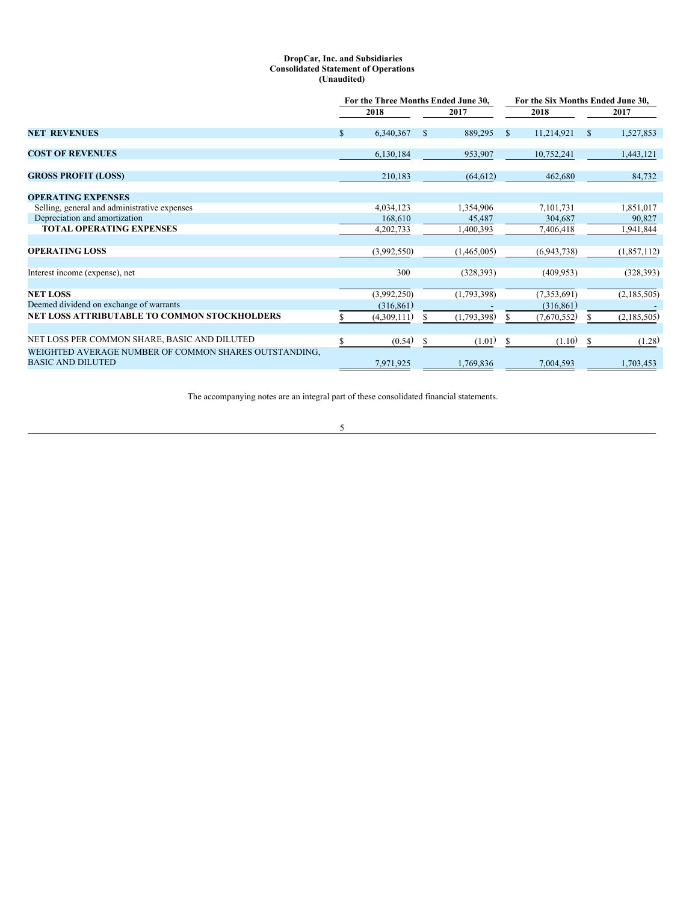# <span id="page-4-0"></span>**DropCar, Inc. and Subsidiaries Consolidated Statement of Operations (Unaudited)**

|                                                       | For the Three Months Ended June 30, |             |               |             |    | For the Six Months Ended June 30, |              |             |  |  |
|-------------------------------------------------------|-------------------------------------|-------------|---------------|-------------|----|-----------------------------------|--------------|-------------|--|--|
|                                                       |                                     | 2018        | 2017          |             |    | 2018                              |              | 2017        |  |  |
| <b>NET REVENUES</b>                                   | $\mathbb{S}$                        | 6,340,367   | \$.           | 889,295     | -S | 11,214,921                        | $\mathbb{S}$ | 1,527,853   |  |  |
| <b>COST OF REVENUES</b>                               |                                     | 6,130,184   |               | 953,907     |    | 10,752,241                        |              | 1,443,121   |  |  |
| <b>GROSS PROFIT (LOSS)</b>                            |                                     | 210,183     |               | (64, 612)   |    | 462,680                           |              | 84,732      |  |  |
| <b>OPERATING EXPENSES</b>                             |                                     |             |               |             |    |                                   |              |             |  |  |
| Selling, general and administrative expenses          |                                     | 4,034,123   |               | 1,354,906   |    | 7,101,731                         |              | 1,851,017   |  |  |
| Depreciation and amortization                         |                                     | 168,610     |               | 45,487      |    | 304,687                           |              | 90,827      |  |  |
| <b>TOTAL OPERATING EXPENSES</b>                       |                                     | 4,202,733   |               | 1,400,393   |    | 7,406,418                         |              | 1,941,844   |  |  |
| <b>OPERATING LOSS</b>                                 |                                     | (3,992,550) |               | (1,465,005) |    | (6,943,738)                       |              | (1,857,112) |  |  |
| Interest income (expense), net                        |                                     | 300         |               | (328, 393)  |    | (409, 953)                        |              | (328, 393)  |  |  |
| <b>NET LOSS</b>                                       |                                     | (3,992,250) |               | (1,793,398) |    | (7,353,691)                       |              | (2,185,505) |  |  |
| Deemed dividend on exchange of warrants               |                                     | (316, 861)  |               |             |    | (316, 861)                        |              |             |  |  |
| NET LOSS ATTRIBUTABLE TO COMMON STOCKHOLDERS          |                                     | (4,309,111) |               | (1,793,398) |    | (7,670,552)                       |              | (2,185,505) |  |  |
| NET LOSS PER COMMON SHARE, BASIC AND DILUTED          |                                     | (0.54)      | <sup>\$</sup> | (1.01)      | -S | (1.10)                            | \$.          | (1.28)      |  |  |
| WEIGHTED AVERAGE NUMBER OF COMMON SHARES OUTSTANDING, |                                     |             |               |             |    |                                   |              |             |  |  |
| <b>BASIC AND DILUTED</b>                              |                                     | 7,971,925   |               | 1,769,836   |    | 7,004,593                         |              | 1,703,453   |  |  |

The accompanying notes are an integral part of these consolidated financial statements.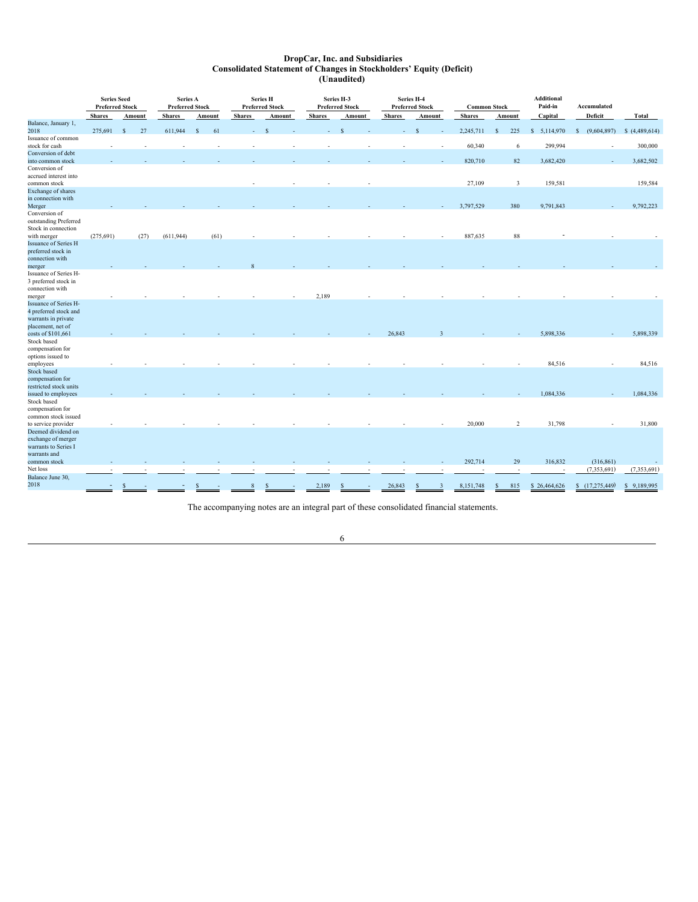## <span id="page-5-0"></span>**DropCar, Inc. and Subsidiaries Consolidated Statement of Changes in Stockholders' Equity (Deficit) (Unaudited)**

|                                            | <b>Series Seed</b><br><b>Preferred Stock</b> |              |        | Series A<br><b>Preferred Stock</b> |              |      |               | <b>Series H</b><br><b>Preferred Stock</b> |               | Series H-3<br><b>Preferred Stock</b> |               | Series H-4 | <b>Preferred Stock</b> | <b>Common Stock</b> |                      | <b>Additional</b><br>Paid-in | Accumulated      |                 |
|--------------------------------------------|----------------------------------------------|--------------|--------|------------------------------------|--------------|------|---------------|-------------------------------------------|---------------|--------------------------------------|---------------|------------|------------------------|---------------------|----------------------|------------------------------|------------------|-----------------|
|                                            | <b>Shares</b>                                |              | Amount | <b>Shares</b>                      | Amount       |      | <b>Shares</b> | Amount                                    | <b>Shares</b> | Amount                               | <b>Shares</b> |            | Amount                 | <b>Shares</b>       | Amount               | Capital                      | Deficit          | Total           |
| Balance, January 1,                        |                                              |              |        |                                    |              |      |               |                                           |               |                                      |               |            |                        |                     |                      |                              |                  |                 |
| 2018                                       | 275,691                                      | <sup>S</sup> | 27     | 611,944                            | $\mathbf{s}$ | 61   |               | <b>S</b>                                  |               | $\mathbf S$                          |               |            | $\mathcal{S}$          | 2,245,711           | 225<br><sup>S</sup>  | $\mathsf{s}$<br>5,114,970    | (9,604,897)<br>s | \$(4,489,614)   |
| Issuance of common                         |                                              |              |        |                                    |              |      |               |                                           |               |                                      |               |            |                        |                     |                      |                              |                  |                 |
| stock for cash<br>Conversion of debt       |                                              |              |        |                                    |              |      |               |                                           |               |                                      |               |            |                        | 60,340              | 6                    | 299,994                      |                  | 300,000         |
|                                            |                                              |              |        |                                    |              |      |               |                                           |               |                                      |               |            |                        |                     | 82                   |                              |                  |                 |
| into common stock<br>Conversion of         |                                              |              |        |                                    |              |      |               |                                           |               |                                      |               |            |                        | 820,710             |                      | 3,682,420                    |                  | 3,682,502       |
| accrued interest into                      |                                              |              |        |                                    |              |      |               |                                           |               |                                      |               |            |                        |                     |                      |                              |                  |                 |
| common stock                               |                                              |              |        |                                    |              |      |               |                                           |               |                                      |               |            |                        | 27,109              | 3                    | 159,581                      |                  | 159,584         |
| Exchange of shares                         |                                              |              |        |                                    |              |      |               |                                           |               |                                      |               |            |                        |                     |                      |                              |                  |                 |
| in connection with                         |                                              |              |        |                                    |              |      |               |                                           |               |                                      |               |            |                        |                     |                      |                              |                  |                 |
| Merger                                     |                                              |              |        |                                    |              |      |               |                                           |               |                                      |               |            |                        | 3,797,529           | 380                  | 9,791,843                    |                  | 9,792,223       |
| Conversion of                              |                                              |              |        |                                    |              |      |               |                                           |               |                                      |               |            |                        |                     |                      |                              |                  |                 |
| outstanding Preferred                      |                                              |              |        |                                    |              |      |               |                                           |               |                                      |               |            |                        |                     |                      |                              |                  |                 |
| Stock in connection                        |                                              |              |        |                                    |              |      |               |                                           |               |                                      |               |            |                        |                     |                      |                              |                  |                 |
| with merger                                | (275, 691)                                   |              | (27)   | (611, 944)                         |              | (61) |               |                                           |               |                                      |               |            |                        | 887,635             | 88                   |                              |                  |                 |
| <b>Issuance of Series H</b>                |                                              |              |        |                                    |              |      |               |                                           |               |                                      |               |            |                        |                     |                      |                              |                  |                 |
| preferred stock in                         |                                              |              |        |                                    |              |      |               |                                           |               |                                      |               |            |                        |                     |                      |                              |                  |                 |
| connection with                            |                                              |              |        |                                    |              |      |               |                                           |               |                                      |               |            |                        |                     |                      |                              |                  |                 |
| merger                                     |                                              |              |        |                                    |              |      |               |                                           |               |                                      |               |            |                        |                     |                      |                              |                  |                 |
| Issuance of Series H-                      |                                              |              |        |                                    |              |      |               |                                           |               |                                      |               |            |                        |                     |                      |                              |                  |                 |
| 3 preferred stock in                       |                                              |              |        |                                    |              |      |               |                                           |               |                                      |               |            |                        |                     |                      |                              |                  |                 |
| connection with                            |                                              |              |        |                                    |              |      |               |                                           |               |                                      |               |            |                        |                     |                      |                              |                  |                 |
| merger                                     |                                              |              |        |                                    |              |      |               |                                           | 2,189         |                                      |               |            |                        |                     |                      |                              |                  |                 |
| <b>Issuance of Series H-</b>               |                                              |              |        |                                    |              |      |               |                                           |               |                                      |               |            |                        |                     |                      |                              |                  |                 |
| 4 preferred stock and                      |                                              |              |        |                                    |              |      |               |                                           |               |                                      |               |            |                        |                     |                      |                              |                  |                 |
| warrants in private                        |                                              |              |        |                                    |              |      |               |                                           |               |                                      |               |            |                        |                     |                      |                              |                  |                 |
| placement, net of                          |                                              |              |        |                                    |              |      |               |                                           |               |                                      |               |            |                        |                     |                      |                              |                  |                 |
| costs of \$101,661                         |                                              |              |        |                                    |              |      |               |                                           |               |                                      | 26,843        |            |                        |                     |                      | 5,898,336                    |                  | 5,898,339       |
| Stock based                                |                                              |              |        |                                    |              |      |               |                                           |               |                                      |               |            |                        |                     |                      |                              |                  |                 |
| compensation for                           |                                              |              |        |                                    |              |      |               |                                           |               |                                      |               |            |                        |                     |                      |                              |                  |                 |
| options issued to                          |                                              |              |        |                                    |              |      |               |                                           |               |                                      |               |            |                        |                     |                      |                              |                  |                 |
| employees                                  |                                              |              |        |                                    |              |      |               |                                           |               |                                      |               |            |                        |                     |                      | 84,516                       |                  | 84,516          |
| Stock based                                |                                              |              |        |                                    |              |      |               |                                           |               |                                      |               |            |                        |                     |                      |                              |                  |                 |
| compensation for<br>restricted stock units |                                              |              |        |                                    |              |      |               |                                           |               |                                      |               |            |                        |                     |                      |                              |                  |                 |
| issued to employees                        |                                              |              |        |                                    |              |      |               |                                           |               |                                      |               |            |                        |                     |                      | 1,084,336                    |                  | 1,084,336       |
| Stock based                                |                                              |              |        |                                    |              |      |               |                                           |               |                                      |               |            |                        |                     |                      |                              |                  |                 |
| compensation for                           |                                              |              |        |                                    |              |      |               |                                           |               |                                      |               |            |                        |                     |                      |                              |                  |                 |
| common stock issued                        |                                              |              |        |                                    |              |      |               |                                           |               |                                      |               |            |                        |                     |                      |                              |                  |                 |
| to service provider                        |                                              |              |        |                                    |              |      |               |                                           |               |                                      |               |            |                        | 20,000              | 2                    | 31,798                       |                  | 31,800          |
| Deemed dividend on                         |                                              |              |        |                                    |              |      |               |                                           |               |                                      |               |            |                        |                     |                      |                              |                  |                 |
| exchange of merger                         |                                              |              |        |                                    |              |      |               |                                           |               |                                      |               |            |                        |                     |                      |                              |                  |                 |
| warrants to Series I                       |                                              |              |        |                                    |              |      |               |                                           |               |                                      |               |            |                        |                     |                      |                              |                  |                 |
| warrants and                               |                                              |              |        |                                    |              |      |               |                                           |               |                                      |               |            |                        |                     |                      |                              |                  |                 |
| common stock                               |                                              |              |        |                                    |              |      |               |                                           |               |                                      |               |            |                        | 292,714             | 29                   | 316,832                      | (316, 861)       |                 |
| Net loss                                   |                                              |              |        |                                    |              |      |               |                                           |               |                                      |               |            |                        |                     |                      |                              | (7,353,691)      | (7,353,691)     |
| Balance June 30,                           |                                              |              |        |                                    |              |      |               |                                           |               |                                      |               |            |                        |                     |                      |                              |                  |                 |
| 2018                                       |                                              |              |        |                                    |              |      |               |                                           | 2,189         |                                      | 26,843        |            | $\overline{3}$         | 8,151,748           | 815<br>$\mathcal{S}$ | \$26,464,626                 | (17,275,449)     | 9,189,995<br>S. |
|                                            |                                              |              |        |                                    |              |      |               |                                           |               |                                      |               |            |                        |                     |                      |                              |                  |                 |

The accompanying notes are an integral part of these consolidated financial statements.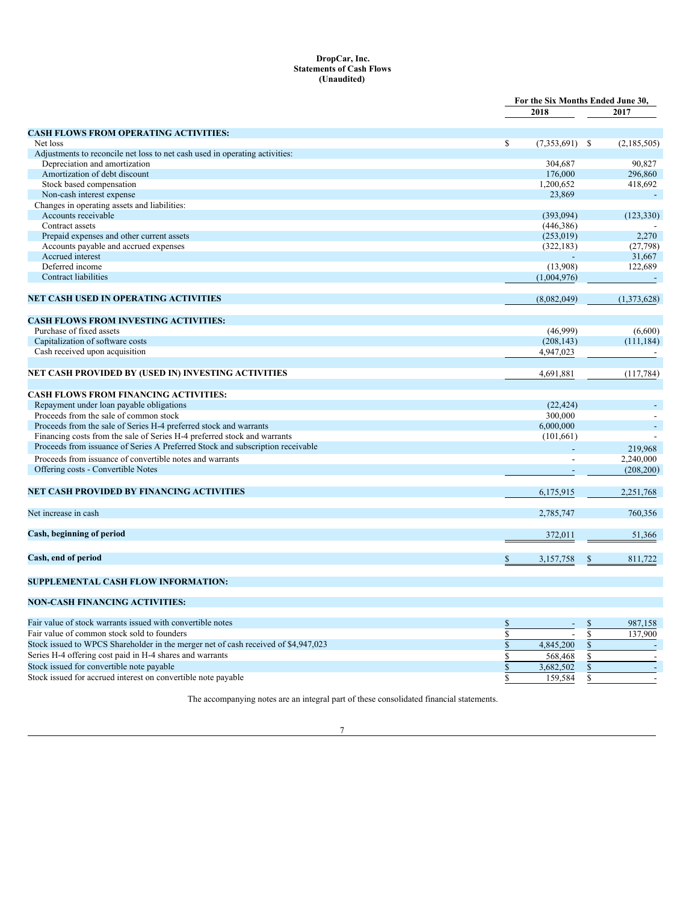# <span id="page-6-0"></span>**DropCar, Inc. Statements of Cash Flows (Unaudited)**

|                                                                                                           |                        | For the Six Months Ended June 30, |
|-----------------------------------------------------------------------------------------------------------|------------------------|-----------------------------------|
|                                                                                                           | 2018                   | 2017                              |
| <b>CASH FLOWS FROM OPERATING ACTIVITIES:</b>                                                              |                        |                                   |
| Net loss                                                                                                  | \$<br>$(7,353,691)$ \$ | (2,185,505)                       |
| Adjustments to reconcile net loss to net cash used in operating activities:                               |                        |                                   |
| Depreciation and amortization                                                                             | 304,687                | 90,827                            |
| Amortization of debt discount                                                                             | 176,000                | 296,860                           |
| Stock based compensation                                                                                  | 1,200,652              | 418,692                           |
| Non-cash interest expense                                                                                 | 23,869                 |                                   |
| Changes in operating assets and liabilities:                                                              |                        |                                   |
| Accounts receivable                                                                                       | (393,094)              | (123, 330)                        |
| Contract assets                                                                                           | (446, 386)             |                                   |
| Prepaid expenses and other current assets                                                                 | (253, 019)             | 2,270                             |
| Accounts payable and accrued expenses                                                                     | (322, 183)             | (27, 798)                         |
| Accrued interest                                                                                          |                        | 31,667                            |
| Deferred income                                                                                           | (13,908)               | 122,689                           |
| <b>Contract liabilities</b>                                                                               | (1,004,976)            |                                   |
|                                                                                                           |                        |                                   |
| NET CASH USED IN OPERATING ACTIVITIES                                                                     | (8,082,049)            | (1,373,628)                       |
| <b>CASH FLOWS FROM INVESTING ACTIVITIES:</b>                                                              |                        |                                   |
| Purchase of fixed assets                                                                                  | (46,999)               | (6,600)                           |
| Capitalization of software costs                                                                          | (208, 143)             | (111, 184)                        |
| Cash received upon acquisition                                                                            | 4,947,023              |                                   |
| NET CASH PROVIDED BY (USED IN) INVESTING ACTIVITIES                                                       | 4,691,881              | (117, 784)                        |
|                                                                                                           |                        |                                   |
| <b>CASH FLOWS FROM FINANCING ACTIVITIES:</b>                                                              |                        |                                   |
| Repayment under loan payable obligations                                                                  | (22, 424)              |                                   |
| Proceeds from the sale of common stock                                                                    | 300,000                |                                   |
| Proceeds from the sale of Series H-4 preferred stock and warrants                                         | 6,000,000              |                                   |
| Financing costs from the sale of Series H-4 preferred stock and warrants                                  | (101, 661)             |                                   |
| Proceeds from issuance of Series A Preferred Stock and subscription receivable                            |                        |                                   |
|                                                                                                           |                        | 219,968                           |
| Proceeds from issuance of convertible notes and warrants                                                  |                        | 2,240,000                         |
| Offering costs - Convertible Notes                                                                        |                        | (208, 200)                        |
| NET CASH PROVIDED BY FINANCING ACTIVITIES                                                                 | 6,175,915              | 2,251,768                         |
| Net increase in cash                                                                                      | 2,785,747              | 760,356                           |
| Cash, beginning of period                                                                                 | 372,011                | 51,366                            |
|                                                                                                           |                        |                                   |
| Cash, end of period                                                                                       | 3,157,758<br>S         | 811,722<br>\$                     |
| SUPPLEMENTAL CASH FLOW INFORMATION:                                                                       |                        |                                   |
| <b>NON-CASH FINANCING ACTIVITIES:</b>                                                                     |                        |                                   |
|                                                                                                           |                        |                                   |
| Fair value of stock warrants issued with convertible notes<br>Eair value of common stock sold to foundary | \$<br>$\sigma$         | 987,158<br>\$<br>127.000          |
|                                                                                                           |                        |                                   |

| Fair value of common stock sold to founders                                        |           | 137.900 |
|------------------------------------------------------------------------------------|-----------|---------|
| Stock issued to WPCS Shareholder in the merger net of cash received of \$4,947,023 | 4,845,200 |         |
| Series H-4 offering cost paid in H-4 shares and warrants                           | 568,468   |         |
| Stock issued for convertible note payable                                          | 3.682.502 |         |
| Stock issued for accrued interest on convertible note payable                      | 159.584   |         |

The accompanying notes are an integral part of these consolidated financial statements.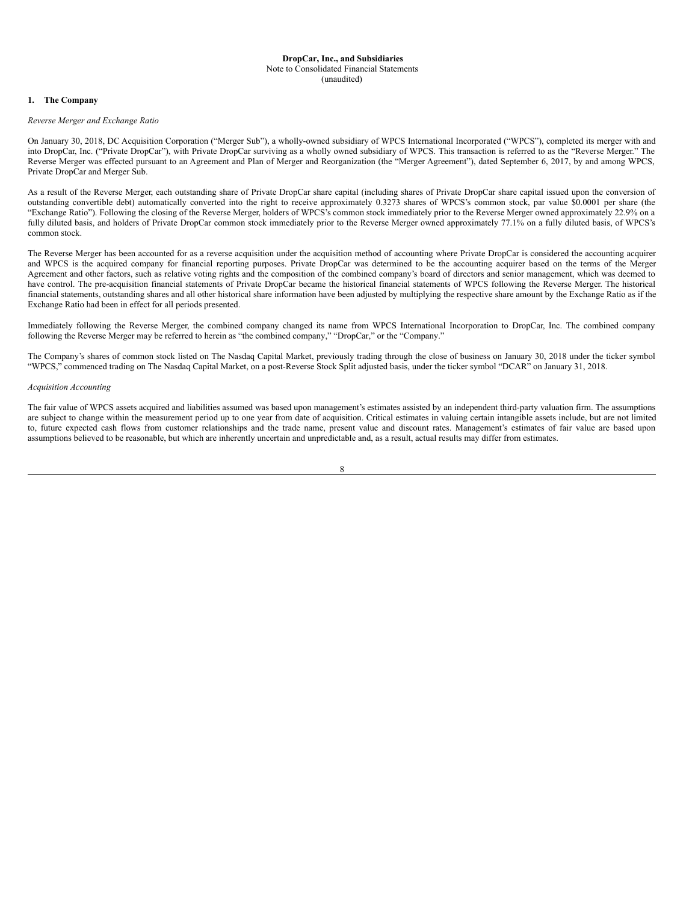#### <span id="page-7-0"></span>**DropCar, Inc., and Subsidiaries** Note to Consolidated Financial Statements (unaudited)

# **1. The Company**

# *Reverse Merger and Exchange Ratio*

On January 30, 2018, DC Acquisition Corporation ("Merger Sub"), a wholly-owned subsidiary of WPCS International Incorporated ("WPCS"), completed its merger with and into DropCar, Inc. ("Private DropCar"), with Private DropCar surviving as a wholly owned subsidiary of WPCS. This transaction is referred to as the "Reverse Merger." The Reverse Merger was effected pursuant to an Agreement and Plan of Merger and Reorganization (the "Merger Agreement"), dated September 6, 2017, by and among WPCS, Private DropCar and Merger Sub.

As a result of the Reverse Merger, each outstanding share of Private DropCar share capital (including shares of Private DropCar share capital issued upon the conversion of outstanding convertible debt) automatically converted into the right to receive approximately 0.3273 shares of WPCS's common stock, par value \$0.0001 per share (the "Exchange Ratio"). Following the closing of the Reverse Merger, holders of WPCS's common stock immediately prior to the Reverse Merger owned approximately 22.9% on a fully diluted basis, and holders of Private DropCar common stock immediately prior to the Reverse Merger owned approximately 77.1% on a fully diluted basis, of WPCS's common stock.

The Reverse Merger has been accounted for as a reverse acquisition under the acquisition method of accounting where Private DropCar is considered the accounting acquirer and WPCS is the acquired company for financial reporting purposes. Private DropCar was determined to be the accounting acquirer based on the terms of the Merger Agreement and other factors, such as relative voting rights and the composition of the combined company's board of directors and senior management, which was deemed to have control. The pre-acquisition financial statements of Private DropCar became the historical financial statements of WPCS following the Reverse Merger. The historical financial statements, outstanding shares and all other historical share information have been adjusted by multiplying the respective share amount by the Exchange Ratio as if the Exchange Ratio had been in effect for all periods presented.

Immediately following the Reverse Merger, the combined company changed its name from WPCS International Incorporation to DropCar, Inc. The combined company following the Reverse Merger may be referred to herein as "the combined company," "DropCar," or the "Company."

The Company's shares of common stock listed on The Nasdaq Capital Market, previously trading through the close of business on January 30, 2018 under the ticker symbol "WPCS," commenced trading on The Nasdaq Capital Market, on a post-Reverse Stock Split adjusted basis, under the ticker symbol "DCAR" on January 31, 2018.

#### *Acquisition Accounting*

The fair value of WPCS assets acquired and liabilities assumed was based upon management's estimates assisted by an independent third-party valuation firm. The assumptions are subject to change within the measurement period up to one year from date of acquisition. Critical estimates in valuing certain intangible assets include, but are not limited to, future expected cash flows from customer relationships and the trade name, present value and discount rates. Management's estimates of fair value are based upon assumptions believed to be reasonable, but which are inherently uncertain and unpredictable and, as a result, actual results may differ from estimates.

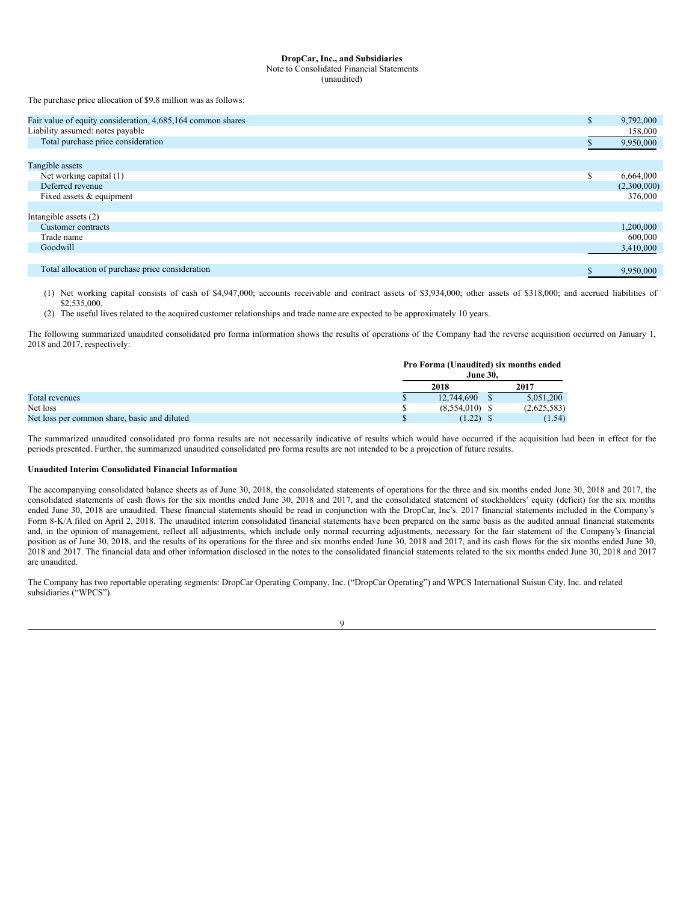# **DropCar, Inc., and Subsidiaries** Note to Consolidated Financial Statements

(unaudited)

The purchase price allocation of \$9.8 million was as follows:

| Fair value of equity consideration, 4,685,164 common shares | S.       | 9,792,000   |
|-------------------------------------------------------------|----------|-------------|
| Liability assumed: notes payable                            |          | 158,000     |
| Total purchase price consideration                          |          | 9,950,000   |
|                                                             |          |             |
| Tangible assets                                             |          |             |
| Net working capital (1)                                     | <b>D</b> | 6,664,000   |
| Deferred revenue                                            |          | (2,300,000) |
| Fixed assets & equipment                                    |          | 376,000     |
|                                                             |          |             |
| Intangible assets $(2)$                                     |          |             |
| Customer contracts                                          |          | 1,200,000   |
| Trade name                                                  |          | 600,000     |
| Goodwill                                                    |          | 3,410,000   |
|                                                             |          |             |
| Total allocation of purchase price consideration            | D        | 9.950.000   |

(1) Net working capital consists of cash of \$4,947,000; accounts receivable and contract assets of \$3,934,000; other assets of \$318,000; and accrued liabilities of \$2,535,000.

(2) The useful lives related to the acquired customer relationships and trade name are expected to be approximately 10 years.

The following summarized unaudited consolidated pro forma information shows the results of operations of the Company had the reverse acquisition occurred on January 1, 2018 and 2017, respectively:

|                                              | Pro Forma (Unaudited) six months ended<br><b>June 30.</b> |             |
|----------------------------------------------|-----------------------------------------------------------|-------------|
|                                              | 2018                                                      | 2017        |
| Total revenues                               | 12,744,690                                                | 5.051.200   |
| Net loss                                     | $(8,554,010)$ \$                                          | (2,625,583) |
| Net loss per common share, basic and diluted | $(1.22)$ \$                                               | (1.54)      |

The summarized unaudited consolidated pro forma results are not necessarily indicative of results which would have occurred if the acquisition had been in effect for the periods presented. Further, the summarized unaudited consolidated pro forma results are not intended to be a projection of future results.

# **Unaudited Interim Consolidated Financial Information**

The accompanying consolidated balance sheets as of June 30, 2018, the consolidated statements of operations for the three and six months ended June 30, 2018 and 2017, the consolidated statements of cash flows for the six months ended June 30, 2018 and 2017, and the consolidated statement of stockholders' equity (deficit) for the six months ended June 30, 2018 are unaudited. These financial statements should be read in conjunction with the DropCar, Inc's. 2017 financial statements included in the Company's Form 8-K/A filed on April 2, 2018. The unaudited interim consolidated financial statements have been prepared on the same basis as the audited annual financial statements and, in the opinion of management, reflect all adjustments, which include only normal recurring adjustments, necessary for the fair statement of the Company's financial position as of June 30, 2018, and the results of its operations for the three and six months ended June 30, 2018 and 2017, and its cash flows for the six months ended June 30, 2018 and 2017. The financial data and other information disclosed in the notes to the consolidated financial statements related to the six months ended June 30, 2018 and 2017 are unaudited.

The Company has two reportable operating segments: DropCar Operating Company, Inc. ("DropCar Operating") and WPCS International Suisun City, Inc. and related subsidiaries ("WPCS").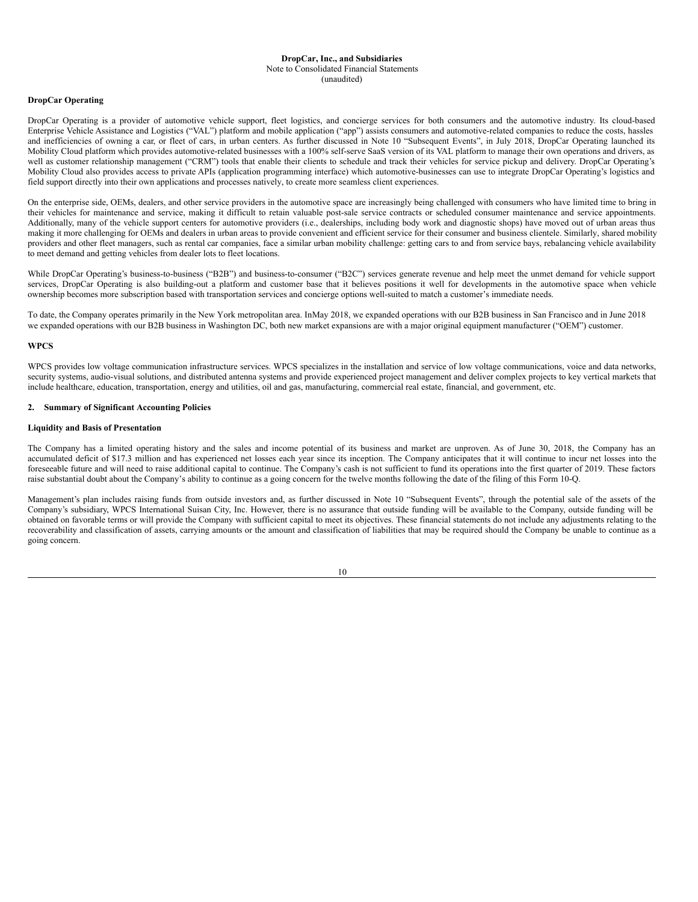#### **DropCar, Inc., and Subsidiaries** Note to Consolidated Financial Statements (unaudited)

# **DropCar Operating**

DropCar Operating is a provider of automotive vehicle support, fleet logistics, and concierge services for both consumers and the automotive industry. Its cloud-based Enterprise Vehicle Assistance and Logistics ("VAL") platform and mobile application ("app") assists consumers and automotive-related companies to reduce the costs, hassles and inefficiencies of owning a car, or fleet of cars, in urban centers. As further discussed in Note 10 "Subsequent Events", in July 2018, DropCar Operating launched its Mobility Cloud platform which provides automotive-related businesses with a 100% self-serve SaaS version of its VAL platform to manage their own operations and drivers, as well as customer relationship management ("CRM") tools that enable their clients to schedule and track their vehicles for service pickup and delivery. DropCar Operating's Mobility Cloud also provides access to private APIs (application programming interface) which automotive-businesses can use to integrate DropCar Operating's logistics and field support directly into their own applications and processes natively, to create more seamless client experiences.

On the enterprise side, OEMs, dealers, and other service providers in the automotive space are increasingly being challenged with consumers who have limited time to bring in their vehicles for maintenance and service, making it difficult to retain valuable post-sale service contracts or scheduled consumer maintenance and service appointments. Additionally, many of the vehicle support centers for automotive providers (i.e., dealerships, including body work and diagnostic shops) have moved out of urban areas thus making it more challenging for OEMs and dealers in urban areas to provide convenient and efficient service for their consumer and business clientele. Similarly, shared mobility providers and other fleet managers, such as rental car companies, face a similar urban mobility challenge: getting cars to and from service bays, rebalancing vehicle availability to meet demand and getting vehicles from dealer lots to fleet locations.

While DropCar Operating's business-to-business ("B2B") and business-to-consumer ("B2C") services generate revenue and help meet the unmet demand for vehicle support services, DropCar Operating is also building-out a platform and customer base that it believes positions it well for developments in the automotive space when vehicle ownership becomes more subscription based with transportation services and concierge options well-suited to match a customer's immediate needs.

To date, the Company operates primarily in the New York metropolitan area. InMay 2018, we expanded operations with our B2B business in San Francisco and in June 2018 we expanded operations with our B2B business in Washington DC, both new market expansions are with a major original equipment manufacturer ("OEM") customer.

## **WPCS**

WPCS provides low voltage communication infrastructure services. WPCS specializes in the installation and service of low voltage communications, voice and data networks, security systems, audio-visual solutions, and distributed antenna systems and provide experienced project management and deliver complex projects to key vertical markets that include healthcare, education, transportation, energy and utilities, oil and gas, manufacturing, commercial real estate, financial, and government, etc.

# **2. Summary of Significant Accounting Policies**

# **Liquidity and Basis of Presentation**

The Company has a limited operating history and the sales and income potential of its business and market are unproven. As of June 30, 2018, the Company has an accumulated deficit of \$17.3 million and has experienced net losses each year since its inception. The Company anticipates that it will continue to incur net losses into the foreseeable future and will need to raise additional capital to continue. The Company's cash is not sufficient to fund its operations into the first quarter of 2019. These factors raise substantial doubt about the Company's ability to continue as a going concern for the twelve months following the date of the filing of this Form 10-Q.

Management's plan includes raising funds from outside investors and, as further discussed in Note 10 "Subsequent Events", through the potential sale of the assets of the Company's subsidiary, WPCS International Suisan City, Inc. However, there is no assurance that outside funding will be available to the Company, outside funding will be obtained on favorable terms or will provide the Company with sufficient capital to meet its objectives. These financial statements do not include any adjustments relating to the recoverability and classification of assets, carrying amounts or the amount and classification of liabilities that may be required should the Company be unable to continue as a going concern.

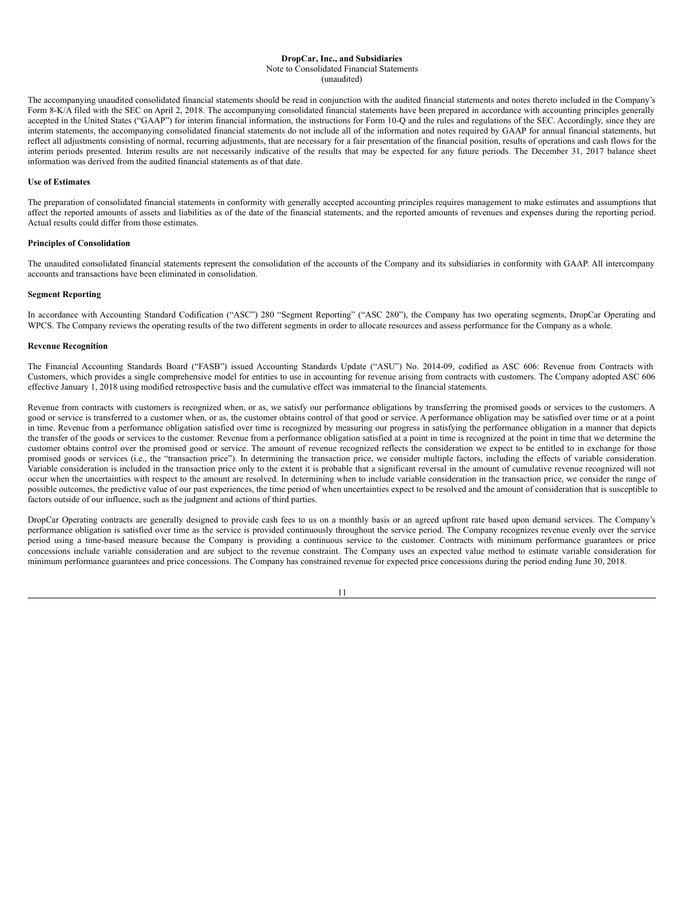# Note to Consolidated Financial Statements

(unaudited)

The accompanying unaudited consolidated financial statements should be read in conjunction with the audited financial statements and notes thereto included in the Company's Form 8-K/A filed with the SEC on April 2, 2018. The accompanying consolidated financial statements have been prepared in accordance with accounting principles generally accepted in the United States ("GAAP") for interim financial information, the instructions for Form 10-Q and the rules and regulations of the SEC. Accordingly, since they are interim statements, the accompanying consolidated financial statements do not include all of the information and notes required by GAAP for annual financial statements, but reflect all adjustments consisting of normal, recurring adjustments, that are necessary for a fair presentation of the financial position, results of operations and cash flows for the interim periods presented. Interim results are not necessarily indicative of the results that may be expected for any future periods. The December 31, 2017 balance sheet information was derived from the audited financial statements as of that date.

# **Use of Estimates**

The preparation of consolidated financial statements in conformity with generally accepted accounting principles requires management to make estimates and assumptions that affect the reported amounts of assets and liabilities as of the date of the financial statements, and the reported amounts of revenues and expenses during the reporting period. Actual results could differ from those estimates.

# **Principles of Consolidation**

The unaudited consolidated financial statements represent the consolidation of the accounts of the Company and its subsidiaries in conformity with GAAP. All intercompany accounts and transactions have been eliminated in consolidation.

# **Segment Reporting**

In accordance with Accounting Standard Codification ("ASC") 280 "Segment Reporting" ("ASC 280"), the Company has two operating segments, DropCar Operating and WPCS. The Company reviews the operating results of the two different segments in order to allocate resources and assess performance for the Company as a whole.

# **Revenue Recognition**

The Financial Accounting Standards Board ("FASB") issued Accounting Standards Update ("ASU") No. 2014-09, codified as ASC 606: Revenue from Contracts with Customers, which provides a single comprehensive model for entities to use in accounting for revenue arising from contracts with customers. The Company adopted ASC 606 effective January 1, 2018 using modified retrospective basis and the cumulative effect was immaterial to the financial statements.

Revenue from contracts with customers is recognized when, or as, we satisfy our performance obligations by transferring the promised goods or services to the customers. A good or service is transferred to a customer when, or as, the customer obtains control of that good or service. A performance obligation may be satisfied over time or at a point in time. Revenue from a performance obligation satisfied over time is recognized by measuring our progress in satisfying the performance obligation in a manner that depicts the transfer of the goods or services to the customer. Revenue from a performance obligation satisfied at a point in time is recognized at the point in time that we determine the customer obtains control over the promised good or service. The amount of revenue recognized reflects the consideration we expect to be entitled to in exchange for those promised goods or services (i.e., the "transaction price"). In determining the transaction price, we consider multiple factors, including the effects of variable consideration. Variable consideration is included in the transaction price only to the extent it is probable that a significant reversal in the amount of cumulative revenue recognized will not occur when the uncertainties with respect to the amount are resolved. In determining when to include variable consideration in the transaction price, we consider the range of possible outcomes, the predictive value of our past experiences, the time period of when uncertainties expect to be resolved and the amount of consideration that is susceptible to factors outside of our influence, such as the judgment and actions of third parties.

DropCar Operating contracts are generally designed to provide cash fees to us on a monthly basis or an agreed upfront rate based upon demand services. The Company's performance obligation is satisfied over time as the service is provided continuously throughout the service period. The Company recognizes revenue evenly over the service period using a time-based measure because the Company is providing a continuous service to the customer. Contracts with minimum performance guarantees or price concessions include variable consideration and are subject to the revenue constraint. The Company uses an expected value method to estimate variable consideration for minimum performance guarantees and price concessions. The Company has constrained revenue for expected price concessions during the period ending June 30, 2018.

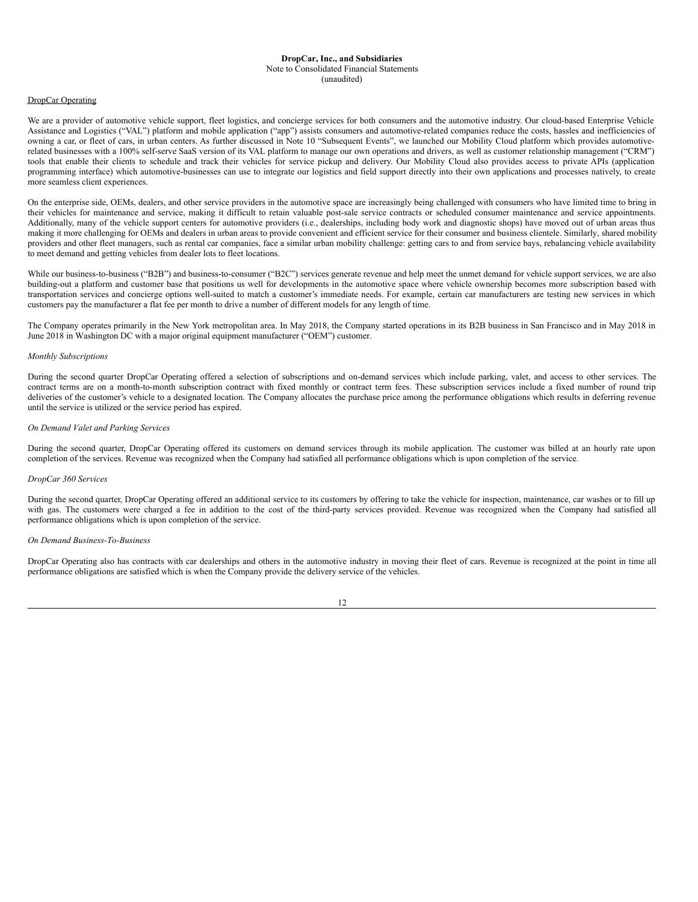# **DropCar, Inc., and Subsidiaries** Note to Consolidated Financial Statements

#### (unaudited)

# DropCar Operating

We are a provider of automotive vehicle support, fleet logistics, and concierge services for both consumers and the automotive industry. Our cloud-based Enterprise Vehicle Assistance and Logistics ("VAL") platform and mobile application ("app") assists consumers and automotive-related companies reduce the costs, hassles and inefficiencies of owning a car, or fleet of cars, in urban centers. As further discussed in Note 10 "Subsequent Events", we launched our Mobility Cloud platform which provides automotiverelated businesses with a 100% self-serve SaaS version of its VAL platform to manage our own operations and drivers, as well as customer relationship management ("CRM") tools that enable their clients to schedule and track their vehicles for service pickup and delivery. Our Mobility Cloud also provides access to private APIs (application programming interface) which automotive-businesses can use to integrate our logistics and field support directly into their own applications and processes natively, to create more seamless client experiences.

On the enterprise side, OEMs, dealers, and other service providers in the automotive space are increasingly being challenged with consumers who have limited time to bring in their vehicles for maintenance and service, making it difficult to retain valuable post-sale service contracts or scheduled consumer maintenance and service appointments. Additionally, many of the vehicle support centers for automotive providers (i.e., dealerships, including body work and diagnostic shops) have moved out of urban areas thus making it more challenging for OEMs and dealers in urban areas to provide convenient and efficient service for their consumer and business clientele. Similarly, shared mobility providers and other fleet managers, such as rental car companies, face a similar urban mobility challenge: getting cars to and from service bays, rebalancing vehicle availability to meet demand and getting vehicles from dealer lots to fleet locations.

While our business-to-business ("B2B") and business-to-consumer ("B2C") services generate revenue and help meet the unmet demand for vehicle support services, we are also building-out a platform and customer base that positions us well for developments in the automotive space where vehicle ownership becomes more subscription based with transportation services and concierge options well-suited to match a customer's immediate needs. For example, certain car manufacturers are testing new services in which customers pay the manufacturer a flat fee per month to drive a number of different models for any length of time.

The Company operates primarily in the New York metropolitan area. In May 2018, the Company started operations in its B2B business in San Francisco and in May 2018 in June 2018 in Washington DC with a major original equipment manufacturer ("OEM") customer.

# *Monthly Subscriptions*

During the second quarter DropCar Operating offered a selection of subscriptions and on-demand services which include parking, valet, and access to other services. The contract terms are on a month-to-month subscription contract with fixed monthly or contract term fees. These subscription services include a fixed number of round trip deliveries of the customer's vehicle to a designated location. The Company allocates the purchase price among the performance obligations which results in deferring revenue until the service is utilized or the service period has expired.

# *On Demand Valet and Parking Services*

During the second quarter, DropCar Operating offered its customers on demand services through its mobile application. The customer was billed at an hourly rate upon completion of the services. Revenue was recognized when the Company had satisfied all performance obligations which is upon completion of the service.

#### *DropCar 360 Services*

During the second quarter, DropCar Operating offered an additional service to its customers by offering to take the vehicle for inspection, maintenance, car washes or to fill up with gas. The customers were charged a fee in addition to the cost of the third-party services provided. Revenue was recognized when the Company had satisfied all performance obligations which is upon completion of the service.

#### *On Demand Business-To-Business*

DropCar Operating also has contracts with car dealerships and others in the automotive industry in moving their fleet of cars. Revenue is recognized at the point in time all performance obligations are satisfied which is when the Company provide the delivery service of the vehicles.

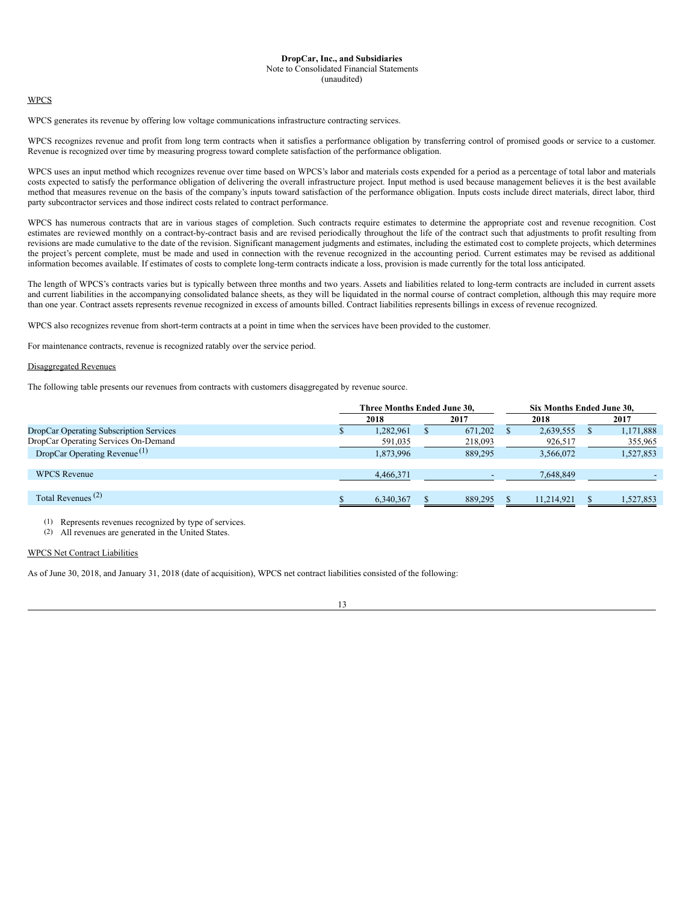# Note to Consolidated Financial Statements

(unaudited)

# WPCS

WPCS generates its revenue by offering low voltage communications infrastructure contracting services.

WPCS recognizes revenue and profit from long term contracts when it satisfies a performance obligation by transferring control of promised goods or service to a customer. Revenue is recognized over time by measuring progress toward complete satisfaction of the performance obligation.

WPCS uses an input method which recognizes revenue over time based on WPCS's labor and materials costs expended for a period as a percentage of total labor and materials costs expected to satisfy the performance obligation of delivering the overall infrastructure project. Input method is used because management believes it is the best available method that measures revenue on the basis of the company's inputs toward satisfaction of the performance obligation. Inputs costs include direct materials, direct labor, third party subcontractor services and those indirect costs related to contract performance.

WPCS has numerous contracts that are in various stages of completion. Such contracts require estimates to determine the appropriate cost and revenue recognition. Cost estimates are reviewed monthly on a contract-by-contract basis and are revised periodically throughout the life of the contract such that adjustments to profit resulting from revisions are made cumulative to the date of the revision. Significant management judgments and estimates, including the estimated cost to complete projects, which determines the project's percent complete, must be made and used in connection with the revenue recognized in the accounting period. Current estimates may be revised as additional information becomes available. If estimates of costs to complete long-term contracts indicate a loss, provision is made currently for the total loss anticipated.

The length of WPCS's contracts varies but is typically between three months and two years. Assets and liabilities related to long-term contracts are included in current assets and current liabilities in the accompanying consolidated balance sheets, as they will be liquidated in the normal course of contract completion, although this may require more than one year. Contract assets represents revenue recognized in excess of amounts billed. Contract liabilities represents billings in excess of revenue recognized.

WPCS also recognizes revenue from short-term contracts at a point in time when the services have been provided to the customer.

For maintenance contracts, revenue is recognized ratably over the service period.

# Disaggregated Revenues

The following table presents our revenues from contracts with customers disaggregated by revenue source.

|                                          | Three Months Ended June 30. |  |         |  | Six Months Ended June 30. |  |           |  |  |
|------------------------------------------|-----------------------------|--|---------|--|---------------------------|--|-----------|--|--|
|                                          | 2018                        |  | 2017    |  | 2018                      |  | 2017      |  |  |
| DropCar Operating Subscription Services  | 1,282,961                   |  | 671,202 |  | 2,639,555                 |  | 1,171,888 |  |  |
| DropCar Operating Services On-Demand     | 591,035                     |  | 218,093 |  | 926,517                   |  | 355,965   |  |  |
| DropCar Operating Revenue <sup>(1)</sup> | 1,873,996                   |  | 889.295 |  | 3,566,072                 |  | 1,527,853 |  |  |
| <b>WPCS</b> Revenue                      | 4,466,371                   |  |         |  | 7,648,849                 |  |           |  |  |
| Total Revenues <sup>(2)</sup>            | 6,340,367                   |  | 889,295 |  | 11.214.921                |  | 1,527,853 |  |  |

(1) Represents revenues recognized by type of services.

(2) All revenues are generated in the United States.

# WPCS Net Contract Liabilities

As of June 30, 2018, and January 31, 2018 (date of acquisition), WPCS net contract liabilities consisted of the following: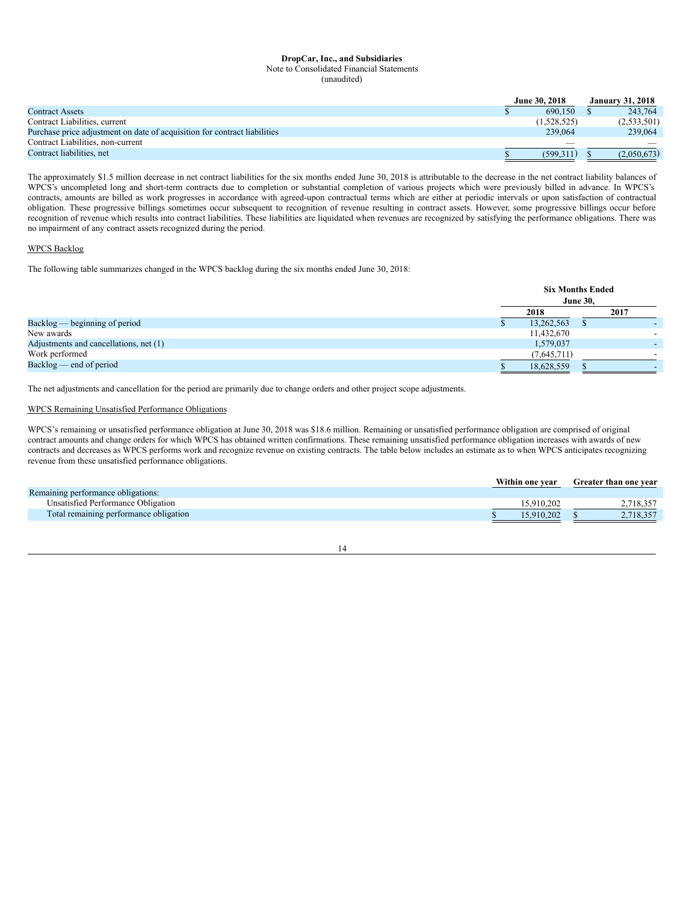# **DropCar, Inc., and Subsidiaries** Note to Consolidated Financial Statements

(unaudited)

|                                                                           | <b>June 30, 2018</b> |                          |  | <b>January 31, 2018</b> |
|---------------------------------------------------------------------------|----------------------|--------------------------|--|-------------------------|
| Contract Assets                                                           |                      | 690.150                  |  | 243,764                 |
| Contract Liabilities, current                                             |                      | (1.528.525)              |  | (2,533,501)             |
| Purchase price adjustment on date of acquisition for contract liabilities |                      | 239,064                  |  | 239,064                 |
| Contract Liabilities, non-current                                         |                      | $\overline{\phantom{a}}$ |  |                         |
| Contract liabilities, net                                                 |                      | (599.311)                |  | (2,050,673)             |

The approximately \$1.5 million decrease in net contract liabilities for the six months ended June 30, 2018 is attributable to the decrease in the net contract liability balances of WPCS's uncompleted long and short-term contracts due to completion or substantial completion of various projects which were previously billed in advance. In WPCS's contracts, amounts are billed as work progresses in accordance with agreed-upon contractual terms which are either at periodic intervals or upon satisfaction of contractual obligation. These progressive billings sometimes occur subsequent to recognition of revenue resulting in contract assets. However, some progressive billings occur before recognition of revenue which results into contract liabilities. These liabilities are liquidated when revenues are recognized by satisfying the performance obligations. There was no impairment of any contract assets recognized during the period.

# WPCS Backlog

The following table summarizes changed in the WPCS backlog during the six months ended June 30, 2018:

|                                        |             | <b>Six Months Ended</b><br><b>June 30,</b> |
|----------------------------------------|-------------|--------------------------------------------|
|                                        | 2018        | 2017                                       |
| $Backlog$ $-$ beginning of period      | 13,262,563  |                                            |
| New awards                             | 11,432,670  |                                            |
| Adjustments and cancellations, net (1) | 1,579,037   |                                            |
| Work performed                         | (7,645,711) |                                            |
| $Backlog$ – end of period              | 18,628,559  |                                            |

The net adjustments and cancellation for the period are primarily due to change orders and other project scope adjustments.

# WPCS Remaining Unsatisfied Performance Obligations

WPCS's remaining or unsatisfied performance obligation at June 30, 2018 was \$18.6 million. Remaining or unsatisfied performance obligation are comprised of original contract amounts and change orders for which WPCS has obtained written confirmations. These remaining unsatisfied performance obligation increases with awards of new contracts and decreases as WPCS performs work and recognize revenue on existing contracts. The table below includes an estimate as to when WPCS anticipates recognizing revenue from these unsatisfied performance obligations.

|                                        | Within one vear | <b>Greater than one vear</b> |
|----------------------------------------|-----------------|------------------------------|
| Remaining performance obligations:     |                 |                              |
| Unsatisfied Performance Obligation     | 15.910.202      | 2.718.357                    |
| Total remaining performance obligation | 15.910.202      | 2,718,357                    |

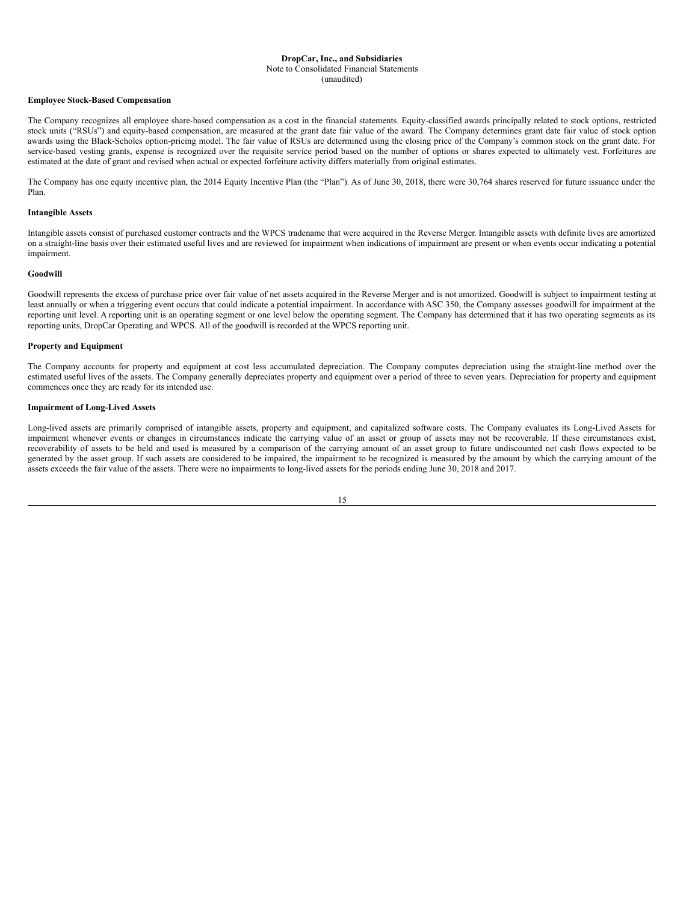#### Note to Consolidated Financial Statements

# (unaudited)

# **Employee Stock-Based Compensation**

The Company recognizes all employee share-based compensation as a cost in the financial statements. Equity-classified awards principally related to stock options, restricted stock units ("RSUs") and equity-based compensation, are measured at the grant date fair value of the award. The Company determines grant date fair value of stock option awards using the Black-Scholes option-pricing model. The fair value of RSUs are determined using the closing price of the Company's common stock on the grant date. For service-based vesting grants, expense is recognized over the requisite service period based on the number of options or shares expected to ultimately vest. Forfeitures are estimated at the date of grant and revised when actual or expected forfeiture activity differs materially from original estimates.

The Company has one equity incentive plan, the 2014 Equity Incentive Plan (the "Plan"). As of June 30, 2018, there were 30,764 shares reserved for future issuance under the Plan.

# **Intangible Assets**

Intangible assets consist of purchased customer contracts and the WPCS tradename that were acquired in the Reverse Merger. Intangible assets with definite lives are amortized on a straight-line basis over their estimated useful lives and are reviewed for impairment when indications of impairment are present or when events occur indicating a potential impairment.

## **Goodwill**

Goodwill represents the excess of purchase price over fair value of net assets acquired in the Reverse Merger and is not amortized. Goodwill is subject to impairment testing at least annually or when a triggering event occurs that could indicate a potential impairment. In accordance with ASC 350, the Company assesses goodwill for impairment at the reporting unit level. A reporting unit is an operating segment or one level below the operating segment. The Company has determined that it has two operating segments as its reporting units, DropCar Operating and WPCS. All of the goodwill is recorded at the WPCS reporting unit.

# **Property and Equipment**

The Company accounts for property and equipment at cost less accumulated depreciation. The Company computes depreciation using the straight-line method over the estimated useful lives of the assets. The Company generally depreciates property and equipment over a period of three to seven years. Depreciation for property and equipment commences once they are ready for its intended use.

# **Impairment of Long-Lived Assets**

Long-lived assets are primarily comprised of intangible assets, property and equipment, and capitalized software costs. The Company evaluates its Long-Lived Assets for impairment whenever events or changes in circumstances indicate the carrying value of an asset or group of assets may not be recoverable. If these circumstances exist, recoverability of assets to be held and used is measured by a comparison of the carrying amount of an asset group to future undiscounted net cash flows expected to be generated by the asset group. If such assets are considered to be impaired, the impairment to be recognized is measured by the amount by which the carrying amount of the assets exceeds the fair value of the assets. There were no impairments to long-lived assets for the periods ending June 30, 2018 and 2017.

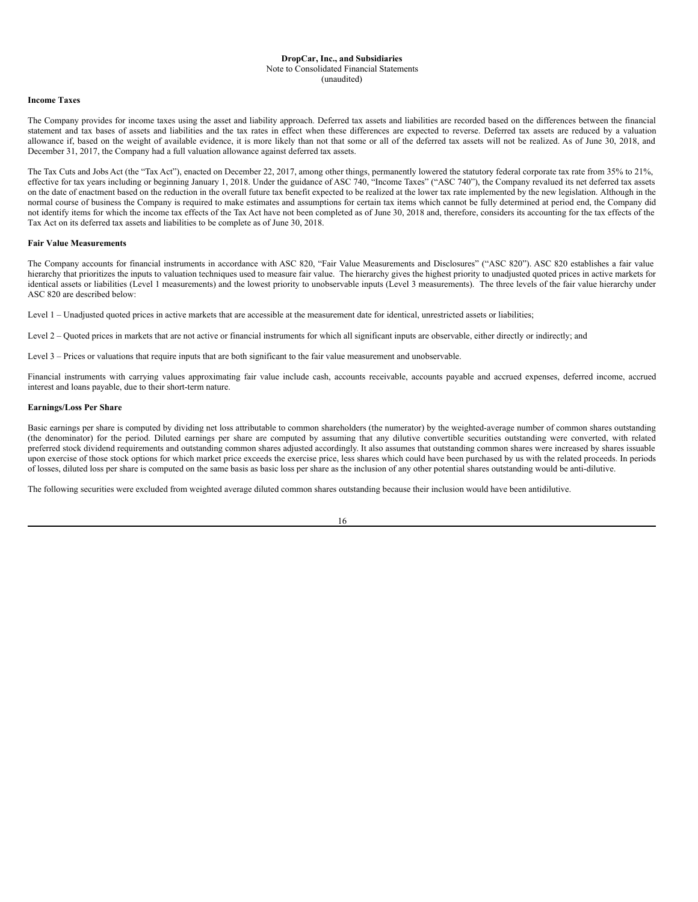#### Note to Consolidated Financial Statements

(unaudited)

# **Income Taxes**

The Company provides for income taxes using the asset and liability approach. Deferred tax assets and liabilities are recorded based on the differences between the financial statement and tax bases of assets and liabilities and the tax rates in effect when these differences are expected to reverse. Deferred tax assets are reduced by a valuation allowance if, based on the weight of available evidence, it is more likely than not that some or all of the deferred tax assets will not be realized. As of June 30, 2018, and December 31, 2017, the Company had a full valuation allowance against deferred tax assets.

The Tax Cuts and Jobs Act (the "Tax Act"), enacted on December 22, 2017, among other things, permanently lowered the statutory federal corporate tax rate from 35% to 21%, effective for tax years including or beginning January 1, 2018. Under the guidance of ASC 740, "Income Taxes" ("ASC 740"), the Company revalued its net deferred tax assets on the date of enactment based on the reduction in the overall future tax benefit expected to be realized at the lower tax rate implemented by the new legislation. Although in the normal course of business the Company is required to make estimates and assumptions for certain tax items which cannot be fully determined at period end, the Company did not identify items for which the income tax effects of the Tax Act have not been completed as of June 30, 2018 and, therefore, considers its accounting for the tax effects of the Tax Act on its deferred tax assets and liabilities to be complete as of June 30, 2018.

# **Fair Value Measurements**

The Company accounts for financial instruments in accordance with ASC 820, "Fair Value Measurements and Disclosures" ("ASC 820"). ASC 820 establishes a fair value hierarchy that prioritizes the inputs to valuation techniques used to measure fair value. The hierarchy gives the highest priority to unadjusted quoted prices in active markets for identical assets or liabilities (Level 1 measurements) and the lowest priority to unobservable inputs (Level 3 measurements). The three levels of the fair value hierarchy under ASC 820 are described below:

Level 1 – Unadjusted quoted prices in active markets that are accessible at the measurement date for identical, unrestricted assets or liabilities;

Level 2 – Quoted prices in markets that are not active or financial instruments for which all significant inputs are observable, either directly or indirectly; and

Level 3 – Prices or valuations that require inputs that are both significant to the fair value measurement and unobservable.

Financial instruments with carrying values approximating fair value include cash, accounts receivable, accounts payable and accrued expenses, deferred income, accrued interest and loans payable, due to their short-term nature.

# **Earnings/Loss Per Share**

Basic earnings per share is computed by dividing net loss attributable to common shareholders (the numerator) by the weighted-average number of common shares outstanding (the denominator) for the period. Diluted earnings per share are computed by assuming that any dilutive convertible securities outstanding were converted, with related preferred stock dividend requirements and outstanding common shares adjusted accordingly. It also assumes that outstanding common shares were increased by shares issuable upon exercise of those stock options for which market price exceeds the exercise price, less shares which could have been purchased by us with the related proceeds. In periods of losses, diluted loss per share is computed on the same basis as basic loss per share as the inclusion of any other potential shares outstanding would be anti-dilutive.

The following securities were excluded from weighted average diluted common shares outstanding because their inclusion would have been antidilutive.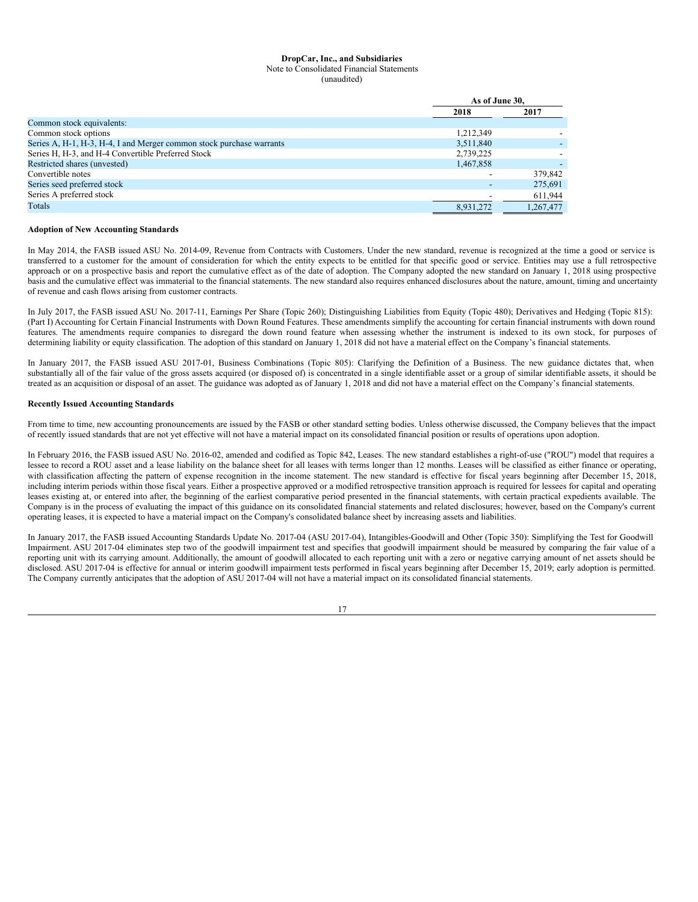Note to Consolidated Financial Statements

(unaudited)

|                                                                      | As of June 30, |           |  |
|----------------------------------------------------------------------|----------------|-----------|--|
|                                                                      | 2018           | 2017      |  |
| Common stock equivalents:                                            |                |           |  |
| Common stock options                                                 | 1,212,349      |           |  |
| Series A, H-1, H-3, H-4, I and Merger common stock purchase warrants | 3,511,840      |           |  |
| Series H, H-3, and H-4 Convertible Preferred Stock                   | 2,739,225      |           |  |
| Restricted shares (unvested)                                         | 1,467,858      |           |  |
| Convertible notes                                                    |                | 379,842   |  |
| Series seed preferred stock                                          |                | 275,691   |  |
| Series A preferred stock                                             |                | 611,944   |  |
| Totals                                                               | 8,931,272      | 1,267,477 |  |

## **Adoption of New Accounting Standards**

In May 2014, the FASB issued ASU No. 2014-09, Revenue from Contracts with Customers. Under the new standard, revenue is recognized at the time a good or service is transferred to a customer for the amount of consideration for which the entity expects to be entitled for that specific good or service. Entities may use a full retrospective approach or on a prospective basis and report the cumulative effect as of the date of adoption. The Company adopted the new standard on January 1, 2018 using prospective basis and the cumulative effect was immaterial to the financial statements. The new standard also requires enhanced disclosures about the nature, amount, timing and uncertainty of revenue and cash flows arising from customer contracts.

In July 2017, the FASB issued ASU No. 2017-11, Earnings Per Share (Topic 260); Distinguishing Liabilities from Equity (Topic 480); Derivatives and Hedging (Topic 815): (Part I) Accounting for Certain Financial Instruments with Down Round Features. These amendments simplify the accounting for certain financial instruments with down round features. The amendments require companies to disregard the down round feature when assessing whether the instrument is indexed to its own stock, for purposes of determining liability or equity classification. The adoption of this standard on January 1, 2018 did not have a material effect on the Company's financial statements.

In January 2017, the FASB issued ASU 2017-01, Business Combinations (Topic 805): Clarifying the Definition of a Business. The new guidance dictates that, when substantially all of the fair value of the gross assets acquired (or disposed of) is concentrated in a single identifiable asset or a group of similar identifiable assets, it should be treated as an acquisition or disposal of an asset. The guidance was adopted as of January 1, 2018 and did not have a material effect on the Company's financial statements.

# **Recently Issued Accounting Standards**

From time to time, new accounting pronouncements are issued by the FASB or other standard setting bodies. Unless otherwise discussed, the Company believes that the impact of recently issued standards that are not yet effective will not have a material impact on its consolidated financial position or results of operations upon adoption.

In February 2016, the FASB issued ASU No. 2016-02, amended and codified as Topic 842, Leases. The new standard establishes a right-of-use ("ROU") model that requires a lessee to record a ROU asset and a lease liability on the balance sheet for all leases with terms longer than 12 months. Leases will be classified as either finance or operating, with classification affecting the pattern of expense recognition in the income statement. The new standard is effective for fiscal years beginning after December 15, 2018, including interim periods within those fiscal years. Either a prospective approved or a modified retrospective transition approach is required for lessees for capital and operating leases existing at, or entered into after, the beginning of the earliest comparative period presented in the financial statements, with certain practical expedients available. The Company is in the process of evaluating the impact of this guidance on its consolidated financial statements and related disclosures; however, based on the Company's current operating leases, it is expected to have a material impact on the Company's consolidated balance sheet by increasing assets and liabilities.

In January 2017, the FASB issued Accounting Standards Update No. 2017-04 (ASU 2017-04), Intangibles-Goodwill and Other (Topic 350): Simplifying the Test for Goodwill Impairment. ASU 2017-04 eliminates step two of the goodwill impairment test and specifies that goodwill impairment should be measured by comparing the fair value of a reporting unit with its carrying amount. Additionally, the amount of goodwill allocated to each reporting unit with a zero or negative carrying amount of net assets should be disclosed. ASU 2017-04 is effective for annual or interim goodwill impairment tests performed in fiscal years beginning after December 15, 2019; early adoption is permitted. The Company currently anticipates that the adoption of ASU 2017-04 will not have a material impact on its consolidated financial statements.

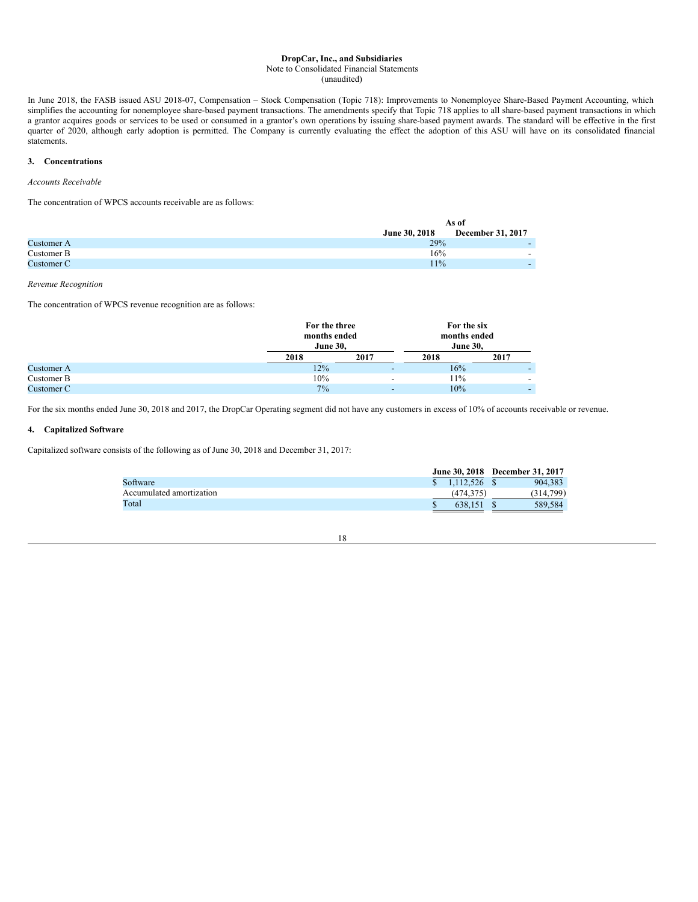# Note to Consolidated Financial Statements

(unaudited)

In June 2018, the FASB issued ASU 2018-07, Compensation – Stock Compensation (Topic 718): Improvements to Nonemployee Share-Based Payment Accounting, which simplifies the accounting for nonemployee share-based payment transactions. The amendments specify that Topic 718 applies to all share-based payment transactions in which simplifies the accounting for nonemployee share-bas a grantor acquires goods or services to be used or consumed in a grantor's own operations by issuing share-based payment awards. The standard will be effective in the first quarter of 2020, although early adoption is permitted. The Company is currently evaluating the effect the adoption of this ASU will have on its consolidated financial statements.

# **3. Concentrations**

# *Accounts Receivable*

The concentration of WPCS accounts receivable are as follows:

|            | As of         |                          |  |  |
|------------|---------------|--------------------------|--|--|
|            | June 30, 2018 | December 31, 2017        |  |  |
| Customer A | 29%           | $\overline{\phantom{0}}$ |  |  |
| Customer B | 16%           | $\overline{\phantom{0}}$ |  |  |
| Customer C | 11%           | $\overline{\phantom{0}}$ |  |  |

*Revenue Recognition*

The concentration of WPCS revenue recognition are as follows:

|            |      | For the three<br>months ended<br><b>June 30,</b> |      | For the six<br>months ended<br><b>June 30,</b> |  |  |
|------------|------|--------------------------------------------------|------|------------------------------------------------|--|--|
|            | 2018 | 2017                                             | 2018 | 2017                                           |  |  |
| Customer A | 12%  |                                                  | 16%  |                                                |  |  |
| Customer B | 10%  |                                                  | 11%  |                                                |  |  |
| Customer C | 7%   |                                                  | 10%  |                                                |  |  |

For the six months ended June 30, 2018 and 2017, the DropCar Operating segment did not have any customers in excess of 10% of accounts receivable or revenue.

# **4. Capitalized Software**

Capitalized software consists of the following as of June 30, 2018 and December 31, 2017:

|                          |           | June 30, 2018 December 31, 2017 |
|--------------------------|-----------|---------------------------------|
| Software                 | 1.112.526 | 904.383                         |
| Accumulated amortization | (474,375  | (314,799)                       |
| Total                    | 638.151   | 589.584                         |

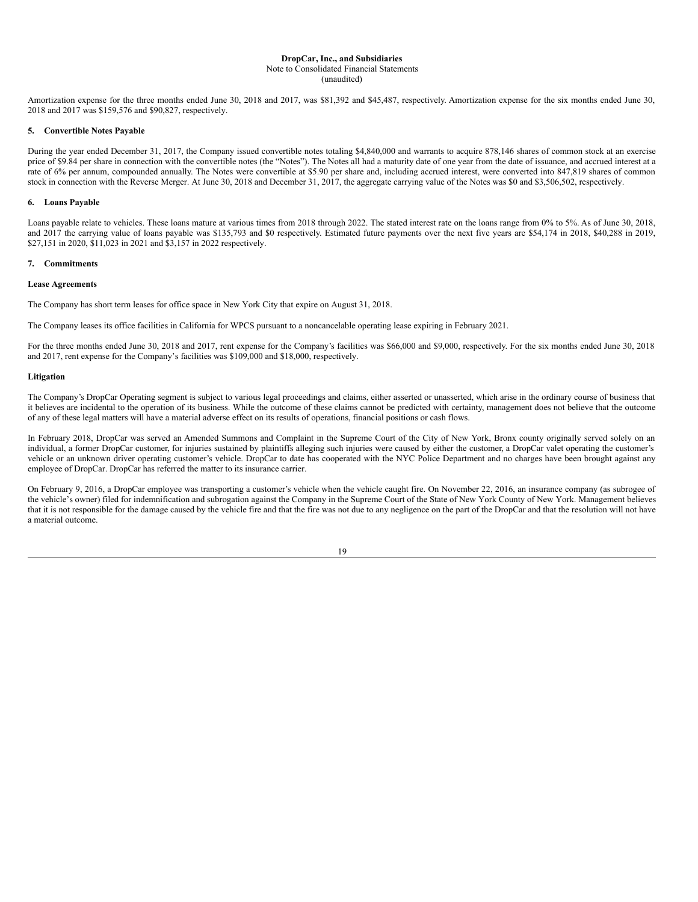# **DropCar, Inc., and Subsidiaries** Note to Consolidated Financial Statements

(unaudited)

Amortization expense for the three months ended June 30, 2018 and 2017, was \$81,392 and \$45,487, respectively. Amortization expense for the six months ended June 30, 2018 and 2017 was \$159,576 and \$90,827, respectively.

# **5. Convertible Notes Payable**

During the year ended December 31, 2017, the Company issued convertible notes totaling \$4,840,000 and warrants to acquire 878,146 shares of common stock at an exercise price of \$9.84 per share in connection with the convertible notes (the "Notes"). The Notes all had a maturity date of one year from the date of issuance, and accrued interest at a rate of 6% per annum, compounded annually. The Notes were convertible at \$5.90 per share and, including accrued interest, were converted into 847,819 shares of common stock in connection with the Reverse Merger. At June 30, 2018 and December 31, 2017, the aggregate carrying value of the Notes was \$0 and \$3,506,502, respectively.

# **6. Loans Payable**

Loans payable relate to vehicles. These loans mature at various times from 2018 through 2022. The stated interest rate on the loans range from 0% to 5%. As of June 30, 2018, and 2017 the carrying value of loans payable was \$135,793 and \$0 respectively. Estimated future payments over the next five years are \$54,174 in 2018, \$40,288 in 2019, \$27,151 in 2020, \$11,023 in 2021 and \$3,157 in 2022 respectively.

#### **7. Commitments**

## **Lease Agreements**

The Company has short term leases for office space in New York City that expire on August 31, 2018.

The Company leases its office facilities in California for WPCS pursuant to a noncancelable operating lease expiring in February 2021.

For the three months ended June 30, 2018 and 2017, rent expense for the Company's facilities was \$66,000 and \$9,000, respectively. For the six months ended June 30, 2018 and 2017, rent expense for the Company's facilities was \$109,000 and \$18,000, respectively.

# **Litigation**

The Company's DropCar Operating segment is subject to various legal proceedings and claims, either asserted or unasserted, which arise in the ordinary course of business that it believes are incidental to the operation of its business. While the outcome of these claims cannot be predicted with certainty, management does not believe that the outcome of any of these legal matters will have a material adverse effect on its results of operations, financial positions or cash flows.

In February 2018, DropCar was served an Amended Summons and Complaint in the Supreme Court of the City of New York, Bronx county originally served solely on an individual, a former DropCar customer, for injuries sustained by plaintiffs alleging such injuries were caused by either the customer, a DropCar valet operating the customer's vehicle or an unknown driver operating customer's vehicle. DropCar to date has cooperated with the NYC Police Department and no charges have been brought against any employee of DropCar. DropCar has referred the matter to its insurance carrier.

On February 9, 2016, a DropCar employee was transporting a customer's vehicle when the vehicle caught fire. On November 22, 2016, an insurance company (as subrogee of the vehicle's owner) filed for indemnification and subrogation against the Company in the Supreme Court of the State of New York County of New York. Management believes that it is not responsible for the damage caused by the vehicle fire and that the fire was not due to any negligence on the part of the DropCar and that the resolution will not have a material outcome.

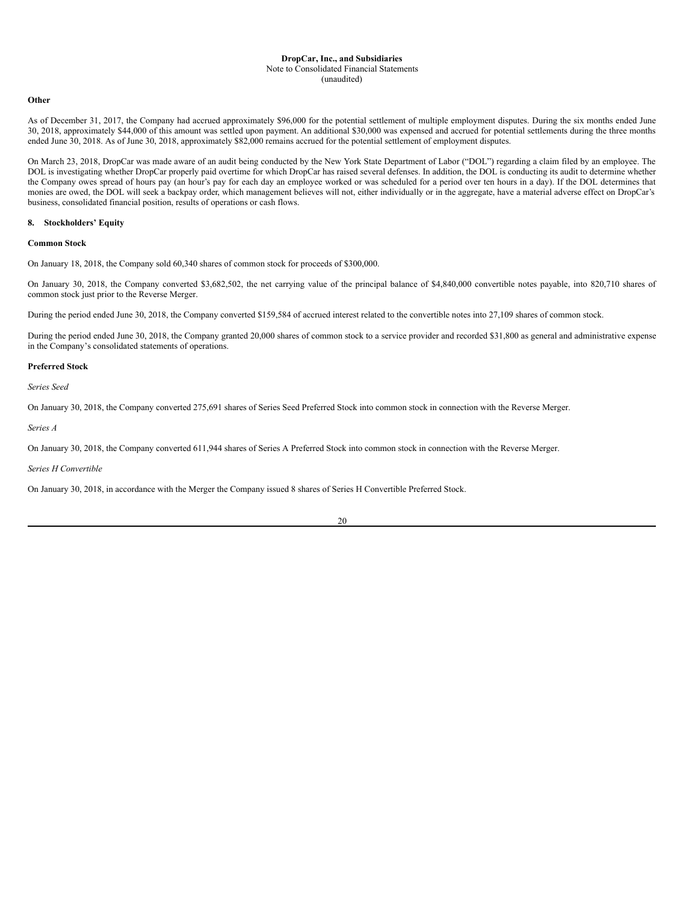# Note to Consolidated Financial Statements

#### (unaudited)

# **Other**

As of December 31, 2017, the Company had accrued approximately \$96,000 for the potential settlement of multiple employment disputes. During the six months ended June 30, 2018, approximately \$44,000 of this amount was settled upon payment. An additional \$30,000 was expensed and accrued for potential settlements during the three months ended June 30, 2018. As of June 30, 2018, approximately \$82,000 remains accrued for the potential settlement of employment disputes.

On March 23, 2018, DropCar was made aware of an audit being conducted by the New York State Department of Labor ("DOL") regarding a claim filed by an employee. The DOL is investigating whether DropCar properly paid overtime for which DropCar has raised several defenses. In addition, the DOL is conducting its audit to determine whether the Company owes spread of hours pay (an hour's pay for each day an employee worked or was scheduled for a period over ten hours in a day). If the DOL determines that monies are owed, the DOL will seek a backpay order, which management believes will not, either individually or in the aggregate, have a material adverse effect on DropCar's business, consolidated financial position, results of operations or cash flows.

# **8. Stockholders' Equity**

# **Common Stock**

On January 18, 2018, the Company sold 60,340 shares of common stock for proceeds of \$300,000.

On January 30, 2018, the Company converted \$3,682,502, the net carrying value of the principal balance of \$4,840,000 convertible notes payable, into 820,710 shares of common stock just prior to the Reverse Merger.

During the period ended June 30, 2018, the Company converted \$159,584 of accrued interest related to the convertible notes into 27,109 shares of common stock.

During the period ended June 30, 2018, the Company granted 20,000 shares of common stock to a service provider and recorded \$31,800 as general and administrative expense in the Company's consolidated statements of operations.

## **Preferred Stock**

*Series Seed*

On January 30, 2018, the Company converted 275,691 shares of Series Seed Preferred Stock into common stock in connection with the Reverse Merger.

*Series A*

On January 30, 2018, the Company converted 611,944 shares of Series A Preferred Stock into common stock in connection with the Reverse Merger.

*Series H Convertible*

On January 30, 2018, in accordance with the Merger the Company issued 8 shares of Series H Convertible Preferred Stock.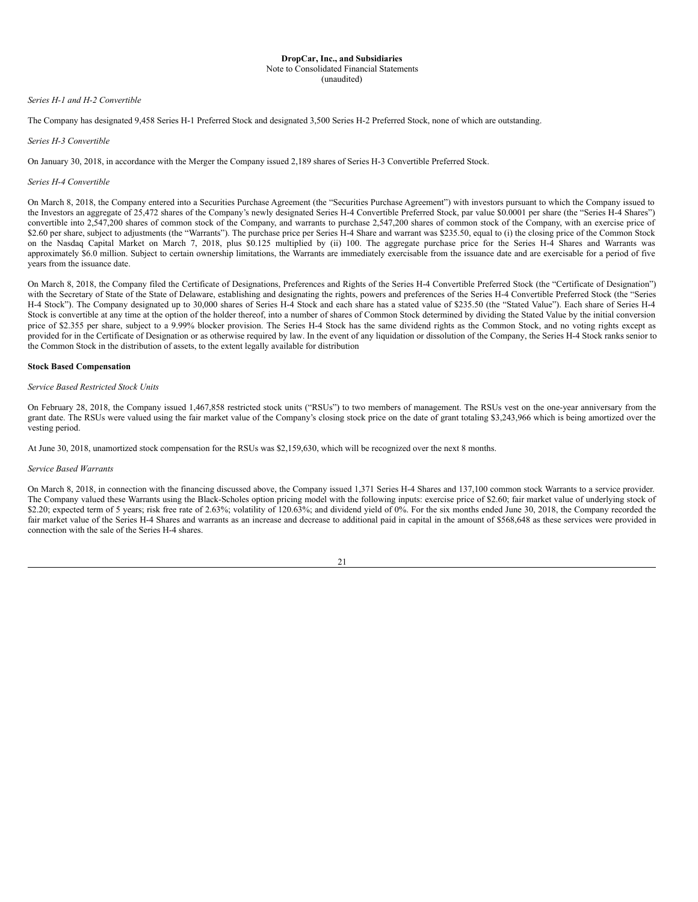#### **DropCar, Inc., and Subsidiaries** Note to Consolidated Financial Statements

(unaudited)

# *Series H-1 and H-2 Convertible*

The Company has designated 9,458 Series H-1 Preferred Stock and designated 3,500 Series H-2 Preferred Stock, none of which are outstanding.

# *Series H-3 Convertible*

On January 30, 2018, in accordance with the Merger the Company issued 2,189 shares of Series H-3 Convertible Preferred Stock.

# *Series H-4 Convertible*

On March 8, 2018, the Company entered into a Securities Purchase Agreement (the "Securities Purchase Agreement") with investors pursuant to which the Company issued to the Investors an aggregate of 25,472 shares of the Company's newly designated Series H-4 Convertible Preferred Stock, par value \$0.0001 per share (the "Series H-4 Shares") convertible into 2,547,200 shares of common stock of the Company, and warrants to purchase 2,547,200 shares of common stock of the Company, with an exercise price of \$2.60 per share, subject to adjustments (the "Warrants"). The purchase price per Series H-4 Share and warrant was \$235.50, equal to (i) the closing price of the Common Stock on the Nasdaq Capital Market on March 7, 2018, plus \$0.125 multiplied by (ii) 100. The aggregate purchase price for the Series H-4 Shares and Warrants was approximately \$6.0 million. Subject to certain ownership limitations, the Warrants are immediately exercisable from the issuance date and are exercisable for a period of five years from the issuance date.

On March 8, 2018, the Company filed the Certificate of Designations, Preferences and Rights of the Series H-4 Convertible Preferred Stock (the "Certificate of Designation") with the Secretary of State of the State of Delaware, establishing and designating the rights, powers and preferences of the Series H-4 Convertible Preferred Stock (the "Series H-4 Stock"). The Company designated up to 30,000 shares of Series H-4 Stock and each share has a stated value of \$235.50 (the "Stated Value"). Each share of Series H-4 Stock is convertible at any time at the option of the holder thereof, into a number of shares of Common Stock determined by dividing the Stated Value by the initial conversion price of \$2.355 per share, subject to a 9.99% blocker provision. The Series H-4 Stock has the same dividend rights as the Common Stock, and no voting rights except as provided for in the Certificate of Designation or as otherwise required by law. In the event of any liquidation or dissolution of the Company, the Series H-4 Stock ranks senior to the Common Stock in the distribution of assets, to the extent legally available for distribution

# **Stock Based Compensation**

# *Service Based Restricted Stock Units*

On February 28, 2018, the Company issued 1,467,858 restricted stock units ("RSUs") to two members of management. The RSUs vest on the one-year anniversary from the grant date. The RSUs were valued using the fair market value of the Company's closing stock price on the date of grant totaling \$3,243,966 which is being amortized over the vesting period.

At June 30, 2018, unamortized stock compensation for the RSUs was \$2,159,630, which will be recognized over the next 8 months.

# *Service Based Warrants*

On March 8, 2018, in connection with the financing discussed above, the Company issued 1,371 Series H-4 Shares and 137,100 common stock Warrants to a service provider. The Company valued these Warrants using the Black-Scholes option pricing model with the following inputs: exercise price of \$2.60; fair market value of underlying stock of \$2.20; expected term of 5 years; risk free rate of 2.63%; volatility of 120.63%; and dividend yield of 0%. For the six months ended June 30, 2018, the Company recorded the fair market value of the Series H-4 Shares and warrants as an increase and decrease to additional paid in capital in the amount of \$568,648 as these services were provided in connection with the sale of the Series H-4 shares.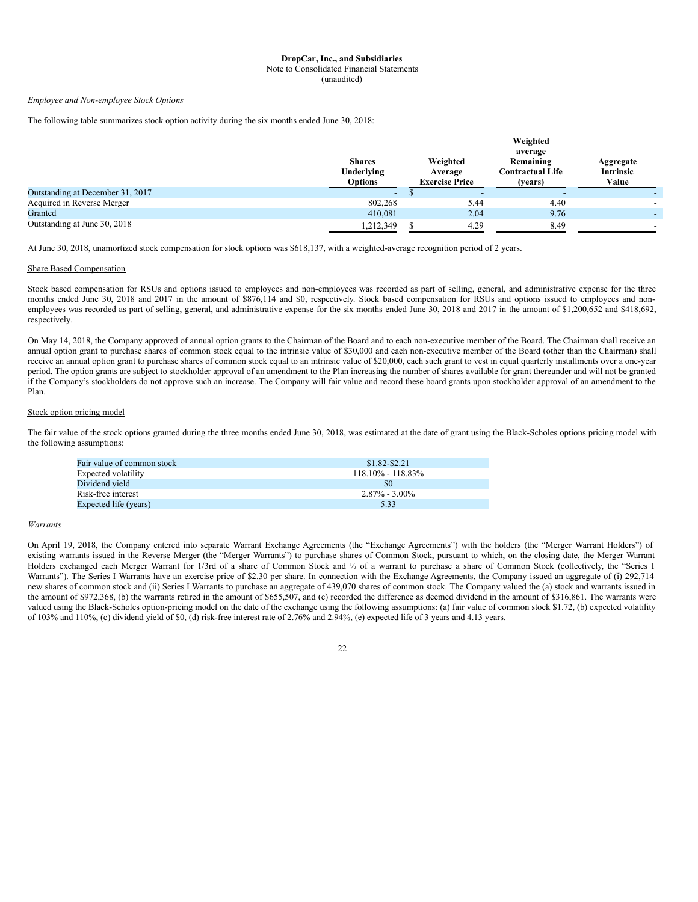#### Note to Consolidated Financial Statements

(unaudited)

*Employee and Non-employee Stock Options*

The following table summarizes stock option activity during the six months ended June 30, 2018:

|                                  | <b>Shares</b><br>Underlying<br><b>Options</b> | Weighted<br>Average<br><b>Exercise Price</b> |      | Weighted<br>average<br>Remaining<br><b>Contractual Life</b><br>(vears) | Aggregate<br>Intrinsic<br>Value |
|----------------------------------|-----------------------------------------------|----------------------------------------------|------|------------------------------------------------------------------------|---------------------------------|
| Outstanding at December 31, 2017 | $\overline{\phantom{0}}$                      |                                              |      |                                                                        |                                 |
| Acquired in Reverse Merger       | 802,268                                       |                                              | 5.44 | 4.40                                                                   |                                 |
| Granted                          | 410,081                                       |                                              | 2.04 | 9.76                                                                   |                                 |
| Outstanding at June 30, 2018     | 1,212,349                                     |                                              | 4.29 | 8.49                                                                   |                                 |

At June 30, 2018, unamortized stock compensation for stock options was \$618,137, with a weighted-average recognition period of 2 years.

# Share Based Compensation

Stock based compensation for RSUs and options issued to employees and non-employees was recorded as part of selling, general, and administrative expense for the three months ended June 30, 2018 and 2017 in the amount of \$876,114 and \$0, respectively. Stock based compensation for RSUs and options issued to employees and nonemployees was recorded as part of selling, general, and administrative expense for the six months ended June 30, 2018 and 2017 in the amount of \$1,200,652 and \$418,692, respectively.

On May 14, 2018, the Company approved of annual option grants to the Chairman of the Board and to each non-executive member of the Board. The Chairman shall receive an annual option grant to purchase shares of common stock equal to the intrinsic value of \$30,000 and each non-executive member of the Board (other than the Chairman) shall receive an annual option grant to purchase shares of common stock equal to an intrinsic value of \$20,000, each such grant to vest in equal quarterly installments over a one-year period. The option grants are subject to stockholder approval of an amendment to the Plan increasing the number of shares available for grant thereunder and will not be granted if the Company's stockholders do not approve such an increase. The Company will fair value and record these board grants upon stockholder approval of an amendment to the Plan.

# Stock option pricing model

The fair value of the stock options granted during the three months ended June 30, 2018, was estimated at the date of grant using the Black-Scholes options pricing model with the following assumptions:

| Fair value of common stock | $$1.82 - $2.21$       |
|----------------------------|-----------------------|
| Expected volatility        | $118.10\% - 118.83\%$ |
| Dividend yield             | SO.                   |
| Risk-free interest         | $2.87\% - 3.00\%$     |
| Expected life (years)      | 5.33                  |

#### *Warrants*

On April 19, 2018, the Company entered into separate Warrant Exchange Agreements (the "Exchange Agreements") with the holders (the "Merger Warrant Holders") of existing warrants issued in the Reverse Merger (the "Merger Warrants") to purchase shares of Common Stock, pursuant to which, on the closing date, the Merger Warrant Holders exchanged each Merger Warrant for 1/3rd of a share of Common Stock and ½ of a warrant to purchase a share of Common Stock (collectively, the "Series I Warrants"). The Series I Warrants have an exercise price of \$2.30 per share. In connection with the Exchange Agreements, the Company issued an aggregate of (i) 292,714 new shares of common stock and (ii) Series I Warrants to purchase an aggregate of 439,070 shares of common stock. The Company valued the (a) stock and warrants issued in the amount of \$972,368, (b) the warrants retired in the amount of \$655,507, and (c) recorded the difference as deemed dividend in the amount of \$316,861. The warrants were valued using the Black-Scholes option-pricing model on the date of the exchange using the following assumptions: (a) fair value of common stock \$1.72, (b) expected volatility of 103% and 110%, (c) dividend yield of \$0, (d) risk-free interest rate of 2.76% and 2.94%, (e) expected life of 3 years and 4.13 years.

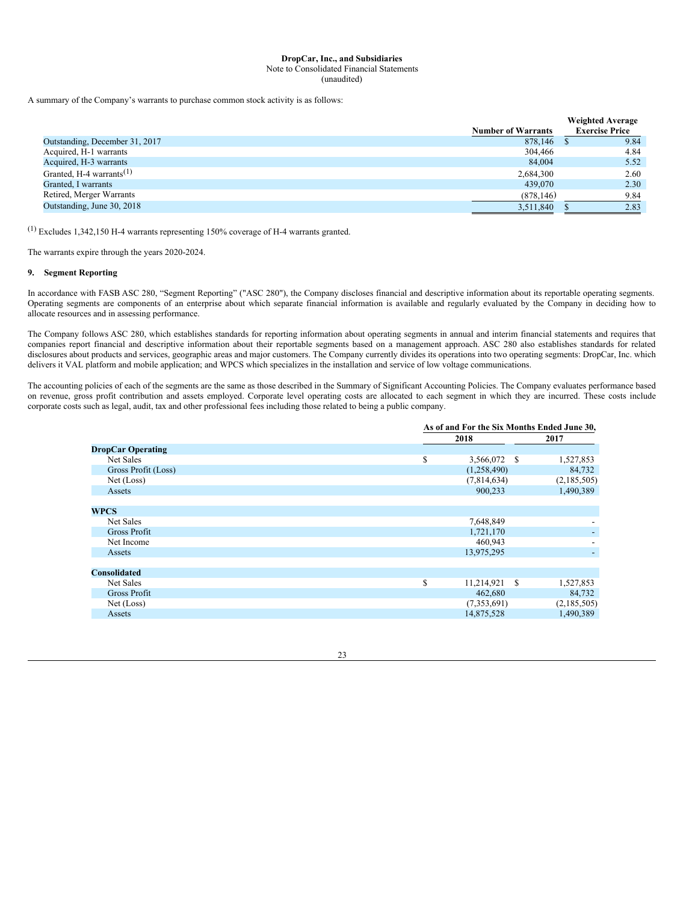Note to Consolidated Financial Statements

(unaudited)

A summary of the Company's warrants to purchase common stock activity is as follows:

|                                      |                           | <b>Weighted Average</b> |
|--------------------------------------|---------------------------|-------------------------|
|                                      | <b>Number of Warrants</b> | <b>Exercise Price</b>   |
| Outstanding, December 31, 2017       | 878,146                   | 9.84                    |
| Acquired, H-1 warrants               | 304,466                   | 4.84                    |
| Acquired, H-3 warrants               | 84,004                    | 5.52                    |
| Granted, H-4 warrants <sup>(1)</sup> | 2.684.300                 | 2.60                    |
| Granted, I warrants                  | 439,070                   | 2.30                    |
| Retired, Merger Warrants             | (878, 146)                | 9.84                    |
| Outstanding, June 30, 2018           | 3,511,840                 | 2.83                    |

(1) Excludes 1,342,150 H-4 warrants representing 150% coverage of H-4 warrants granted.

The warrants expire through the years 2020-2024.

# **9. Segment Reporting**

In accordance with FASB ASC 280, "Segment Reporting" ("ASC 280"), the Company discloses financial and descriptive information about its reportable operating segments. Operating segments are components of an enterprise about which separate financial information is available and regularly evaluated by the Company in deciding how to allocate resources and in assessing performance.

The Company follows ASC 280, which establishes standards for reporting information about operating segments in annual and interim financial statements and requires that companies report financial and descriptive information about their reportable segments based on a management approach. ASC 280 also establishes standards for related disclosures about products and services, geographic areas and major customers. The Company currently divides its operations into two operating segments: DropCar, Inc. which delivers it VAL platform and mobile application; and WPCS which specializes in the installation and service of low voltage communications.

The accounting policies of each of the segments are the same as those described in the Summary of Significant Accounting Policies. The Company evaluates performance based on revenue, gross profit contribution and assets employed. Corporate level operating costs are allocated to each segment in which they are incurred. These costs include corporate costs such as legal, audit, tax and other professional fees including those related to being a public company.

|                          |    | As of and For the Six Months Ended June 30, |             |  |  |  |
|--------------------------|----|---------------------------------------------|-------------|--|--|--|
|                          |    | 2018                                        | 2017        |  |  |  |
| <b>DropCar Operating</b> |    |                                             |             |  |  |  |
| Net Sales                | \$ | 3,566,072<br><b>S</b>                       | 1,527,853   |  |  |  |
| Gross Profit (Loss)      |    | (1,258,490)                                 | 84,732      |  |  |  |
| Net (Loss)               |    | (7,814,634)                                 | (2,185,505) |  |  |  |
| Assets                   |    | 900,233                                     | 1,490,389   |  |  |  |
|                          |    |                                             |             |  |  |  |
| <b>WPCS</b>              |    |                                             |             |  |  |  |
| Net Sales                |    | 7,648,849                                   |             |  |  |  |
| <b>Gross Profit</b>      |    | 1,721,170                                   |             |  |  |  |
| Net Income               |    | 460,943                                     |             |  |  |  |
| Assets                   |    | 13,975,295                                  |             |  |  |  |
|                          |    |                                             |             |  |  |  |
| <b>Consolidated</b>      |    |                                             |             |  |  |  |
| Net Sales                | \$ | 11,214,921<br>- S                           | 1,527,853   |  |  |  |
| Gross Profit             |    | 462,680                                     | 84,732      |  |  |  |
| Net (Loss)               |    | (7,353,691)                                 | (2,185,505) |  |  |  |
| Assets                   |    | 14,875,528                                  | 1,490,389   |  |  |  |

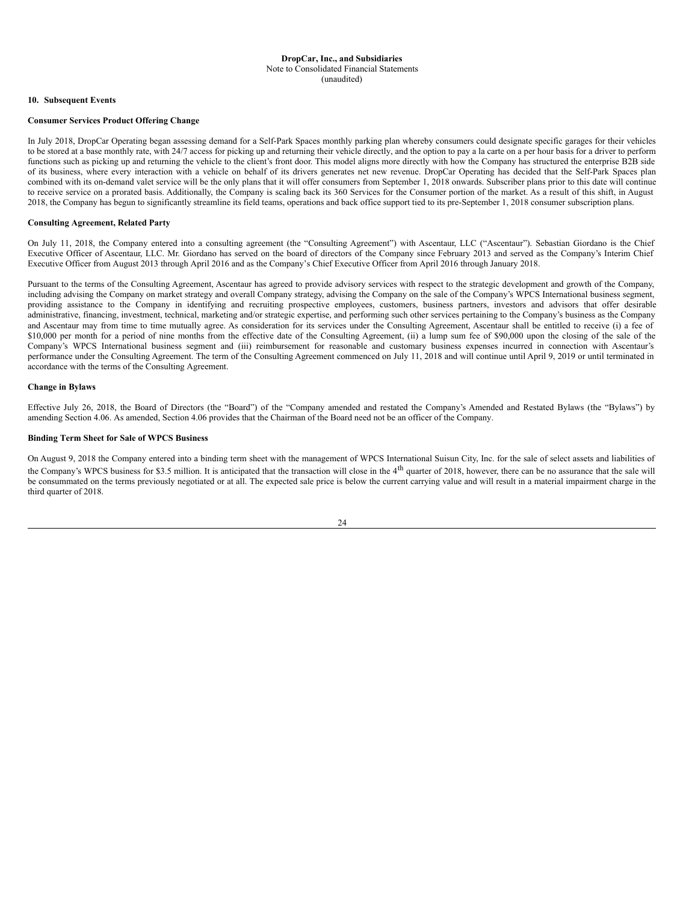#### **DropCar, Inc., and Subsidiaries** Note to Consolidated Financial Statements (unaudited)

## **10. Subsequent Events**

# **Consumer Services Product Offering Change**

In July 2018, DropCar Operating began assessing demand for a Self-Park Spaces monthly parking plan whereby consumers could designate specific garages for their vehicles to be stored at a base monthly rate, with 24/7 access for picking up and returning their vehicle directly, and the option to pay a la carte on a per hour basis for a driver to perform functions such as picking up and returning the vehicle to the client's front door. This model aligns more directly with how the Company has structured the enterprise B2B side of its business, where every interaction with a vehicle on behalf of its drivers generates net new revenue. DropCar Operating has decided that the Self-Park Spaces plan combined with its on-demand valet service will be the only plans that it will offer consumers from September 1, 2018 onwards. Subscriber plans prior to this date will continue to receive service on a prorated basis. Additionally, the Company is scaling back its 360 Services for the Consumer portion of the market. As a result of this shift, in August 2018, the Company has begun to significantly streamline its field teams, operations and back office support tied to its pre-September 1, 2018 consumer subscription plans.

# **Consulting Agreement, Related Party**

On July 11, 2018, the Company entered into a consulting agreement (the "Consulting Agreement") with Ascentaur, LLC ("Ascentaur"). Sebastian Giordano is the Chief Executive Officer of Ascentaur, LLC. Mr. Giordano has served on the board of directors of the Company since February 2013 and served as the Company's Interim Chief Executive Officer from August 2013 through April 2016 and as the Company's Chief Executive Officer from April 2016 through January 2018.

Pursuant to the terms of the Consulting Agreement, Ascentaur has agreed to provide advisory services with respect to the strategic development and growth of the Company, including advising the Company on market strategy and overall Company strategy, advising the Company on the sale of the Company's WPCS International business segment, providing assistance to the Company in identifying and recruiting prospective employees, customers, business partners, investors and advisors that offer desirable administrative, financing, investment, technical, marketing and/or strategic expertise, and performing such other services pertaining to the Company's business as the Company and Ascentaur may from time to time mutually agree. As consideration for its services under the Consulting Agreement, Ascentaur shall be entitled to receive (i) a fee of \$10,000 per month for a period of nine months from the effective date of the Consulting Agreement, (ii) a lump sum fee of \$90,000 upon the closing of the sale of the Company's WPCS International business segment and (iii) reimbursement for reasonable and customary business expenses incurred in connection with Ascentaur's performance under the Consulting Agreement. The term of the Consulting Agreement commenced on July 11, 2018 and will continue until April 9, 2019 or until terminated in accordance with the terms of the Consulting Agreement.

# **Change in Bylaws**

Effective July 26, 2018, the Board of Directors (the "Board") of the "Company amended and restated the Company's Amended and Restated Bylaws (the "Bylaws") by amending Section 4.06. As amended, Section 4.06 provides that the Chairman of the Board need not be an officer of the Company.

# **Binding Term Sheet for Sale of WPCS Business**

On August 9, 2018 the Company entered into a binding term sheet with the management of WPCS International Suisun City, Inc. for the sale of select assets and liabilities of the Company's WPCS business for \$3.5 million. It is anticipated that the transaction will close in the 4<sup>th</sup> quarter of 2018, however, there can be no assurance that the sale will be consummated on the terms previously negotiated or at all. The expected sale price is below the current carrying value and will result in a material impairment charge in the third quarter of 2018.

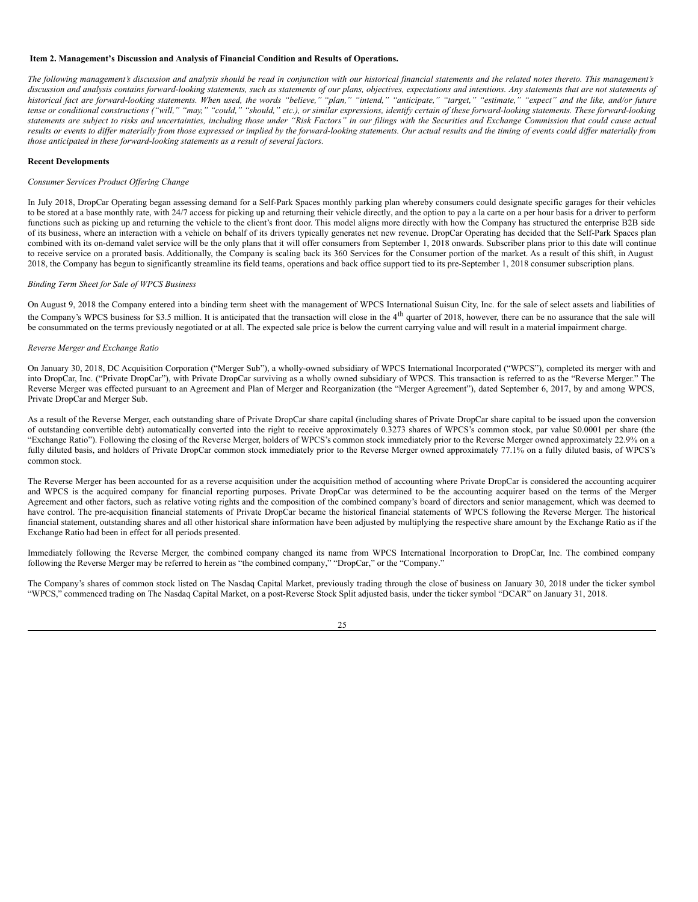# <span id="page-24-0"></span>**Item 2. Management's Discussion and Analysis of Financial Condition and Results of Operations.**

The following management's discussion and analysis should be read in conjunction with our historical financial statements and the related notes thereto. This management's discussion and analysis contains forward-looking statements, such as statements of our plans, objectives, expectations and intentions. Any statements that are not statements of historical fact are forward-looking statements. When used, the words "believe," "plan," "intend," "anticipate," "target," "estimate," "expect" and the like, and/or future tense or conditional constructions ("will," "may," "could," "should," etc.), or similar expressions, identify certain of these forward-looking statements. These forward-looking statements are subject to risks and uncertainties, including those under "Risk Factors" in our filings with the Securities and Exchange Commission that could cause actual results or events to differ materially from those expressed or implied by the forward-looking statements. Our actual results and the timing of events could differ materially from *those anticipated in these forward-looking statements as a result of several factors.*

# **Recent Developments**

# *Consumer Services Product Of ering Change*

In July 2018, DropCar Operating began assessing demand for a Self-Park Spaces monthly parking plan whereby consumers could designate specific garages for their vehicles to be stored at a base monthly rate, with 24/7 access for picking up and returning their vehicle directly, and the option to pay a la carte on a per hour basis for a driver to perform functions such as picking up and returning the vehicle to the client's front door. This model aligns more directly with how the Company has structured the enterprise B2B side of its business, where an interaction with a vehicle on behalf of its drivers typically generates net new revenue. DropCar Operating has decided that the Self-Park Spaces plan combined with its on-demand valet service will be the only plans that it will offer consumers from September 1, 2018 onwards. Subscriber plans prior to this date will continue to receive service on a prorated basis. Additionally, the Company is scaling back its 360 Services for the Consumer portion of the market. As a result of this shift, in August 2018, the Company has begun to significantly streamline its field teams, operations and back office support tied to its pre-September 1, 2018 consumer subscription plans.

# *Binding Term Sheet for Sale of WPCS Business*

On August 9, 2018 the Company entered into a binding term sheet with the management of WPCS International Suisun City, Inc. for the sale of select assets and liabilities of the Company's WPCS business for \$3.5 million. It is anticipated that the transaction will close in the 4<sup>th</sup> quarter of 2018, however, there can be no assurance that the sale will be consummated on the terms previously negotiated or at all. The expected sale price is below the current carrying value and will result in a material impairment charge.

## *Reverse Merger and Exchange Ratio*

On January 30, 2018, DC Acquisition Corporation ("Merger Sub"), a wholly-owned subsidiary of WPCS International Incorporated ("WPCS"), completed its merger with and into DropCar, Inc. ("Private DropCar"), with Private DropCar surviving as a wholly owned subsidiary of WPCS. This transaction is referred to as the "Reverse Merger." The Reverse Merger was effected pursuant to an Agreement and Plan of Merger and Reorganization (the "Merger Agreement"), dated September 6, 2017, by and among WPCS, Private DropCar and Merger Sub.

As a result of the Reverse Merger, each outstanding share of Private DropCar share capital (including shares of Private DropCar share capital to be issued upon the conversion of outstanding convertible debt) automatically converted into the right to receive approximately 0.3273 shares of WPCS's common stock, par value \$0.0001 per share (the "Exchange Ratio"). Following the closing of the Reverse Merger, holders of WPCS's common stock immediately prior to the Reverse Merger owned approximately 22.9% on a fully diluted basis, and holders of Private DropCar common stock immediately prior to the Reverse Merger owned approximately 77.1% on a fully diluted basis, of WPCS's common stock.

The Reverse Merger has been accounted for as a reverse acquisition under the acquisition method of accounting where Private DropCar is considered the accounting acquirer and WPCS is the acquired company for financial reporting purposes. Private DropCar was determined to be the accounting acquirer based on the terms of the Merger Agreement and other factors, such as relative voting rights and the composition of the combined company's board of directors and senior management, which was deemed to have control. The pre-acquisition financial statements of Private DropCar became the historical financial statements of WPCS following the Reverse Merger. The historical financial statement, outstanding shares and all other historical share information have been adjusted by multiplying the respective share amount by the Exchange Ratio as if the Exchange Ratio had been in effect for all periods presented.

Immediately following the Reverse Merger, the combined company changed its name from WPCS International Incorporation to DropCar, Inc. The combined company following the Reverse Merger may be referred to herein as "the combined company," "DropCar," or the "Company."

The Company's shares of common stock listed on The Nasdaq Capital Market, previously trading through the close of business on January 30, 2018 under the ticker symbol "WPCS," commenced trading on The Nasdaq Capital Market, on a post-Reverse Stock Split adjusted basis, under the ticker symbol "DCAR" on January 31, 2018.

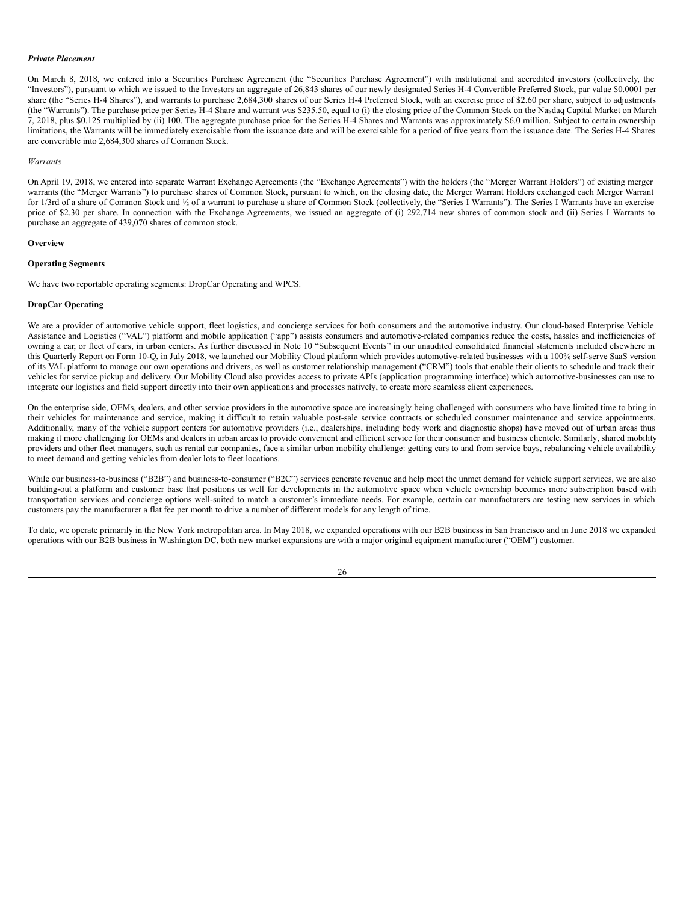#### *Private Placement*

On March 8, 2018, we entered into a Securities Purchase Agreement (the "Securities Purchase Agreement") with institutional and accredited investors (collectively, the "Investors"), pursuant to which we issued to the Investors an aggregate of 26,843 shares of our newly designated Series H-4 Convertible Preferred Stock, par value \$0.0001 per share (the "Series H-4 Shares"), and warrants to purchase 2,684,300 shares of our Series H-4 Preferred Stock, with an exercise price of \$2.60 per share, subject to adjustments (the "Warrants"). The purchase price per Series H-4 Share and warrant was \$235.50, equal to (i) the closing price of the Common Stock on the Nasdaq Capital Market on March 7, 2018, plus \$0.125 multiplied by (ii) 100. The aggregate purchase price for the Series H-4 Shares and Warrants was approximately \$6.0 million. Subject to certain ownership limitations, the Warrants will be immediately exercisable from the issuance date and will be exercisable for a period of five years from the issuance date. The Series H-4 Shares are convertible into 2,684,300 shares of Common Stock.

#### *Warrants*

On April 19, 2018, we entered into separate Warrant Exchange Agreements (the "Exchange Agreements") with the holders (the "Merger Warrant Holders") of existing merger warrants (the "Merger Warrants") to purchase shares of Common Stock, pursuant to which, on the closing date, the Merger Warrant Holders exchanged each Merger Warrant for 1/3rd of a share of Common Stock and ½ of a warrant to purchase a share of Common Stock (collectively, the "Series I Warrants"). The Series I Warrants have an exercise price of \$2.30 per share. In connection with the Exchange Agreements, we issued an aggregate of (i) 292,714 new shares of common stock and (ii) Series I Warrants to purchase an aggregate of 439,070 shares of common stock.

#### **Overview**

# **Operating Segments**

We have two reportable operating segments: DropCar Operating and WPCS.

# **DropCar Operating**

We are a provider of automotive vehicle support, fleet logistics, and concierge services for both consumers and the automotive industry. Our cloud-based Enterprise Vehicle Assistance and Logistics ("VAL") platform and mobile application ("app") assists consumers and automotive-related companies reduce the costs, hassles and inefficiencies of owning a car, or fleet of cars, in urban centers. As further discussed in Note 10 "Subsequent Events" in our unaudited consolidated financial statements included elsewhere in this Quarterly Report on Form 10-Q, in July 2018, we launched our Mobility Cloud platform which provides automotive-related businesses with a 100% self-serve SaaS version of its VAL platform to manage our own operations and drivers, as well as customer relationship management ("CRM") tools that enable their clients to schedule and track their vehicles for service pickup and delivery. Our Mobility Cloud also provides access to private APIs (application programming interface) which automotive-businesses can use to integrate our logistics and field support directly into their own applications and processes natively, to create more seamless client experiences.

On the enterprise side, OEMs, dealers, and other service providers in the automotive space are increasingly being challenged with consumers who have limited time to bring in their vehicles for maintenance and service, making it difficult to retain valuable post-sale service contracts or scheduled consumer maintenance and service appointments. Additionally, many of the vehicle support centers for automotive providers (i.e., dealerships, including body work and diagnostic shops) have moved out of urban areas thus making it more challenging for OEMs and dealers in urban areas to provide convenient and efficient service for their consumer and business clientele. Similarly, shared mobility providers and other fleet managers, such as rental car companies, face a similar urban mobility challenge: getting cars to and from service bays, rebalancing vehicle availability to meet demand and getting vehicles from dealer lots to fleet locations.

While our business-to-business ("B2B") and business-to-consumer ("B2C") services generate revenue and help meet the unmet demand for vehicle support services, we are also building-out a platform and customer base that positions us well for developments in the automotive space when vehicle ownership becomes more subscription based with transportation services and concierge options well-suited to match a customer's immediate needs. For example, certain car manufacturers are testing new services in which customers pay the manufacturer a flat fee per month to drive a number of different models for any length of time.

To date, we operate primarily in the New York metropolitan area. In May 2018, we expanded operations with our B2B business in San Francisco and in June 2018 we expanded operations with our B2B business in Washington DC, both new market expansions are with a major original equipment manufacturer ("OEM") customer.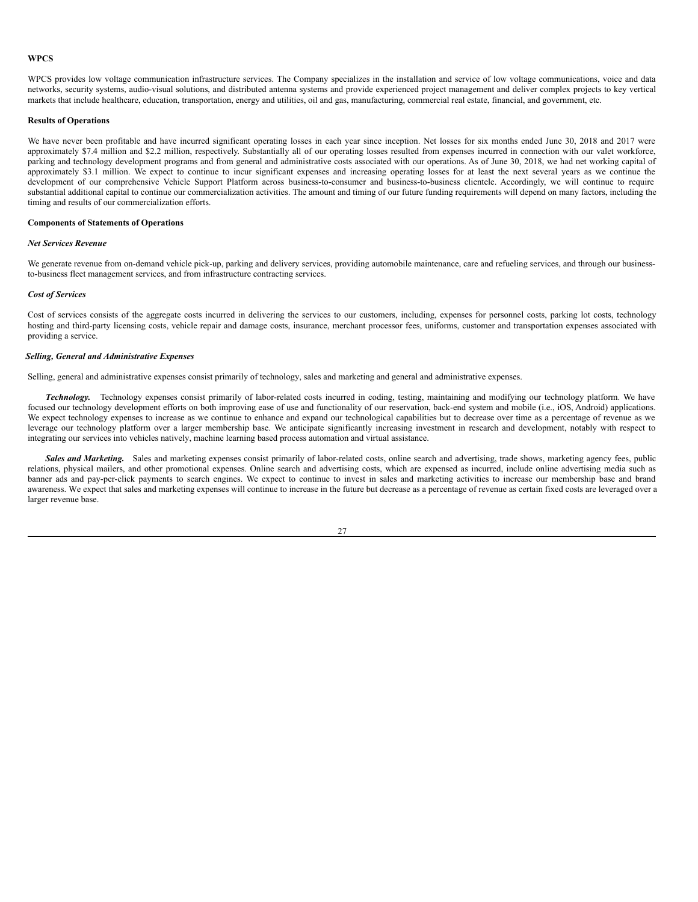# **WPCS**

WPCS provides low voltage communication infrastructure services. The Company specializes in the installation and service of low voltage communications, voice and data networks, security systems, audio-visual solutions, and distributed antenna systems and provide experienced project management and deliver complex projects to key vertical markets that include healthcare, education, transportation, energy and utilities, oil and gas, manufacturing, commercial real estate, financial, and government, etc.

#### **Results of Operations**

We have never been profitable and have incurred significant operating losses in each year since inception. Net losses for six months ended June 30, 2018 and 2017 were approximately \$7.4 million and \$2.2 million, respectively. Substantially all of our operating losses resulted from expenses incurred in connection with our valet workforce, parking and technology development programs and from general and administrative costs associated with our operations. As of June 30, 2018, we had net working capital of approximately \$3.1 million. We expect to continue to incur significant expenses and increasing operating losses for at least the next several years as we continue the development of our comprehensive Vehicle Support Platform across business-to-consumer and business-to-business clientele. Accordingly, we will continue to require substantial additional capital to continue our commercialization activities. The amount and timing of our future funding requirements will depend on many factors, including the timing and results of our commercialization efforts.

#### **Components of Statements of Operations**

# *Net Services Revenue*

We generate revenue from on-demand vehicle pick-up, parking and delivery services, providing automobile maintenance, care and refueling services, and through our businessto-business fleet management services, and from infrastructure contracting services.

# *Cost of Services*

Cost of services consists of the aggregate costs incurred in delivering the services to our customers, including, expenses for personnel costs, parking lot costs, technology hosting and third-party licensing costs, vehicle repair and damage costs, insurance, merchant processor fees, uniforms, customer and transportation expenses associated with providing a service.

# *Selling, General and Administrative Expenses*

Selling, general and administrative expenses consist primarily of technology, sales and marketing and general and administrative expenses.

*Technology.* Technology expenses consist primarily of labor-related costs incurred in coding, testing, maintaining and modifying our technology platform. We have focused our technology development efforts on both improving ease of use and functionality of our reservation, back-end system and mobile (i.e., iOS, Android) applications. We expect technology expenses to increase as we continue to enhance and expand our technological capabilities but to decrease over time as a percentage of revenue as we leverage our technology platform over a larger membership base. We anticipate significantly increasing investment in research and development, notably with respect to integrating our services into vehicles natively, machine learning based process automation and virtual assistance.

*Sales and Marketing.* Sales and marketing expenses consist primarily of labor-related costs, online search and advertising, trade shows, marketing agency fees, public relations, physical mailers, and other promotional expenses. Online search and advertising costs, which are expensed as incurred, include online advertising media such as banner ads and pay-per-click payments to search engines. We expect to continue to invest in sales and marketing activities to increase our membership base and brand awareness. We expect that sales and marketing expenses will continue to increase in the future but decrease as a percentage of revenue as certain fixed costs are leveraged over a larger revenue base.

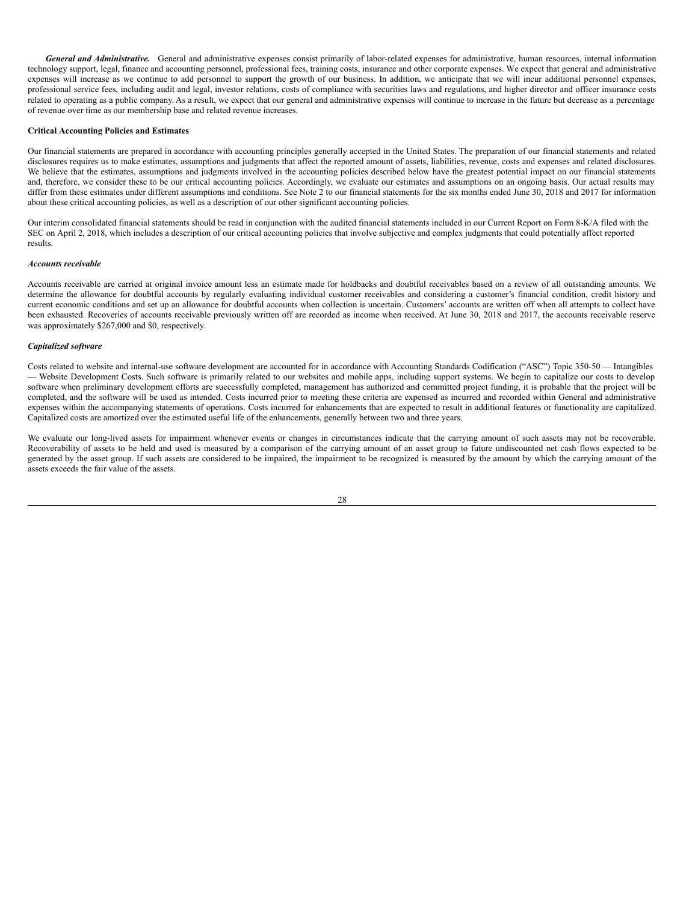*General and Administrative.* General and administrative expenses consist primarily of labor-related expenses for administrative, human resources, internal information technology support, legal, finance and accounting personnel, professional fees, training costs, insurance and other corporate expenses. We expect that general and administrative expenses will increase as we continue to add personnel to support the growth of our business. In addition, we anticipate that we will incur additional personnel expenses, professional service fees, including audit and legal, investor relations, costs of compliance with securities laws and regulations, and higher director and officer insurance costs related to operating as a public company. As a result, we expect that our general and administrative expenses will continue to increase in the future but decrease as a percentage of revenue over time as our membership base and related revenue increases.

# **Critical Accounting Policies and Estimates**

Our financial statements are prepared in accordance with accounting principles generally accepted in the United States. The preparation of our financial statements and related disclosures requires us to make estimates, assumptions and judgments that affect the reported amount of assets, liabilities, revenue, costs and expenses and related disclosures. We believe that the estimates, assumptions and judgments involved in the accounting policies described below have the greatest potential impact on our financial statements and, therefore, we consider these to be our critical accounting policies. Accordingly, we evaluate our estimates and assumptions on an ongoing basis. Our actual results may differ from these estimates under different assumptions and conditions. See Note 2 to our financial statements for the six months ended June 30, 2018 and 2017 for information about these critical accounting policies, as well as a description of our other significant accounting policies.

Our interim consolidated financial statements should be read in conjunction with the audited financial statements included in our Current Report on Form 8-K/A filed with the SEC on April 2, 2018, which includes a description of our critical accounting policies that involve subjective and complex judgments that could potentially affect reported results.

#### *Accounts receivable*

Accounts receivable are carried at original invoice amount less an estimate made for holdbacks and doubtful receivables based on a review of all outstanding amounts. We determine the allowance for doubtful accounts by regularly evaluating individual customer receivables and considering a customer's financial condition, credit history and current economic conditions and set up an allowance for doubtful accounts when collection is uncertain. Customers' accounts are written off when all attempts to collect have been exhausted. Recoveries of accounts receivable previously written off are recorded as income when received. At June 30, 2018 and 2017, the accounts receivable reserve was approximately \$267,000 and \$0, respectively.

# *Capitalized software*

Costs related to website and internal-use software development are accounted for in accordance with Accounting Standards Codification ("ASC") Topic 350-50 — Intangibles — Website Development Costs. Such software is primarily related to our websites and mobile apps, including support systems. We begin to capitalize our costs to develop software when preliminary development efforts are successfully completed, management has authorized and committed project funding, it is probable that the project will be completed, and the software will be used as intended. Costs incurred prior to meeting these criteria are expensed as incurred and recorded within General and administrative expenses within the accompanying statements of operations. Costs incurred for enhancements that are expected to result in additional features or functionality are capitalized. Capitalized costs are amortized over the estimated useful life of the enhancements, generally between two and three years.

We evaluate our long-lived assets for impairment whenever events or changes in circumstances indicate that the carrying amount of such assets may not be recoverable. Recoverability of assets to be held and used is measured by a comparison of the carrying amount of an asset group to future undiscounted net cash flows expected to be generated by the asset group. If such assets are considered to be impaired, the impairment to be recognized is measured by the amount by which the carrying amount of the assets exceeds the fair value of the assets.

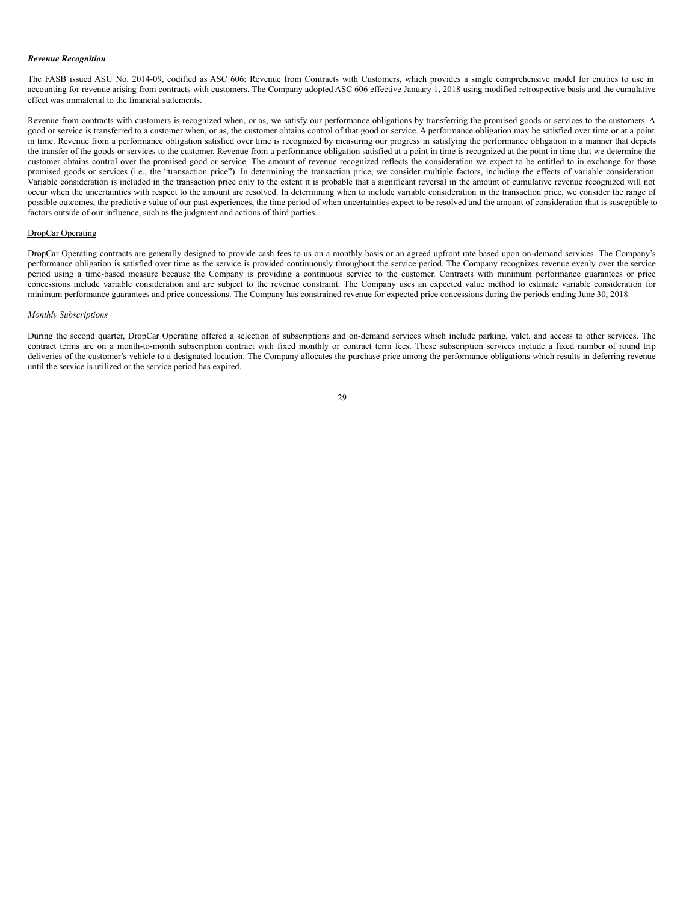#### *Revenue Recognition*

The FASB issued ASU No. 2014-09, codified as ASC 606: Revenue from Contracts with Customers, which provides a single comprehensive model for entities to use in accounting for revenue arising from contracts with customers. The Company adopted ASC 606 effective January 1, 2018 using modified retrospective basis and the cumulative effect was immaterial to the financial statements.

Revenue from contracts with customers is recognized when, or as, we satisfy our performance obligations by transferring the promised goods or services to the customers. A good or service is transferred to a customer when, or as, the customer obtains control of that good or service. A performance obligation may be satisfied over time or at a point in time. Revenue from a performance obligation satisfied over time is recognized by measuring our progress in satisfying the performance obligation in a manner that depicts the transfer of the goods or services to the customer. Revenue from a performance obligation satisfied at a point in time is recognized at the point in time that we determine the customer obtains control over the promised good or service. The amount of revenue recognized reflects the consideration we expect to be entitled to in exchange for those promised goods or services (i.e., the "transaction price"). In determining the transaction price, we consider multiple factors, including the effects of variable consideration. Variable consideration is included in the transaction price only to the extent it is probable that a significant reversal in the amount of cumulative revenue recognized will not occur when the uncertainties with respect to the amount are resolved. In determining when to include variable consideration in the transaction price, we consider the range of possible outcomes, the predictive value of our past experiences, the time period of when uncertainties expect to be resolved and the amount of consideration that is susceptible to factors outside of our influence, such as the judgment and actions of third parties.

# DropCar Operating

DropCar Operating contracts are generally designed to provide cash fees to us on a monthly basis or an agreed upfront rate based upon on-demand services. The Company's performance obligation is satisfied over time as the service is provided continuously throughout the service period. The Company recognizes revenue evenly over the service period using a time-based measure because the Company is providing a continuous service to the customer. Contracts with minimum performance guarantees or price concessions include variable consideration and are subject to the revenue constraint. The Company uses an expected value method to estimate variable consideration for minimum performance guarantees and price concessions. The Company has constrained revenue for expected price concessions during the periods ending June 30, 2018.

#### *Monthly Subscriptions*

During the second quarter, DropCar Operating offered a selection of subscriptions and on-demand services which include parking, valet, and access to other services. The contract terms are on a month-to-month subscription contract with fixed monthly or contract term fees. These subscription services include a fixed number of round trip deliveries of the customer's vehicle to a designated location. The Company allocates the purchase price among the performance obligations which results in deferring revenue until the service is utilized or the service period has expired.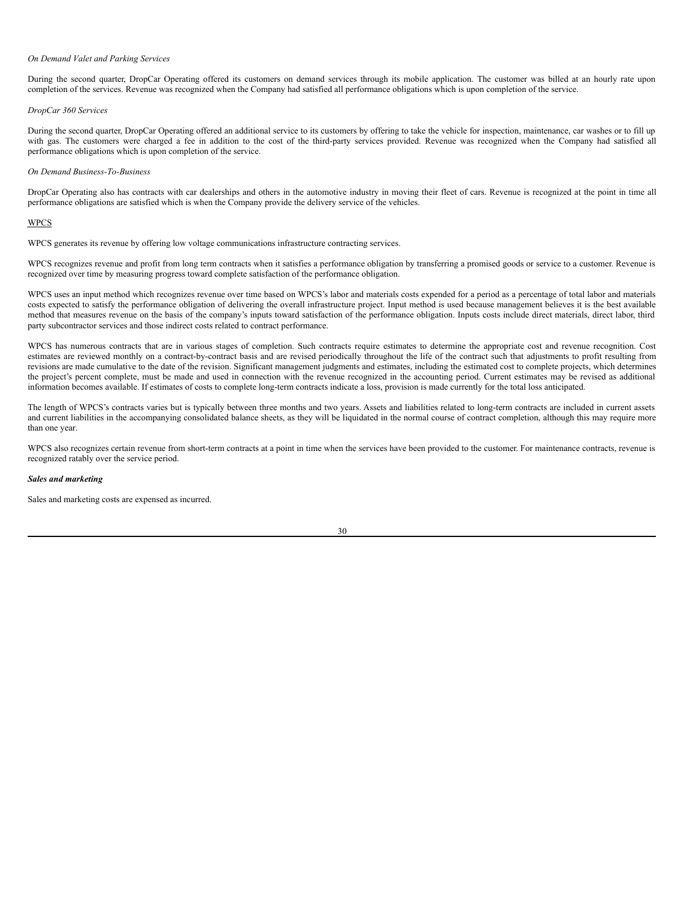#### *On Demand Valet and Parking Services*

During the second quarter, DropCar Operating offered its customers on demand services through its mobile application. The customer was billed at an hourly rate upon completion of the services. Revenue was recognized when the Company had satisfied all performance obligations which is upon completion of the service.

## *DropCar 360 Services*

During the second quarter, DropCar Operating offered an additional service to its customers by offering to take the vehicle for inspection, maintenance, car washes or to fill up with gas. The customers were charged a fee in addition to the cost of the third-party services provided. Revenue was recognized when the Company had satisfied all performance obligations which is upon completion of the service.

## *On Demand Business-To-Business*

DropCar Operating also has contracts with car dealerships and others in the automotive industry in moving their fleet of cars. Revenue is recognized at the point in time all performance obligations are satisfied which is when the Company provide the delivery service of the vehicles.

# WPCS

WPCS generates its revenue by offering low voltage communications infrastructure contracting services.

WPCS recognizes revenue and profit from long term contracts when it satisfies a performance obligation by transferring a promised goods or service to a customer. Revenue is recognized over time by measuring progress toward complete satisfaction of the performance obligation.

WPCS uses an input method which recognizes revenue over time based on WPCS's labor and materials costs expended for a period as a percentage of total labor and materials costs expected to satisfy the performance obligation of delivering the overall infrastructure project. Input method is used because management believes it is the best available method that measures revenue on the basis of the company's inputs toward satisfaction of the performance obligation. Inputs costs include direct materials, direct labor, third party subcontractor services and those indirect costs related to contract performance.

WPCS has numerous contracts that are in various stages of completion. Such contracts require estimates to determine the appropriate cost and revenue recognition. Cost estimates are reviewed monthly on a contract-by-contract basis and are revised periodically throughout the life of the contract such that adjustments to profit resulting from revisions are made cumulative to the date of the revision. Significant management judgments and estimates, including the estimated cost to complete projects, which determines the project's percent complete, must be made and used in connection with the revenue recognized in the accounting period. Current estimates may be revised as additional information becomes available. If estimates of costs to complete long-term contracts indicate a loss, provision is made currently for the total loss anticipated.

The length of WPCS's contracts varies but is typically between three months and two years. Assets and liabilities related to long-term contracts are included in current assets and current liabilities in the accompanying consolidated balance sheets, as they will be liquidated in the normal course of contract completion, although this may require more than one year.

WPCS also recognizes certain revenue from short-term contracts at a point in time when the services have been provided to the customer. For maintenance contracts, revenue is recognized ratably over the service period.

# *Sales and marketing*

Sales and marketing costs are expensed as incurred.

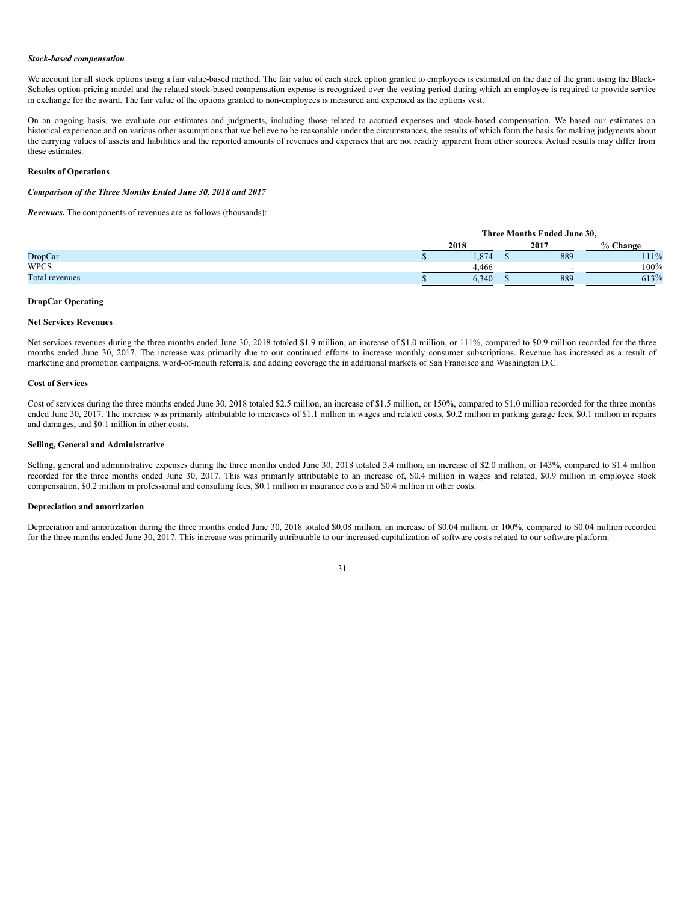#### *Stock-based compensation*

We account for all stock options using a fair value-based method. The fair value of each stock option granted to employees is estimated on the date of the grant using the Black-Scholes option-pricing model and the related stock-based compensation expense is recognized over the vesting period during which an employee is required to provide service in exchange for the award. The fair value of the options granted to non-employees is measured and expensed as the options vest.

On an ongoing basis, we evaluate our estimates and judgments, including those related to accrued expenses and stock-based compensation. We based our estimates on historical experience and on various other assumptions that we believe to be reasonable under the circumstances, the results of which form the basis for making judgments about the carrying values of assets and liabilities and the reported amounts of revenues and expenses that are not readily apparent from other sources. Actual results may differ from these estimates.

# **Results of Operations**

#### *Comparison of the Three Months Ended June 30, 2018 and 2017*

*Revenues.* The components of revenues are as follows (thousands):

|                | Three Months Ended June 30, |  |      |          |
|----------------|-----------------------------|--|------|----------|
|                | 2018                        |  | 2017 | % Change |
| <b>DropCar</b> | 1.874                       |  | 889  | 111%     |
| <b>WPCS</b>    | 4.466                       |  | -    | $100\%$  |
| Total revenues | 6.340                       |  | 889  | 613%     |

# **DropCar Operating**

#### **Net Services Revenues**

Net services revenues during the three months ended June 30, 2018 totaled \$1.9 million, an increase of \$1.0 million, or 111%, compared to \$0.9 million recorded for the three months ended June 30, 2017. The increase was primarily due to our continued efforts to increase monthly consumer subscriptions. Revenue has increased as a result of marketing and promotion campaigns, word-of-mouth referrals, and adding coverage the in additional markets of San Francisco and Washington D.C.

#### **Cost of Services**

Cost of services during the three months ended June 30, 2018 totaled \$2.5 million, an increase of \$1.5 million, or 150%, compared to \$1.0 million recorded for the three months ended June 30, 2017. The increase was primarily attributable to increases of \$1.1 million in wages and related costs, \$0.2 million in parking garage fees, \$0.1 million in repairs and damages, and \$0.1 million in other costs.

# **Selling, General and Administrative**

Selling, general and administrative expenses during the three months ended June 30, 2018 totaled 3.4 million, an increase of \$2.0 million, or 143%, compared to \$1.4 million recorded for the three months ended June 30, 2017. This was primarily attributable to an increase of, \$0.4 million in wages and related, \$0.9 million in employee stock compensation, \$0.2 million in professional and consulting fees, \$0.1 million in insurance costs and \$0.4 million in other costs.

# **Depreciation and amortization**

Depreciation and amortization during the three months ended June 30, 2018 totaled \$0.08 million, an increase of \$0.04 million, or 100%, compared to \$0.04 million recorded for the three months ended June 30, 2017. This increase was primarily attributable to our increased capitalization of software costs related to our software platform.

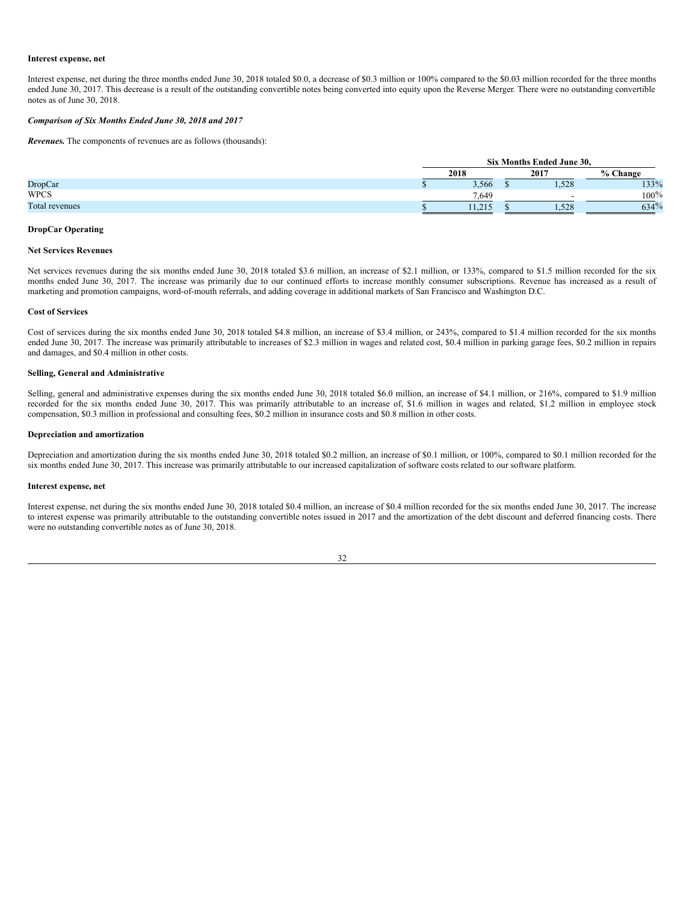#### **Interest expense, net**

Interest expense, net during the three months ended June 30, 2018 totaled \$0.0, a decrease of \$0.3 million or 100% compared to the \$0.03 million recorded for the three months ended June 30, 2017. This decrease is a result of the outstanding convertible notes being converted into equity upon the Reverse Merger. There were no outstanding convertible notes as of June 30, 2018.

# *Comparison of Six Months Ended June 30, 2018 and 2017*

*Revenues.* The components of revenues are as follows (thousands):

|                |              | Six Months Ended June 30, |  |          |         |
|----------------|--------------|---------------------------|--|----------|---------|
|                | 2018<br>2017 |                           |  | % Change |         |
| <b>DropCar</b> |              | 3.566                     |  | 1.528    | 133%    |
| <b>WPCS</b>    |              | 7.649                     |  |          | $100\%$ |
| Total revenues |              | 11.213                    |  | 1.528    | 634%    |

#### **DropCar Operating**

#### **Net Services Revenues**

Net services revenues during the six months ended June 30, 2018 totaled \$3.6 million, an increase of \$2.1 million, or 133%, compared to \$1.5 million recorded for the six months ended June 30, 2017. The increase was primarily due to our continued efforts to increase monthly consumer subscriptions. Revenue has increased as a result of marketing and promotion campaigns, word-of-mouth referrals, and adding coverage in additional markets of San Francisco and Washington D.C.

#### **Cost of Services**

Cost of services during the six months ended June 30, 2018 totaled \$4.8 million, an increase of \$3.4 million, or 243%, compared to \$1.4 million recorded for the six months ended June 30, 2017. The increase was primarily attributable to increases of \$2.3 million in wages and related cost, \$0.4 million in parking garage fees, \$0.2 million in repairs and damages, and \$0.4 million in other costs.

#### **Selling, General and Administrative**

Selling, general and administrative expenses during the six months ended June 30, 2018 totaled \$6.0 million, an increase of \$4.1 million, or 216%, compared to \$1.9 million recorded for the six months ended June 30, 2017. This was primarily attributable to an increase of, \$1.6 million in wages and related, \$1.2 million in employee stock compensation, \$0.3 million in professional and consulting fees, \$0.2 million in insurance costs and \$0.8 million in other costs.

#### **Depreciation and amortization**

Depreciation and amortization during the six months ended June 30, 2018 totaled \$0.2 million, an increase of \$0.1 million, or 100%, compared to \$0.1 million recorded for the six months ended June 30, 2017. This increase was primarily attributable to our increased capitalization of software costs related to our software platform.

## **Interest expense, net**

Interest expense, net during the six months ended June 30, 2018 totaled \$0.4 million, an increase of \$0.4 million recorded for the six months ended June 30, 2017. The increase to interest expense was primarily attributable to the outstanding convertible notes issued in 2017 and the amortization of the debt discount and deferred financing costs. There were no outstanding convertible notes as of June 30, 2018.

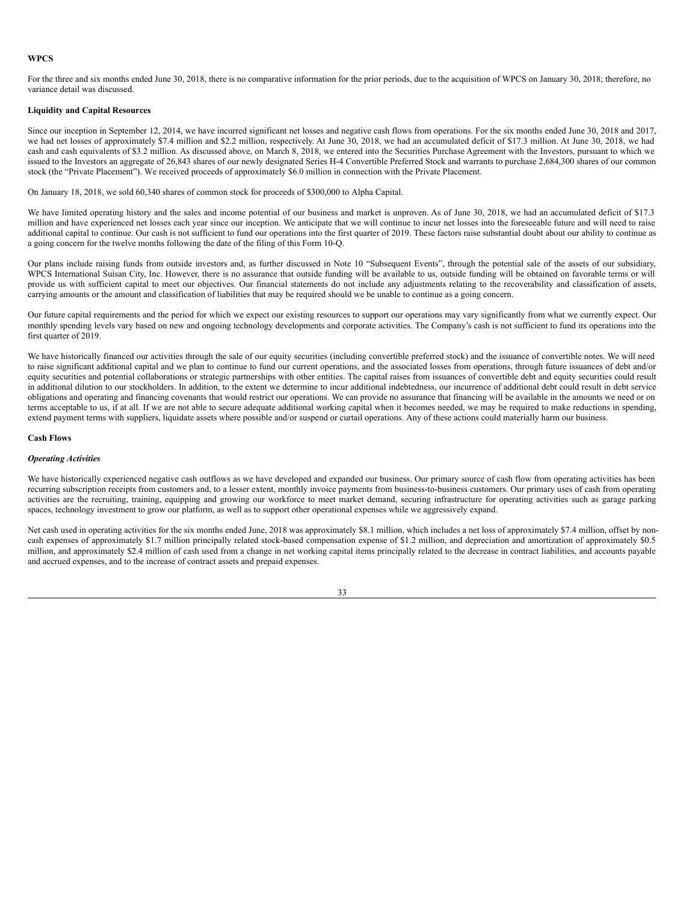# **WPCS**

For the three and six months ended June 30, 2018, there is no comparative information for the prior periods, due to the acquisition of WPCS on January 30, 2018; therefore, no variance detail was discussed.

# **Liquidity and Capital Resources**

Since our inception in September 12, 2014, we have incurred significant net losses and negative cash flows from operations. For the six months ended June 30, 2018 and 2017, we had net losses of approximately \$7.4 million and \$2.2 million, respectively. At June 30, 2018, we had an accumulated deficit of \$17.3 million. At June 30, 2018, we had cash and cash equivalents of \$3.2 million. As discussed above, on March 8, 2018, we entered into the Securities Purchase Agreement with the Investors, pursuant to which we issued to the Investors an aggregate of 26,843 shares of our newly designated Series H-4 Convertible Preferred Stock and warrants to purchase 2,684,300 shares of our common stock (the "Private Placement"). We received proceeds of approximately \$6.0 million in connection with the Private Placement.

On January 18, 2018, we sold 60,340 shares of common stock for proceeds of \$300,000 to Alpha Capital.

We have limited operating history and the sales and income potential of our business and market is unproven. As of June 30, 2018, we had an accumulated deficit of \$17.3 million and have experienced net losses each year since our inception. We anticipate that we will continue to incur net losses into the foreseeable future and will need to raise additional capital to continue. Our cash is not sufficient to fund our operations into the first quarter of 2019. These factors raise substantial doubt about our ability to continue as a going concern for the twelve months following the date of the filing of this Form 10-Q.

Our plans include raising funds from outside investors and, as further discussed in Note 10 "Subsequent Events", through the potential sale of the assets of our subsidiary, WPCS International Suisan City, Inc. However, there is no assurance that outside funding will be available to us, outside funding will be obtained on favorable terms or will provide us with sufficient capital to meet our objectives. Our financial statements do not include any adjustments relating to the recoverability and classification of assets, carrying amounts or the amount and classification of liabilities that may be required should we be unable to continue as a going concern.

Our future capital requirements and the period for which we expect our existing resources to support our operations may vary significantly from what we currently expect. Our monthly spending levels vary based on new and ongoing technology developments and corporate activities. The Company's cash is not sufficient to fund its operations into the first quarter of 2019.

We have historically financed our activities through the sale of our equity securities (including convertible preferred stock) and the issuance of convertible notes. We will need to raise significant additional capital and we plan to continue to fund our current operations, and the associated losses from operations, through future issuances of debt and/or equity securities and potential collaborations or strategic partnerships with other entities. The capital raises from issuances of convertible debt and equity securities could result in additional dilution to our stockholders. In addition, to the extent we determine to incur additional indebtedness, our incurrence of additional debt could result in debt service obligations and operating and financing covenants that would restrict our operations. We can provide no assurance that financing will be available in the amounts we need or on terms acceptable to us, if at all. If we are not able to secure adequate additional working capital when it becomes needed, we may be required to make reductions in spending, extend payment terms with suppliers, liquidate assets where possible and/or suspend or curtail operations. Any of these actions could materially harm our business.

## **Cash Flows**

#### *Operating Activities*

We have historically experienced negative cash outflows as we have developed and expanded our business. Our primary source of cash flow from operating activities has been recurring subscription receipts from customers and, to a lesser extent, monthly invoice payments from business-to-business customers. Our primary uses of cash from operating activities are the recruiting, training, equipping and growing our workforce to meet market demand, securing infrastructure for operating activities such as garage parking spaces, technology investment to grow our platform, as well as to support other operational expenses while we aggressively expand.

Net cash used in operating activities for the six months ended June, 2018 was approximately \$8.1 million, which includes a net loss of approximately \$7.4 million, offset by noncash expenses of approximately \$1.7 million principally related stock-based compensation expense of \$1.2 million, and depreciation and amortization of approximately \$0.5 million, and approximately \$2.4 million of cash used from a change in net working capital items principally related to the decrease in contract liabilities, and accounts payable and accrued expenses, and to the increase of contract assets and prepaid expenses.

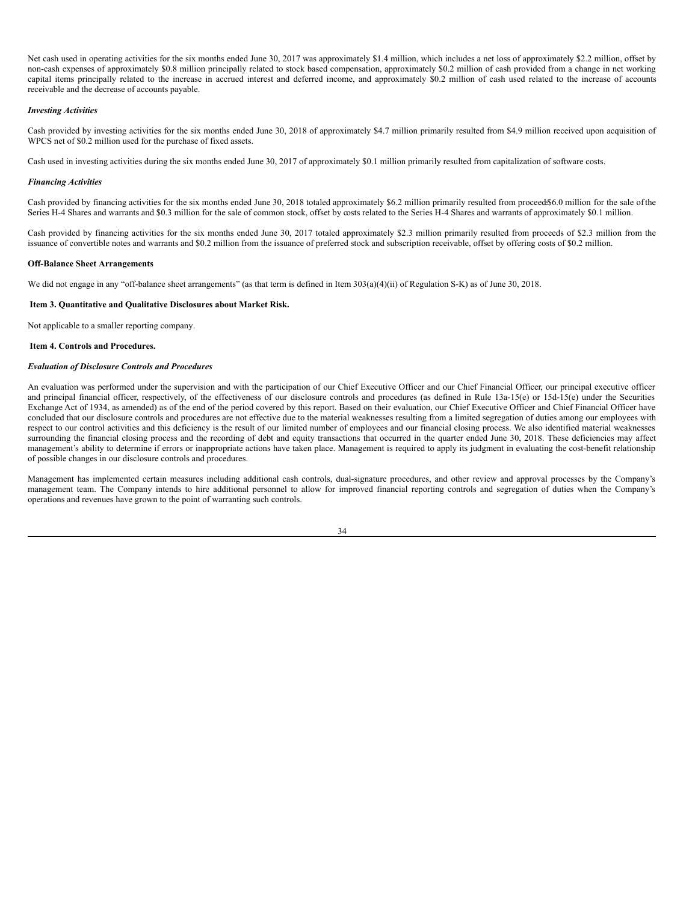Net cash used in operating activities for the six months ended June 30, 2017 was approximately \$1.4 million, which includes a net loss of approximately \$2.2 million, offset by non-cash expenses of approximately \$0.8 million principally related to stock based compensation, approximately \$0.2 million of cash provided from a change in net working capital items principally related to the increase in accrued interest and deferred income, and approximately \$0.2 million of cash used related to the increase of accounts receivable and the decrease of accounts payable.

### *Investing Activities*

Cash provided by investing activities for the six months ended June 30, 2018 of approximately \$4.7 million primarily resulted from \$4.9 million received upon acquisition of WPCS net of \$0.2 million used for the purchase of fixed assets.

Cash used in investing activities during the six months ended June 30, 2017 of approximately \$0.1 million primarily resulted from capitalization of software costs.

#### *Financing Activities*

Cash provided by financing activities for the six months ended June 30, 2018 totaled approximately \$6.2 million primarily resulted from proceed \$6.0 million for the sale of the Series H-4 Shares and warrants and \$0.3 million for the sale of common stock, offset by costs related to the Series H-4 Shares and warrants of approximately \$0.1 million.

Cash provided by financing activities for the six months ended June 30, 2017 totaled approximately \$2.3 million primarily resulted from proceeds of \$2.3 million from the issuance of convertible notes and warrants and \$0.2 million from the issuance of preferred stock and subscription receivable, offset by offering costs of \$0.2 million.

#### **Off-Balance Sheet Arrangements**

We did not engage in any "off-balance sheet arrangements" (as that term is defined in Item 303(a)(4)(ii) of Regulation S-K) as of June 30, 2018.

#### <span id="page-33-0"></span>**Item 3. Quantitative and Qualitative Disclosures about Market Risk.**

Not applicable to a smaller reporting company.

#### <span id="page-33-1"></span>**Item 4. Controls and Procedures.**

#### *Evaluation of Disclosure Controls and Procedures*

An evaluation was performed under the supervision and with the participation of our Chief Executive Officer and our Chief Financial Officer, our principal executive officer and principal financial officer, respectively, of the effectiveness of our disclosure controls and procedures (as defined in Rule 13a-15(e) or 15d-15(e) under the Securities Exchange Act of 1934, as amended) as of the end of the period covered by this report. Based on their evaluation, our Chief Executive Officer and Chief Financial Officer have concluded that our disclosure controls and procedures are not effective due to the material weaknesses resulting from a limited segregation of duties among our employees with respect to our control activities and this deficiency is the result of our limited number of employees and our financial closing process. We also identified material weaknesses surrounding the financial closing process and the recording of debt and equity transactions that occurred in the quarter ended June 30, 2018. These deficiencies may affect management's ability to determine if errors or inappropriate actions have taken place. Management is required to apply its judgment in evaluating the cost-benefit relationship of possible changes in our disclosure controls and procedures.

Management has implemented certain measures including additional cash controls, dual-signature procedures, and other review and approval processes by the Company's management team. The Company intends to hire additional personnel to allow for improved financial reporting controls and segregation of duties when the Company's operations and revenues have grown to the point of warranting such controls.

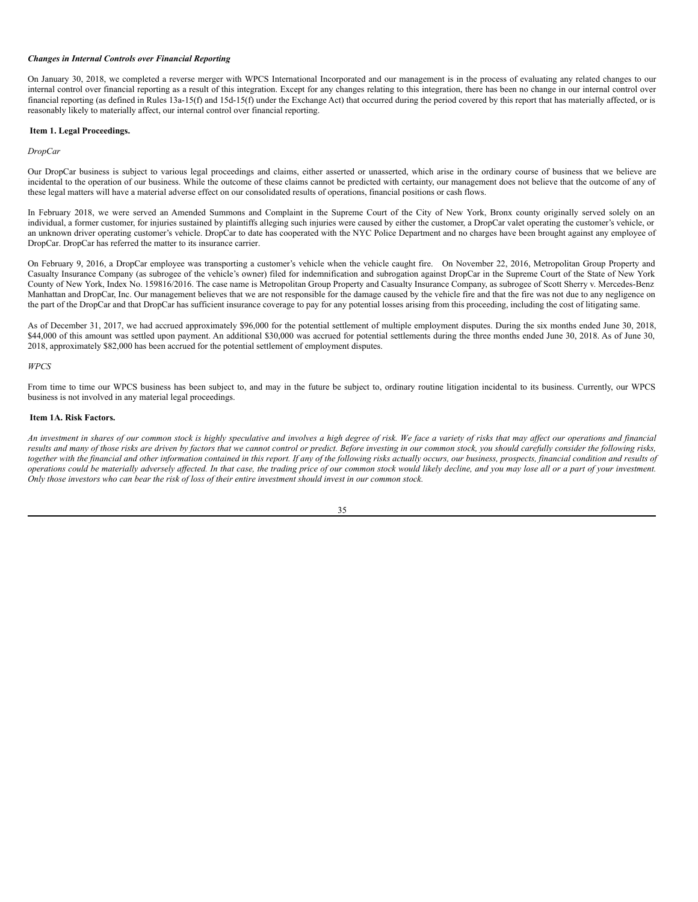# *Changes in Internal Controls over Financial Reporting*

On January 30, 2018, we completed a reverse merger with WPCS International Incorporated and our management is in the process of evaluating any related changes to our internal control over financial reporting as a result of this integration. Except for any changes relating to this integration, there has been no change in our internal control over financial reporting (as defined in Rules 13a-15(f) and 15d-15(f) under the Exchange Act) that occurred during the period covered by this report that has materially affected, or is reasonably likely to materially affect, our internal control over financial reporting.

# <span id="page-34-0"></span>**Item 1. Legal Proceedings.**

# *DropCar*

Our DropCar business is subject to various legal proceedings and claims, either asserted or unasserted, which arise in the ordinary course of business that we believe are incidental to the operation of our business. While the outcome of these claims cannot be predicted with certainty, our management does not believe that the outcome of any of these legal matters will have a material adverse effect on our consolidated results of operations, financial positions or cash flows.

In February 2018, we were served an Amended Summons and Complaint in the Supreme Court of the City of New York, Bronx county originally served solely on an individual, a former customer, for injuries sustained by plaintiffs alleging such injuries were caused by either the customer, a DropCar valet operating the customer's vehicle, or an unknown driver operating customer's vehicle. DropCar to date has cooperated with the NYC Police Department and no charges have been brought against any employee of DropCar. DropCar has referred the matter to its insurance carrier.

On February 9, 2016, a DropCar employee was transporting a customer's vehicle when the vehicle caught fire. On November 22, 2016, Metropolitan Group Property and Casualty Insurance Company (as subrogee of the vehicle's owner) filed for indemnification and subrogation against DropCar in the Supreme Court of the State of New York County of New York, Index No. 159816/2016. The case name is Metropolitan Group Property and Casualty Insurance Company, as subrogee of Scott Sherry v. Mercedes-Benz Manhattan and DropCar, Inc. Our management believes that we are not responsible for the damage caused by the vehicle fire and that the fire was not due to any negligence on the part of the DropCar and that DropCar has sufficient insurance coverage to pay for any potential losses arising from this proceeding, including the cost of litigating same.

As of December 31, 2017, we had accrued approximately \$96,000 for the potential settlement of multiple employment disputes. During the six months ended June 30, 2018, \$44,000 of this amount was settled upon payment. An additional \$30,000 was accrued for potential settlements during the three months ended June 30, 2018. As of June 30, 2018, approximately \$82,000 has been accrued for the potential settlement of employment disputes.

## *WPCS*

From time to time our WPCS business has been subject to, and may in the future be subject to, ordinary routine litigation incidental to its business. Currently, our WPCS business is not involved in any material legal proceedings.

# <span id="page-34-1"></span>**Item 1A. Risk Factors.**

An investment in shares of our common stock is highly speculative and involves a high degree of risk. We face a variety of risks that may affect our operations and financial results and many of those risks are driven by factors that we cannot control or predict. Before investing in our common stock, you should carefully consider the following risks, together with the financial and other information contained in this report. If any of the following risks actually occurs, our business, prospects, financial condition and results of operations could be materially adversely affected. In that case, the trading price of our common stock would likely decline, and you may lose all or a part of your investment. Only those investors who can bear the risk of loss of their entire investment should invest in our common stock.

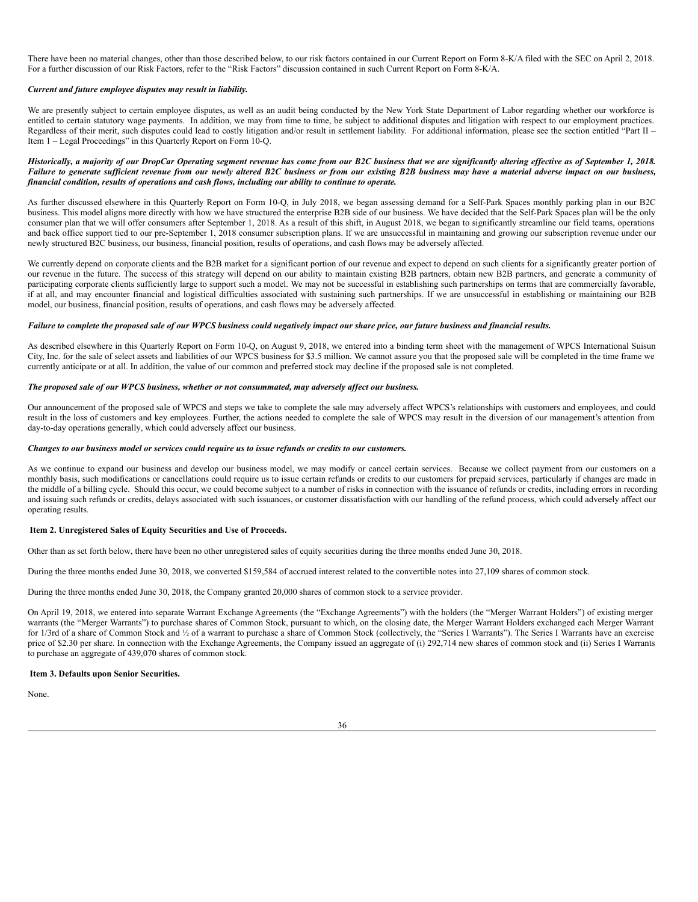There have been no material changes, other than those described below, to our risk factors contained in our Current Report on Form 8-K/A filed with the SEC on April 2, 2018. For a further discussion of our Risk Factors, refer to the "Risk Factors" discussion contained in such Current Report on Form 8-K/A.

# *Current and future employee disputes may result in liability.*

We are presently subject to certain employee disputes, as well as an audit being conducted by the New York State Department of Labor regarding whether our workforce is entitled to certain statutory wage payments. In addition, we may from time to time, be subject to additional disputes and litigation with respect to our employment practices. Regardless of their merit, such disputes could lead to costly litigation and/or result in settlement liability. For additional information, please see the section entitled "Part II – Item 1 – Legal Proceedings" in this Quarterly Report on Form 10-Q.

# Historically, a majority of our DropCar Operating segment revenue has come from our B2C business that we are significantly altering effective as of September 1, 2018. Failure to generate sufficient revenue from our newly altered B2C business or from our existing B2B business may have a material adverse impact on our business, *financial condition, results of operations and cash flows, including our ability to continue to operate.*

As further discussed elsewhere in this Quarterly Report on Form 10-Q, in July 2018, we began assessing demand for a Self-Park Spaces monthly parking plan in our B2C business. This model aligns more directly with how we have structured the enterprise B2B side of our business. We have decided that the Self-Park Spaces plan will be the only consumer plan that we will offer consumers after September 1, 2018. As a result of this shift, in August 2018, we began to significantly streamline our field teams, operations and back office support tied to our pre-September 1, 2018 consumer subscription plans. If we are unsuccessful in maintaining and growing our subscription revenue under our newly structured B2C business, our business, financial position, results of operations, and cash flows may be adversely affected.

We currently depend on corporate clients and the B2B market for a significant portion of our revenue and expect to depend on such clients for a significantly greater portion of our revenue in the future. The success of this strategy will depend on our ability to maintain existing B2B partners, obtain new B2B partners, and generate a community of participating corporate clients sufficiently large to support such a model. We may not be successful in establishing such partnerships on terms that are commercially favorable, if at all, and may encounter financial and logistical difficulties associated with sustaining such partnerships. If we are unsuccessful in establishing or maintaining our B2B model, our business, financial position, results of operations, and cash flows may be adversely affected.

#### Failure to complete the proposed sale of our WPCS business could negatively impact our share price, our future business and financial results.

As described elsewhere in this Quarterly Report on Form 10-Q, on August 9, 2018, we entered into a binding term sheet with the management of WPCS International Suisun City, Inc. for the sale of select assets and liabilities of our WPCS business for \$3.5 million. We cannot assure you that the proposed sale will be completed in the time frame we currently anticipate or at all. In addition, the value of our common and preferred stock may decline if the proposed sale is not completed.

## *The proposed sale of our WPCS business, whether or not consummated, may adversely af ect our business.*

Our announcement of the proposed sale of WPCS and steps we take to complete the sale may adversely affect WPCS's relationships with customers and employees, and could result in the loss of customers and key employees. Further, the actions needed to complete the sale of WPCS may result in the diversion of our management's attention from day-to-day operations generally, which could adversely affect our business.

## Changes to our business model or services could require us to issue refunds or credits to our customers.

As we continue to expand our business and develop our business model, we may modify or cancel certain services. Because we collect payment from our customers on a monthly basis, such modifications or cancellations could require us to issue certain refunds or credits to our customers for prepaid services, particularly if changes are made in the middle of a billing cycle. Should this occur, we could become subject to a number of risks in connection with the issuance of refunds or credits, including errors in recording and issuing such refunds or credits, delays associated with such issuances, or customer dissatisfaction with our handling of the refund process, which could adversely affect our operating results.

# <span id="page-35-0"></span>**Item 2. Unregistered Sales of Equity Securities and Use of Proceeds.**

Other than as set forth below, there have been no other unregistered sales of equity securities during the three months ended June 30, 2018.

During the three months ended June 30, 2018, we converted \$159,584 of accrued interest related to the convertible notes into 27,109 shares of common stock.

During the three months ended June 30, 2018, the Company granted 20,000 shares of common stock to a service provider.

On April 19, 2018, we entered into separate Warrant Exchange Agreements (the "Exchange Agreements") with the holders (the "Merger Warrant Holders") of existing merger warrants (the "Merger Warrants") to purchase shares of Common Stock, pursuant to which, on the closing date, the Merger Warrant Holders exchanged each Merger Warrant for 1/3rd of a share of Common Stock and 1/2 of a warrant to purchase a share of Common Stock (collectively, the "Series I Warrants"). The Series I Warrants have an exercise price of \$2.30 per share. In connection with the Exchange Agreements, the Company issued an aggregate of (i) 292,714 new shares of common stock and (ii) Series I Warrants to purchase an aggregate of 439,070 shares of common stock.

#### <span id="page-35-1"></span>**Item 3. Defaults upon Senior Securities.**

None.

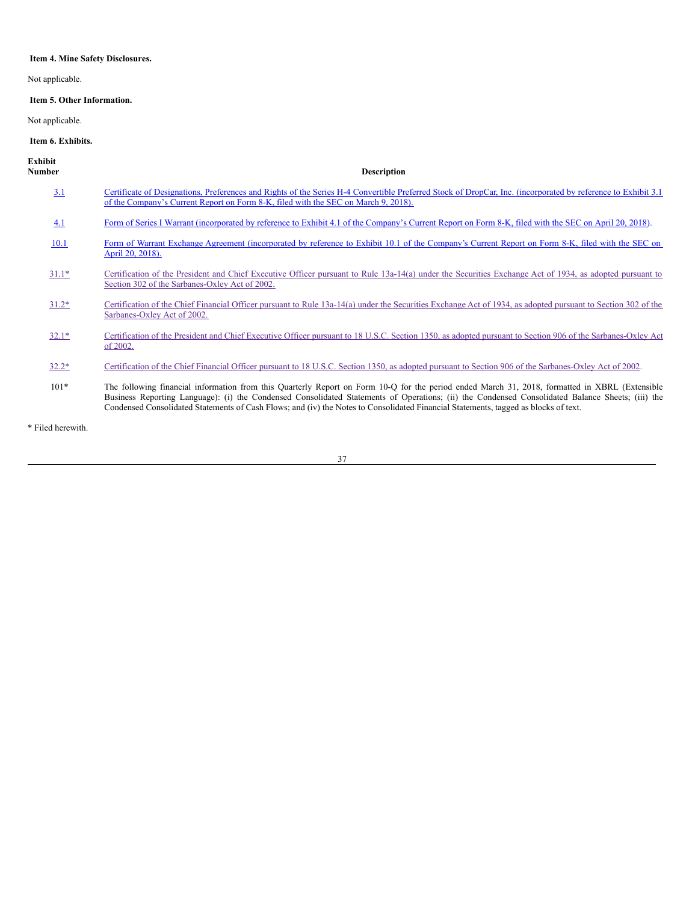# <span id="page-36-0"></span>**Item 4. Mine Safety Disclosures.**

Not applicable.

# <span id="page-36-1"></span>**Item 5. Other Information.**

Not applicable.

# <span id="page-36-2"></span>**Item 6. Exhibits.**

| Exhibit<br>Number | <b>Description</b>                                                                                                                                                                                                                                                                                                                                                                                                                        |
|-------------------|-------------------------------------------------------------------------------------------------------------------------------------------------------------------------------------------------------------------------------------------------------------------------------------------------------------------------------------------------------------------------------------------------------------------------------------------|
| 3.1               | Certificate of Designations, Preferences and Rights of the Series H-4 Convertible Preferred Stock of DropCar, Inc. (incorporated by reference to Exhibit 3.1)<br>of the Company's Current Report on Form 8-K, filed with the SEC on March 9, 2018).                                                                                                                                                                                       |
| 4.1               | Form of Series I Warrant (incorporated by reference to Exhibit 4.1 of the Company's Current Report on Form 8-K, filed with the SEC on April 20, 2018).                                                                                                                                                                                                                                                                                    |
| 10.1              | Form of Warrant Exchange Agreement (incorporated by reference to Exhibit 10.1 of the Company's Current Report on Form 8-K, filed with the SEC on<br>April 20, 2018).                                                                                                                                                                                                                                                                      |
| $31.1*$           | Certification of the President and Chief Executive Officer pursuant to Rule 13a-14(a) under the Securities Exchange Act of 1934, as adopted pursuant to<br>Section 302 of the Sarbanes-Oxley Act of 2002.                                                                                                                                                                                                                                 |
| $31.2*$           | Certification of the Chief Financial Officer pursuant to Rule 13a-14(a) under the Securities Exchange Act of 1934, as adopted pursuant to Section 302 of the<br>Sarbanes-Oxley Act of 2002.                                                                                                                                                                                                                                               |
| $32.1*$           | Certification of the President and Chief Executive Officer pursuant to 18 U.S.C. Section 1350, as adopted pursuant to Section 906 of the Sarbanes-Oxley Act<br>of 2002.                                                                                                                                                                                                                                                                   |
| $32.2*$           | Certification of the Chief Financial Officer pursuant to 18 U.S.C. Section 1350, as adopted pursuant to Section 906 of the Sarbanes-Oxley Act of 2002.                                                                                                                                                                                                                                                                                    |
| $101*$            | The following financial information from this Quarterly Report on Form 10-Q for the period ended March 31, 2018, formatted in XBRL (Extensible<br>Business Reporting Language): (i) the Condensed Consolidated Statements of Operations; (ii) the Condensed Consolidated Balance Sheets; (iii) the<br>Condensed Consolidated Statements of Cash Flows; and (iv) the Notes to Consolidated Financial Statements, tagged as blocks of text. |
|                   |                                                                                                                                                                                                                                                                                                                                                                                                                                           |

\* Filed herewith.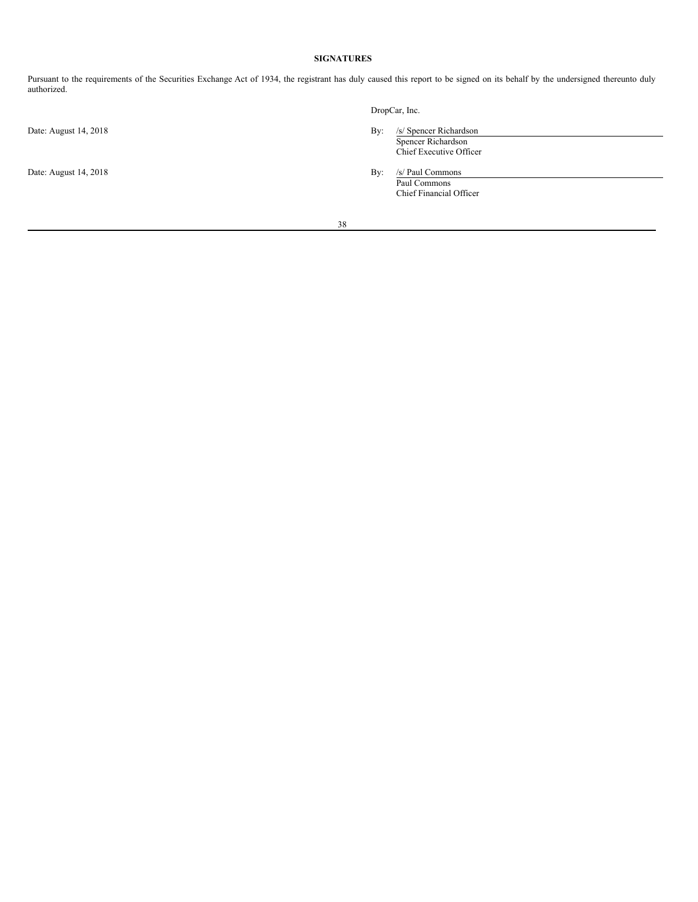# <span id="page-37-0"></span>**SIGNATURES**

Pursuant to the requirements of the Securities Exchange Act of 1934, the registrant has duly caused this report to be signed on its behalf by the undersigned thereunto duly authorized.

Date: August 14, 2018 By: /s/ Paul Commons

DropCar, Inc.

Date: August 14, 2018 By: /s/ Spencer Richardson Spencer Richardson Chief Executive Officer

Paul Commons Chief Financial Officer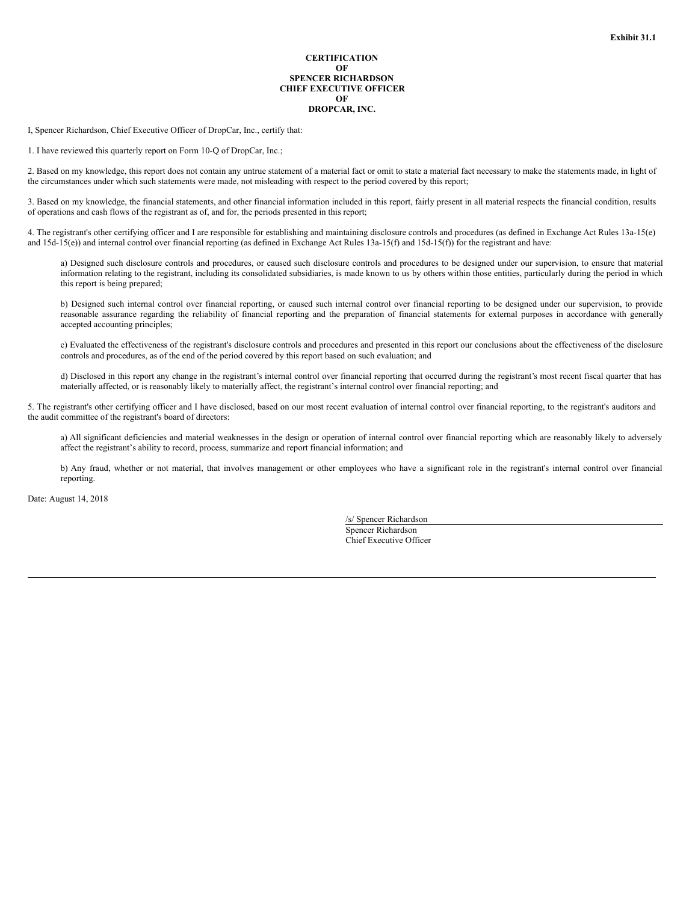# **CERTIFICATION OF SPENCER RICHARDSON CHIEF EXECUTIVE OFFICER OF DROPCAR, INC.**

<span id="page-38-0"></span>I, Spencer Richardson, Chief Executive Officer of DropCar, Inc., certify that:

1. I have reviewed this quarterly report on Form 10-Q of DropCar, Inc.;

2. Based on my knowledge, this report does not contain any untrue statement of a material fact or omit to state a material fact necessary to make the statements made, in light of the circumstances under which such statements were made, not misleading with respect to the period covered by this report;

3. Based on my knowledge, the financial statements, and other financial information included in this report, fairly present in all material respects the financial condition, results of operations and cash flows of the registrant as of, and for, the periods presented in this report;

4. The registrant's other certifying officer and I are responsible for establishing and maintaining disclosure controls and procedures (as defined in Exchange Act Rules 13a-15(e) and 15d-15(e)) and internal control over financial reporting (as defined in Exchange Act Rules 13a-15(f) and 15d-15(f)) for the registrant and have:

a) Designed such disclosure controls and procedures, or caused such disclosure controls and procedures to be designed under our supervision, to ensure that material information relating to the registrant, including its consolidated subsidiaries, is made known to us by others within those entities, particularly during the period in which this report is being prepared;

b) Designed such internal control over financial reporting, or caused such internal control over financial reporting to be designed under our supervision, to provide reasonable assurance regarding the reliability of financial reporting and the preparation of financial statements for external purposes in accordance with generally accepted accounting principles;

c) Evaluated the effectiveness of the registrant's disclosure controls and procedures and presented in this report our conclusions about the effectiveness of the disclosure controls and procedures, as of the end of the period covered by this report based on such evaluation; and

d) Disclosed in this report any change in the registrant's internal control over financial reporting that occurred during the registrant's most recent fiscal quarter that has materially affected, or is reasonably likely to materially affect, the registrant's internal control over financial reporting; and

5. The registrant's other certifying officer and I have disclosed, based on our most recent evaluation of internal control over financial reporting, to the registrant's auditors and the audit committee of the registrant's board of directors:

a) All significant deficiencies and material weaknesses in the design or operation of internal control over financial reporting which are reasonably likely to adversely affect the registrant's ability to record, process, summarize and report financial information; and

b) Any fraud, whether or not material, that involves management or other employees who have a significant role in the registrant's internal control over financial reporting.

Date: August 14, 2018

/s/ Spencer Richardson Spencer Richardson Chief Executive Officer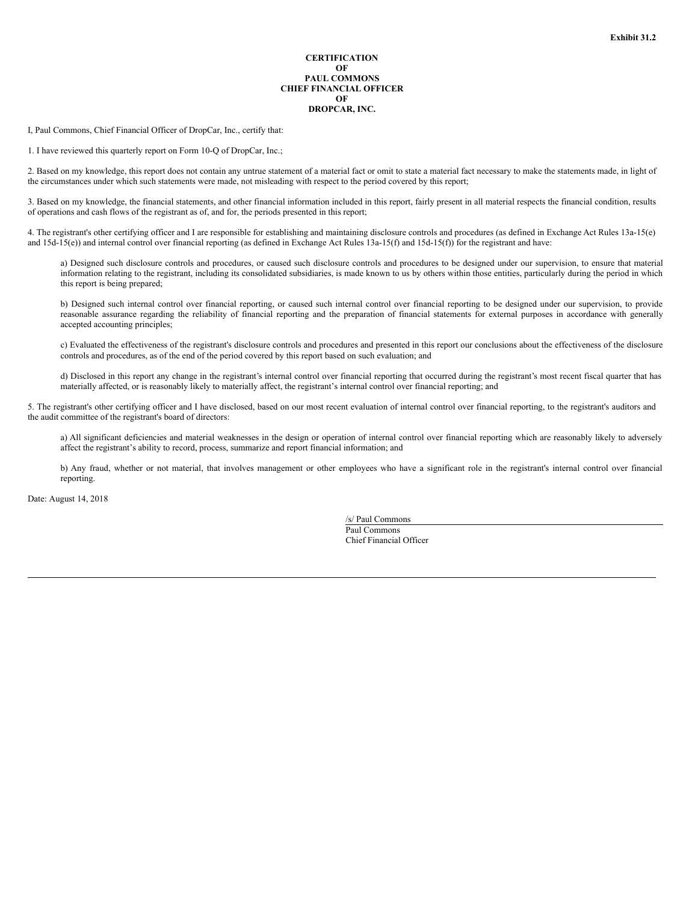# **CERTIFICATION OF PAUL COMMONS CHIEF FINANCIAL OFFICER OF DROPCAR, INC.**

<span id="page-39-0"></span>I, Paul Commons, Chief Financial Officer of DropCar, Inc., certify that:

1. I have reviewed this quarterly report on Form 10-Q of DropCar, Inc.;

2. Based on my knowledge, this report does not contain any untrue statement of a material fact or omit to state a material fact necessary to make the statements made, in light of the circumstances under which such statements were made, not misleading with respect to the period covered by this report;

3. Based on my knowledge, the financial statements, and other financial information included in this report, fairly present in all material respects the financial condition, results of operations and cash flows of the registrant as of, and for, the periods presented in this report;

4. The registrant's other certifying officer and I are responsible for establishing and maintaining disclosure controls and procedures (as defined in Exchange Act Rules 13a-15(e) and 15d-15(e)) and internal control over financial reporting (as defined in Exchange Act Rules 13a-15(f) and 15d-15(f)) for the registrant and have:

a) Designed such disclosure controls and procedures, or caused such disclosure controls and procedures to be designed under our supervision, to ensure that material information relating to the registrant, including its consolidated subsidiaries, is made known to us by others within those entities, particularly during the period in which this report is being prepared;

b) Designed such internal control over financial reporting, or caused such internal control over financial reporting to be designed under our supervision, to provide reasonable assurance regarding the reliability of financial reporting and the preparation of financial statements for external purposes in accordance with generally accepted accounting principles;

c) Evaluated the effectiveness of the registrant's disclosure controls and procedures and presented in this report our conclusions about the effectiveness of the disclosure controls and procedures, as of the end of the period covered by this report based on such evaluation; and

d) Disclosed in this report any change in the registrant's internal control over financial reporting that occurred during the registrant's most recent fiscal quarter that has materially affected, or is reasonably likely to materially affect, the registrant's internal control over financial reporting; and

5. The registrant's other certifying officer and I have disclosed, based on our most recent evaluation of internal control over financial reporting, to the registrant's auditors and the audit committee of the registrant's board of directors:

a) All significant deficiencies and material weaknesses in the design or operation of internal control over financial reporting which are reasonably likely to adversely affect the registrant's ability to record, process, summarize and report financial information; and

b) Any fraud, whether or not material, that involves management or other employees who have a significant role in the registrant's internal control over financial reporting.

Date: August 14, 2018

/s/ Paul Commons Paul Commons Chief Financial Officer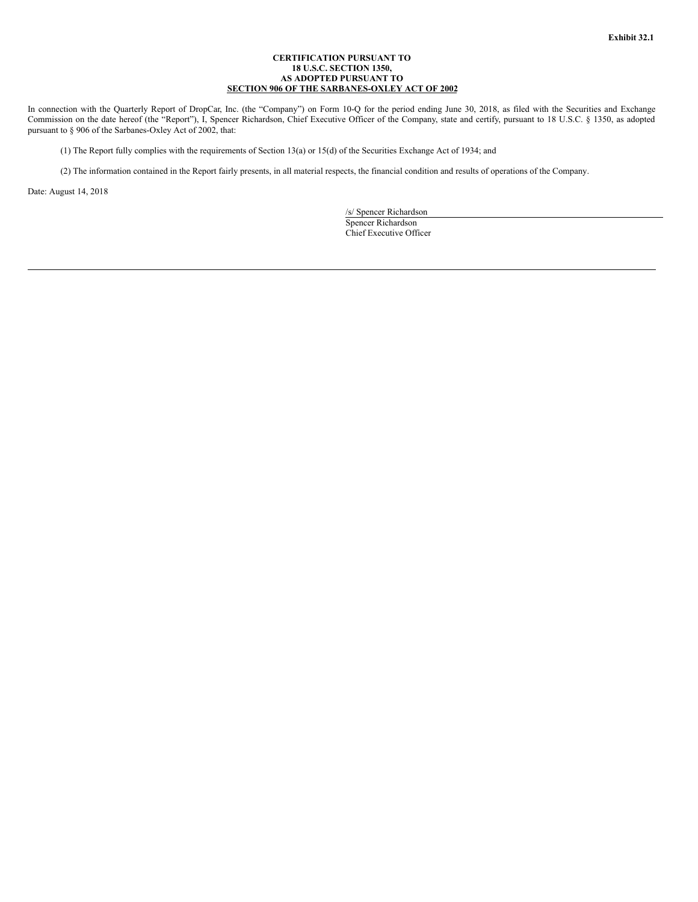# **CERTIFICATION PURSUANT TO 18 U.S.C. SECTION 1350, AS ADOPTED PURSUANT TO SECTION 906 OF THE SARBANES-OXLEY ACT OF 2002**

<span id="page-40-0"></span>In connection with the Quarterly Report of DropCar, Inc. (the "Company") on Form 10-Q for the period ending June 30, 2018, as filed with the Securities and Exchange Commission on the date hereof (the "Report"), I, Spencer Richardson, Chief Executive Officer of the Company, state and certify, pursuant to 18 U.S.C. § 1350, as adopted pursuant to § 906 of the Sarbanes-Oxley Act of 2002, that:

(1) The Report fully complies with the requirements of Section 13(a) or 15(d) of the Securities Exchange Act of 1934; and

(2) The information contained in the Report fairly presents, in all material respects, the financial condition and results of operations of the Company.

Date: August 14, 2018

/s/ Spencer Richardson Spencer Richardson Chief Executive Officer